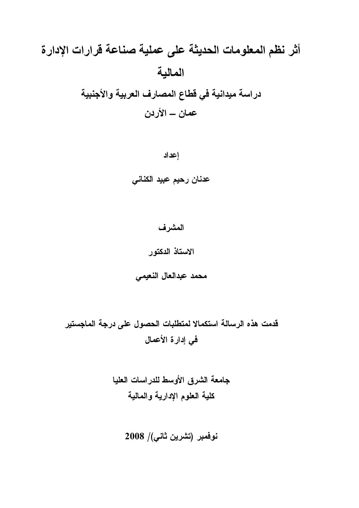# أثر نظم المعلومات الحديثة على عملية صناعة قرارات الإدارة المالية دراسة ميدانية في قطاع المصارف العربية والأجنبية عمان ـــ الأردن

اعداد

عدنان رحيم عبيد الكنانى

## المشرف

الاستاذ الدكتور

محمد عبدالعال النعيمى

قدمت هذه الرسالة استكمالا لمتطلبات الحصول على درجة الماجستير في إدارة الأعمال

> جامعة الشرق الأوسط للدراسات العليا كلية العلوم الإدارية والمالية

> > نوفمبر (تشرين ثاني)/ 2008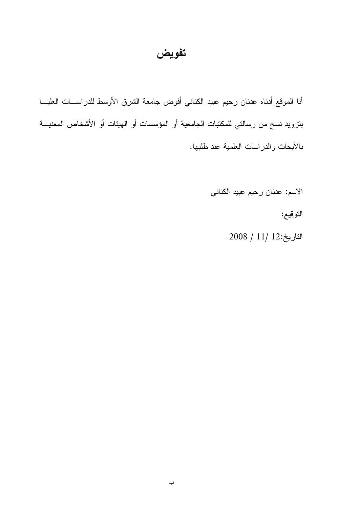## تفويض

أنا الموقع أدناه عدنان رحيم عبيد الكناني أفوض جامعة الشرق الأوسط للدراســـات العليـــا بنزويد نسخ من رسالتي للمكتبات الجامعية أو المؤسسات أو الهيئات أو الأشخاص المعنيـــة بالأبحاث والدراسات العلمية عند طلبها.

الاسم: عدنان رحيم عبيد الكناني

التوقيع:

 $2008 / 11 / 12$ التاريخ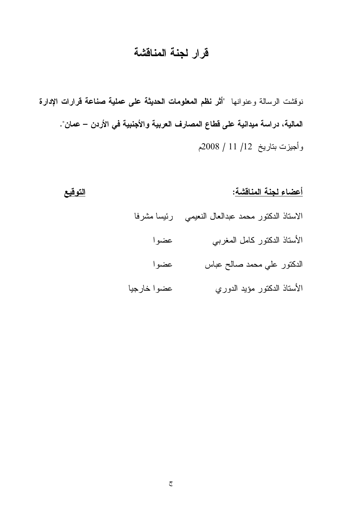# قرار لجنة المناقشة

نوفشت الرسالة وعنوانها "أثر نظم المعلومات الحديثة على عملية صناعة قرارات الإدارة المالية، دراسة ميدانية على فطاع المصارف العربية والأجنبية في الأردن – عمان". وأجيزت بتاريخ 12/ 11 / 2008م

التوقيع

|             | أعضاء لجنة المناقشة:                  |
|-------------|---------------------------------------|
| رئيسا مشرفا | الاستاذ الدكتور محمد عبدالعال النعيمي |
| عضوا        | الأستاذ الدكتور كامل المغربي          |
| عضوا        | الدكتور علي محمد صالح عباس            |
| عضوا خارجيا | الأستاذ الدكتور مؤيد الدوري           |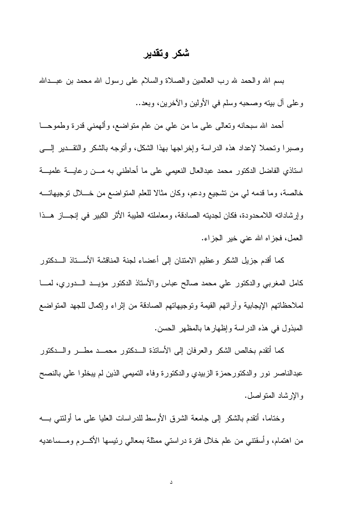## شكر وتقدير

بسم الله والحمد لله رب العالمين والصلاة والسلام على رسول الله محمد بن عبــدالله وعلى آل بيته وصحبه وسلم في الأولين والآخرين، وبعد..

أحمد الله سبحانه وتعالى على ما من علي من علم منواضع، وألهمني قدرة وطموحـــا وصبرًا وتحملًا لإعداد هذه الدراسة وإخراجها بهذا الشكل، وأتوجه بالشكر والنقـــدير إلــــي استاذي الفاضل الدكتور محمد عبدالعال النعيمي على ما أحاطني به مـــن رعايـــة علميـــة خالصة، وما قدمه لمي من تشجيع ودعم، وكان مثالا للعلم المتواضع من خـــلال توجيهاتــــه وإرشاداته اللامحدودة، فكان لجديته الصادقة، ومعاملته الطيبة الأثر الكبير في إنجـــاز هـــذا العمل، فجزاه الله عنى خير الجزاء.

كما أقدم جزيل الشكر وعظيم الامتنان إلى أعضاء لجنة المناقشة الأســـناذ الـــدكتور كامل المغربي والدكتور على محمد صالح عباس والأستاذ الدكتور مؤيــد الـــدوري، لمـــا لملاحظاتهم الإيجابية وأرائهم القيمة وتوجيهاتهم الصادقة من إثراء وإكمال للجهد المتواضع المبذول في هذه الدراسة وإظهارها بالمظهر الحسن.

كما أتقدم بخالص الشكر والعرفان إلى الأساتذة السدكتور محمسد مطسر والسدكتور عبدالناصر نور والدكتورحمزة الزبيدي والدكتورة وفاء التميمي الذين لم يبخلوا على بالنصح و الإرشاد المتواصل.

وختاما، أنقدم بالشكر إلى جامعة الشرق الأوسط للدراسات العليا على ما أولنتني بــــه من اهتمام، وأسقتني من علم خلال فترة دراستي ممثلة بمعالى رئيسها الأكـــرم ومـــساعديه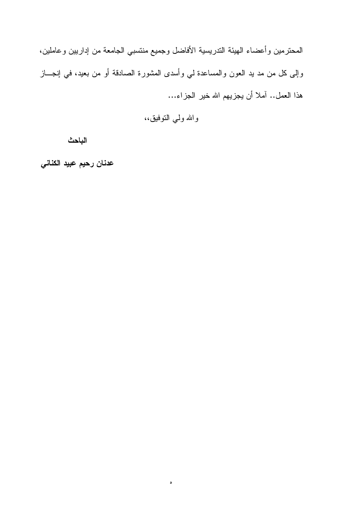المحترمين وأعضاء الهيئة الندريسية الأفاضل وجميع منتسبي الجامعة من إداريين وعاملين، وإلى كل من مد يد العون والمساعدة لي وأسدى المشورة الصادقة أو من بعيد، في إنجـــاز هذا العمل.. آملا أن يجزيهم الله خير الجزاء...

والله ولي النوفيق،،

 $\circ$ 

الباحث

عدنان رحيم عبيد الكناني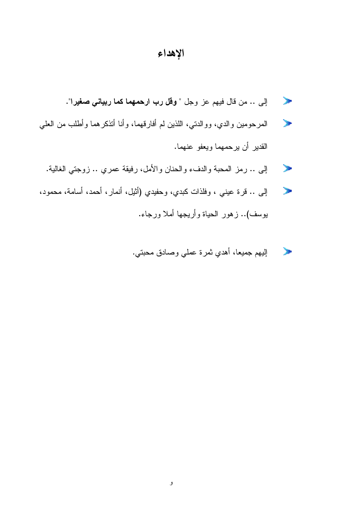## الإهداء

- إلى .. من قال فيهم عز وجل " **وقل رب ارحمهما كما ربياني صغير**ا".  $\blacktriangleright$
- المرحومين والدي، ووالدتي، اللذين لم أفارقهما، وأنا أنذكرهما وأطلب من العلي  $\mathcal{L}$ القدير أن يرحمهما ويعفو عنهما.
	- إلى .. رمز المحبة والدفء والحنان والأمل، رفيقة عمري .. زوجتي الغالية.  $\mathcal{P}$
- إلى .. قرة عيني ، وفلذات كبدي، وحفيدي (أثيل، أنمار، أحمد، أسامة، محمود،  $\rightarrow$ بوسف).. زهور الحياة وأريجها أملا ورجاء.
	- إليهم جميعا، أهدي ثمرة عملي وصادق محبتي. **Service**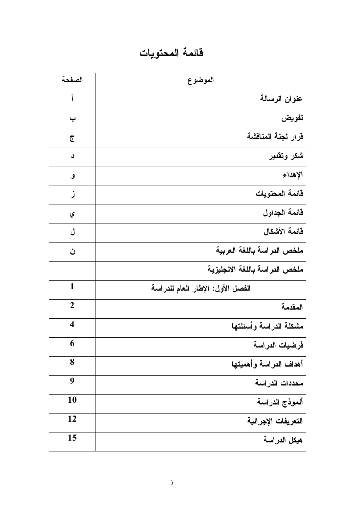# فائمة المحتويات

| الصفحة                  | الموضوع                           |
|-------------------------|-----------------------------------|
| أ                       | عنوان الرسالة                     |
| پ                       | تفويض                             |
| جح                      | قرار لجنة المناقشة                |
| د                       | شكر وتقدير                        |
| ٯ                       | الإهداء                           |
| ز                       | قائمة المحتويات                   |
| ي                       | قائمة الجداول                     |
| ل                       | فائمة الأشكال                     |
| ن                       | ملخص الدراسة باللغة العربية       |
|                         | ملخص الدراسة باللغة الانجليزية    |
| $\mathbf{1}$            | الفصل الأول: الإطار العام للدراسة |
| $\overline{2}$          | المقدمة                           |
| $\overline{\mathbf{4}}$ | مشكلة الدراسة وأسئلتها            |
| 6                       | فرضيات الدراسة                    |
| 8                       | أهداف الدراسة وأهميتها            |
| 9                       | محددات الدراسة                    |
| 10                      | أنموذج الدراسة                    |
| 12                      | التعريفات الإجرائية               |
| 15                      | هيكل الدراسة                      |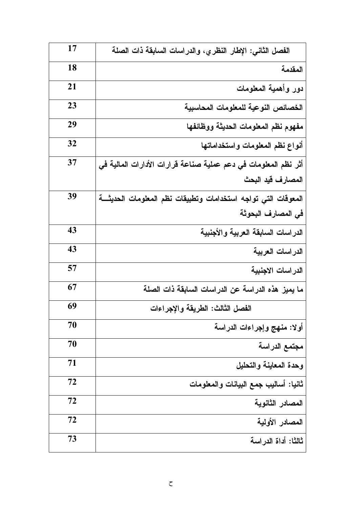| 17 | الفصل الثاني: الإطار النظري، والدراسات السابقة ذات الصلة        |
|----|-----------------------------------------------------------------|
| 18 | المقدمة                                                         |
| 21 | دور وأهمية المعلومات                                            |
| 23 | الخصائص النوعية للمعلومات المحاسبية                             |
| 29 | مفهوم نظم المعلومات الحديثة ووظائفها                            |
| 32 | أنواع نظم المعلومات واستخداماتها                                |
| 37 | أثر نظم المعلومات في دعم عملية صناعة قرارات الأدارات المالية في |
|    | المصارف قيد البحث                                               |
| 39 | المعوقات التي تواجه استخدامات وتطبيقات نظم المعلومات الحديثة    |
|    | في المصارف البحوثة                                              |
| 43 | الدراسات السابقة العربية والأجنبية                              |
| 43 | الدراسات العربية                                                |
| 57 | الدراسات الاجنبية                                               |
| 67 | ما يميز. هذه الدراسة عن الدراسات السابقة ذات الصلة              |
| 69 | الفصل الثالث: الطريقة والإجراءات                                |
| 70 | أولا: منهج وإجراءات الدراسة                                     |
| 70 | مجتمع الدراسة                                                   |
| 71 | وحدة المعاينة والتحليل                                          |
| 72 | ثانيا: أساليب جمع البيانات والمعلومات                           |
| 72 | المصادر الثانوية                                                |
| 72 | المصادر الأولية                                                 |
| 73 | ثالثًا: أداة الدراسة                                            |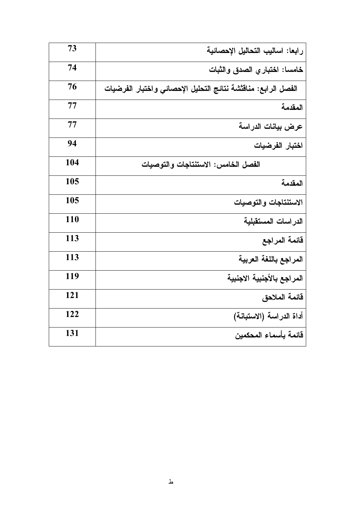| 73         | رابعا: اساليب التحاليل الإحصائية                              |
|------------|---------------------------------------------------------------|
| 74         | خامسا: اختبار ى الصدق والثبات                                 |
| 76         | الفصل الرابع: مناقششة نتائج التحليل الإحصائي واختبار الفرضيات |
| 77         | المقدمة                                                       |
| 77         | عرض بيانات الدراسة                                            |
| 94         | اختبار الفرضيات                                               |
| 104        | الفصل الخامس: الاستنتاجات والتوصيات                           |
| 105        | المقدمة                                                       |
| 105        | الاستنتاجات والتوصيات                                         |
| <b>110</b> | الدراسات المستقبلية                                           |
| 113        | قائمة المراجع                                                 |
| 113        | المراجع باللغة العربية                                        |
| 119        | المراجع بالأجنبية الاجنبية                                    |
| <b>121</b> | فائمة الملاحق                                                 |
| 122        | أداة الدراسة (الاستبانة)                                      |
| 131        | قائمة بأسماء المحكمين                                         |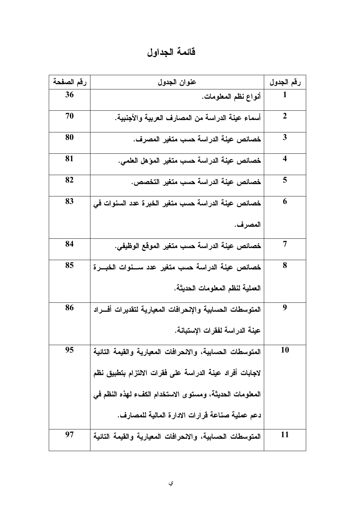فائمة الجداول

| رقم الصفحة | عنوان الجدول                                              | رقم الجدول              |
|------------|-----------------------------------------------------------|-------------------------|
| 36         | أنواع نظم المعلومات.                                      |                         |
| 70         | أسماء عينة الدراسة من المصارف العربية والأجنبية.          | $\boldsymbol{2}$        |
| 80         | خصائص عينة الدراسة حسب متغير المصرف.                      | 3                       |
| 81         | خصائص عينة الدراسة حسب متغير المؤهل العلمي.               | $\overline{\mathbf{4}}$ |
| 82         | خصائص عينة الدراسة حسب متغير التخصص.                      | 5                       |
| 83         | خصائص عينة الدراسة حسب متغير الخبرة عدد السنوات في        | 6                       |
|            | المصرف.                                                   |                         |
| 84         | خصائص عينة الدراسة حسب متغير الموقع الوظيفي.              | 7                       |
| 85         | خصائص عينة الدراسة حسب متغير عدد ســنوات الخبـــرة        | 8                       |
|            | العملية لنظم المعلومات الحديثة.                           |                         |
| 86         | المتوسطات الحسابية والإنحرافات المعيارية لتقديرات أفسراد  | 9                       |
|            | عينة الدراسة لفقرات الإستبانة.                            |                         |
| 95         | المتوسطات الحسابية، والانحرافات المعيارية والقيمة التائية | 10                      |
|            | لاجابات أفراد عينة الدراسة على فقرات الالتزام بتطبيق نظم  |                         |
|            | المعلومات الحديثة، ومستوى الاستخدام الكفء لهذه النظم في   |                         |
|            | دعم عملية صناعة قرارات الادارة المالية للمصارف.           |                         |
| 97         | المتوسطات الحسابية، والانحرافات المعيارية والقيمة التائية | 11                      |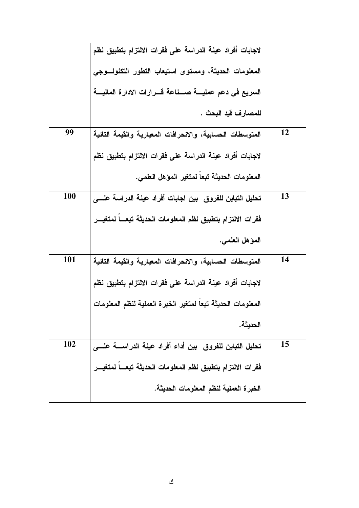|    | لاجابات أفراد عينة الدراسة على فقرات الالتزام بتطبيق نظم         |            |
|----|------------------------------------------------------------------|------------|
|    | المعلومات الحديثة، ومستوى استيعاب التطور التكنولسوجى             |            |
|    | السريع في دعم عمليــــة صــــناعة قــــرارات الادارة الماليــــة |            |
|    | للمصار ف قيد البحث .                                             |            |
| 12 | المتوسطات الحسابية، والانحرافات المعيارية والقيمة التائية        | 99         |
|    | لاجابات أفراد عينة الدراسة على فقرات الالتزام بتطبيق نظم         |            |
|    | المعلومات الحديثة تبعا لمتغير المؤهل العلمي.                     |            |
| 13 | تحليل التباين للفروق  بين اجابات أفراد عينة الدراسة علــــ,      | <b>100</b> |
|    | فقرات الالتزام بتطبيق نظم المعلومات الحديثة تبعــا لمتغيــر      |            |
|    | المؤهل العلمي.                                                   |            |
| 14 | المتوسطات الحسابية، والانحرافات المعيارية والقيمة التائية        | <b>101</b> |
|    | لاجابات أفراد عينة الدراسة على فقرات الالتزام بتطبيق نظم         |            |
|    | المعلومات الحديثة تبعا لمتغير الخبرة العملية لنظم المعلومات      |            |
|    | الحديثة.                                                         |            |
| 15 | تحليل التباين للفروق  بين أداء أفراد عينة الدراســــة علـــــى   | 102        |
|    | فقرات الالتزام بتطبيق نظم المعلومات الحديثة تبعسا لمتغيس         |            |
|    | الخبر ة العملية لنظم المعلومات الحديثة.                          |            |
|    |                                                                  |            |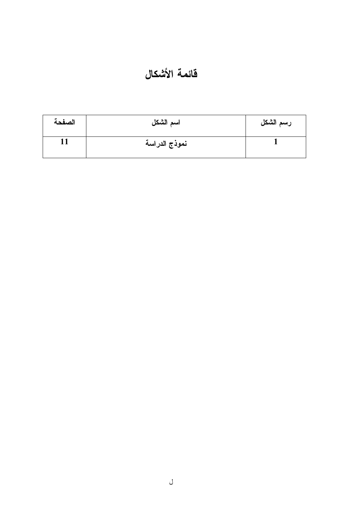# فآئمة الأشكال

| الصفحة | اسم الشكل     | رسم الشكل |
|--------|---------------|-----------|
|        | نموذج الدراسة |           |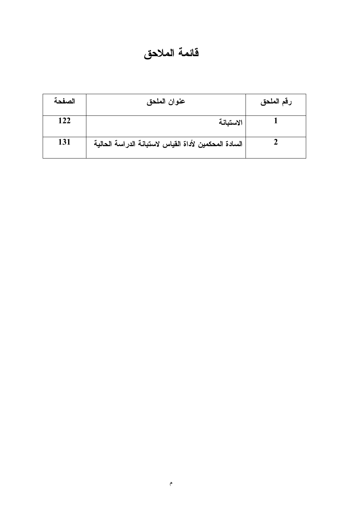# فائمة الملاحق

| الصفحة | عنوان الملحق                                          | رقم الملحق |
|--------|-------------------------------------------------------|------------|
| 122    | الاستبانة                                             |            |
| 131    | السادة المحكمين لأداة القياس لاستبانة الدراسة الحالية |            |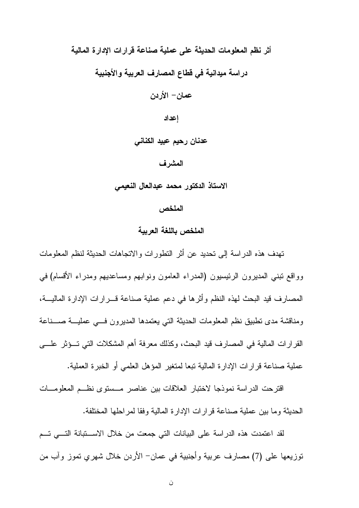أثر نظم المعلومات الحديثة على عملية صناعة قرارات الإدارة المالية

دراسة ميدانية في قطاع المصارف العربية والأجنبية

عمان – الأردن

إعداد

عدنان رحيم عبيد الكناني

#### المشرف

الاستاذ الدكتور محمد عبدالعال النعيمي

الملخص

#### الملخص باللغة العرببة

تهدف هذه الدراسة إلى تحديد عن أثر التطورات والاتجاهات الحديثة لنظم المعلومات وواقع نبني المديرون الرئيسيون (المدراء العامون ونوابهم ومساعديهم ومدراء الأقسام) في المصارف قيد البحث لهذه النظم وأثرها في دعم عملية صناعة قــــرارات الإدارة الماليـــة، ومناقشة مدى نطبيق نظم المعلومات الحديثة التي يعتمدها المديرون فسي عمليـــة صــــناعة القرارات المالية في المصارف قيد البحث، وكذلك معرفة أهم المشكلات التي تسؤثر علسي عملية صناعة قر ار ات الإدار ة المالية تبعا لمتغير المؤهل العلمي أو الخبر ة العملية.

اقترحت الدر اسة نموذجا لاختبار العلاقات بين عناصر مسستوى نظه المعلومسات الحديثة وما بين عملية صناعة قرارات الإدارة المالية وفقا لمراحلها المختلفة.

لقد اعتمدت هذه الدراسة على البيانات التي جمعت من خلال الاســـتبانة التــــي تـــم نوزيعها على (7) مصارف عربية وأجنبية في عمان– الأردن خلال شهري تموز وأب من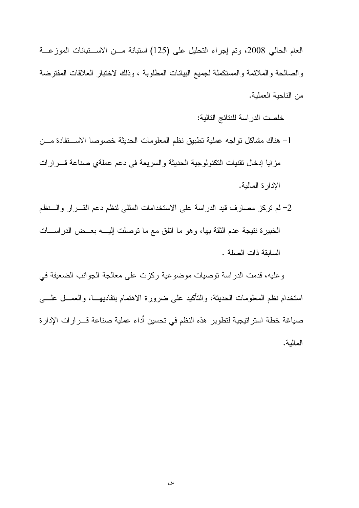العام الحالي 2008، وتم إجراء التحليل على (125) استبانة مـن الاسـتبانات الموزعـة والصالحة والملائمة والمستكملة لجميع البيانات المطلوبة ، وذلك لاختبار العلاقات المفترضة من الناحبة العملبة.

خلصت الدراسة للنتائج التالية:

- 1– هناك مشاكل تواجه عملية تطبيق نظم المعلومات الحديثة خصوصا الاستقادة مسن مزايا إدخال نقنيات النكنولوجية الحديثة والسريعة في دعم عملةي صناعة قـــرارات الإدارة المالية.
- 2– لم نركز مصارف قيد الدراسة على الاستخدامات المثلي لنظم دعم القـــرار والـــنظم الخبيرة نتيجة عدم الثقة بها، وهو ما اتفق مع ما نوصلت إليــــه بعـــض الدراســــات السابقة ذات الصلة .

وعليه، قدمت الدراسة توصيات موضوعية ركزت على معالجة الجوانب الضعيفة في استخدام نظم المعلومات الحديثة، والنَّاكيد على ضرورة الاهتمام بتفاديهـــا، والعمـــل علــــي صباغة خطة استراتيجية لتطوير هذه النظم في تحسين أداء عملية صناعة قـــرارات الإدارة المالية.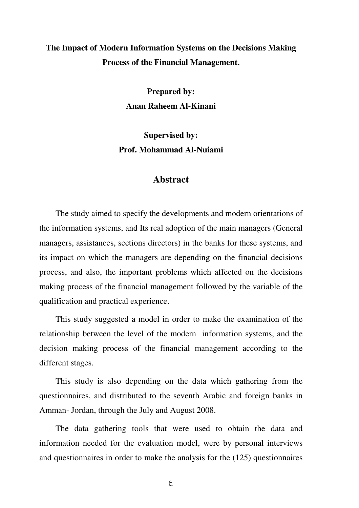### **The Impact of Modern Information Systems on the Decisions Making Process of the Financial Management.**

**Prepared by: Anan Raheem Al-Kinani** 

**Supervised by: Prof. Mohammad Al-Nuiami** 

#### **Abstract**

The study aimed to specify the developments and modern orientations of the information systems, and Its real adoption of the main managers (General managers, assistances, sections directors) in the banks for these systems, and its impact on which the managers are depending on the financial decisions process, and also, the important problems which affected on the decisions making process of the financial management followed by the variable of the qualification and practical experience.

This study suggested a model in order to make the examination of the relationship between the level of the modern information systems, and the decision making process of the financial management according to the different stages.

This study is also depending on the data which gathering from the questionnaires, and distributed to the seventh Arabic and foreign banks in Amman- Jordan, through the July and August 2008.

The data gathering tools that were used to obtain the data and information needed for the evaluation model, were by personal interviews and questionnaires in order to make the analysis for the (125) questionnaires

ع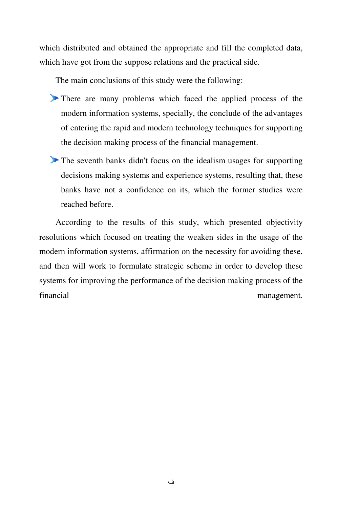which distributed and obtained the appropriate and fill the completed data, which have got from the suppose relations and the practical side.

The main conclusions of this study were the following:

- There are many problems which faced the applied process of the modern information systems, specially, the conclude of the advantages of entering the rapid and modern technology techniques for supporting the decision making process of the financial management.
- The seventh banks didn't focus on the idealism usages for supporting decisions making systems and experience systems, resulting that, these banks have not a confidence on its, which the former studies were reached before.

According to the results of this study, which presented objectivity resolutions which focused on treating the weaken sides in the usage of the modern information systems, affirmation on the necessity for avoiding these, and then will work to formulate strategic scheme in order to develop these systems for improving the performance of the decision making process of the financial management.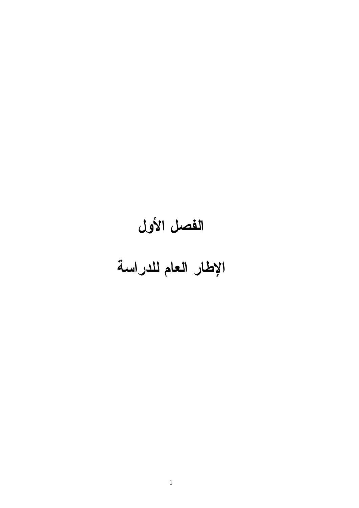# الفصل الأول الإطار العام للدراسة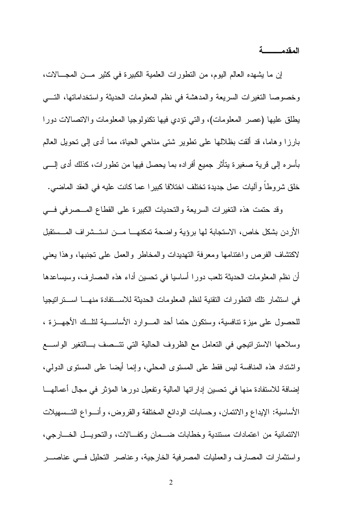المقدمـــــــــــة

إن ما يشهده العالم اليوم، من النطورات العلمية الكبيرة في كثير مـــن المجــــالات، وخصوصا النغيرات السريعة والمدهشة في نظم المعلومات الحديثة واستخداماتها، التسي يطلق عليها (عصر المعلومات)، والتي نؤدي فيها نكنولوجيا المعلومات والانصالات دوراً بارز! و هاما، قد ألقت بظلالها على نطوير شتى مناحى الحياة، مما أدى إلى نحويل العالم بِأَسِرِهِ إِلَى قَرِيةٍ صغيرِةٍ يتَأْثِرِ جِمِيعٍ أَفِرِادِهِ بِما يحصل فيها مِن تطورِاتِ، كذلك أدى إلــــي خلق شر و طا و اليات عمل جديدة تختلف اختلافا كبير ا عما كانت عليه في العقد الماضي.

وقد حتمت هذه التغيرات السريعة والتحديات الكبيرة على القطاع المــصرفي فـــي الأردن بشكل خاص، الاستجابة لها برؤية واضحة تمكنهــا مـــن استــشراف المــستقبل لاكتشاف الفرص واغتنامها ومعرفة النهديدات والمخاطر والعمل علىي تجنبها، وهذا يعنبي أن نظم المعلومات الحديثة تلعب دورا أساسيا في تحسين أداء هذه المصارف، وسيساعدها في استثمار نلك التطورات التقنية لنظم المعلومات الحديثة للاســـتفادة منهـــا اســـتراتيجيا للحصول على ميزة تنافسية، وستكون حتما أحد المسوارد الأساســـية لنلـــك الأجهـــزة ، وسلاحها الاستراتيجي في التعامل مع الظروف الحالية التي تتــصف بـــالتغير الواســـع واشتداد هذه المنافسة ليس فقط على المستوى المحلي، وإنما أيضا على المستوى الدولي، إضافة للاستفادة منها في تحسين إداراتها المالية وتفعيل دورها المؤثر في مجال أعمالهـــا الأساسية: الإيداع و الائتمان، و حسابات الودائع المختلفة و القر و ض، و أنـــو اع التـــسهيلات الائتمانية من اعتمادات مستندية وخطابات ضــمان وكفــالات، والتحويــل الخـــارجي، واستثمارات المصارف والعمليات المصرفية الخارجية، وعناصر التحليل فسي عناصـــر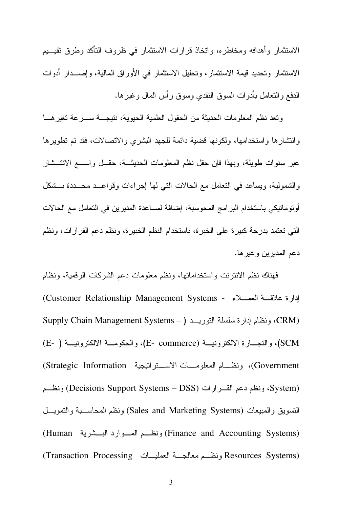الاستثمار وأهدافه ومخاطره، وانخاذ قرارات الاستثمار في ظروف التأكد وطرق نقيـــيم الاستثمار وتحديد قيمة الاستثمار، وتحليل الاستثمار في الأوراق المالية، وإصــدار أدوات الدفع و التعامل بأدو ات السوق النقدي وسوق ر أس المال و غير ها.

وتعد نظم المعلومات الحديثة من الحقول العلمية الحيوية، نتيجـــة ســـرعة تغير هـــا وانتشارها واستخدامها، ولكونها قضية دائمة للجهد البشرى والاتصالات، فقد تم تطويرها عبر سنوات طويلة، وبهذا فإن حقل نظم المعلومات الحديثة، حقـــل واســــع الانتـــشار والشمولية، ويساعد في النعامل مع الحالات التي لها إجراءات وقواعــد محـــددة بـــشكل أونوماتيكي باستخدام البرامج المحوسبة، إضافة لمساعدة المديرين في التعامل مع الحالات التي تعتمد بدرجة كبيرة على الخبرة، باستخدام النظم الخبيرة، ونظم دعم القرارات، ونظم دعم المديرين وغيرها.

فهناك نظم الانترنت واستخداماتها، ونظم معلومات دعم الشركات الرقمية، ونظام إدارة علاقسة العمسلاء - Customer Relationship Management Systems) (CRM) ونظام إدارة سلسلة التوريــد ( - Supply Chain Management Systems SCM)، والتجــارة الالكترونيـــة (E- commerce)، والحكومـــة الالكترونيـــة ( -E) Government)، ونظـــام المعلومــــات الاســــتر انيجية Strategic Information) (System ونظم دعم القـــرارات (Decisions Support Systems – DSS) ونظــم التسويق والمبيعات (Sales and Marketing Systems) ونظم المحاسـبة والتمويـــل (Finance and Accounting Systems) ونظم المسوارد البسشرية (Human (Resources Systems) ونظـم معالجــة العمليــات (Transaction Processing)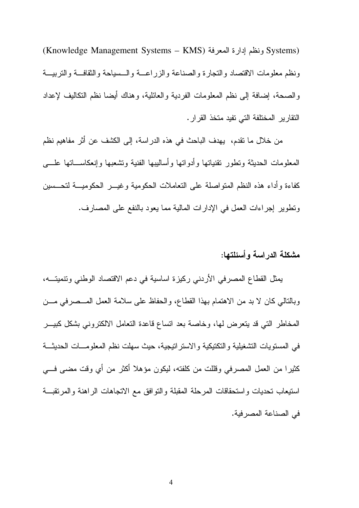(Systems) ونظم إدارة المعرفة (Knowledge Management Systems – KMS) ونظم معلومات الاقتصاد والتجارة والصناعة والزراعـة والـسياحة والنقافـة والتربيــة و الصبحة، إضبافة إلى نظم المعلومات الفردية و العائلية، و هناك أيضبا نظم التكاليف لإعداد النقارير المختلفة التي تفيد متخذ القرار.

من خلال ما نقدم، يهدف الباحث في هذه الدراسة، إلى الكشف عن أثر مفاهيم نظم المعلومات الحديثة ونطور نقنياتها وأدواتها وأساليبها الفنية ونشعبها وإنعكاســـاتها علــــي كفاءة وأداء هذه النظم المتواصلة على التعاملات الحكومية وغيسر الحكوميسة لتحسسين وتطوير إجراءات العمل في الإدارات المالية مما يعود بالنفع على المصارف.

#### مشكلة الدر اسة و أسئلتها:

يمثل القطاع المصرفي الأردني ركيزة اساسية في دعم الاقتصاد الوطني ونتميتـــه، وبالتالي كان لا بد من الاهتمام بهذا القطاع، والحفاظ على سلامة العمل المــصرفي مـــن المخاطر التبي قد يتعرض لها، وخاصة بعد انساع قاعدة التعامل الالكتروني بشكل كبيـــر في المستويات التشغيلية والتكتيكية والاستراتيجية، حيث سهلت نظم المعلومـــات الحديثـــة كثيرٍ! من العمل المصرفي وقللت من كلفته، ليكون مؤهلا أكثر من أي وقت مضبي فـــي استيعاب نحديات واستحقاقات المرحلة المقبلة والنوافق مع الانجاهات الراهنة والمرنقبة في الصناعة المصر فية.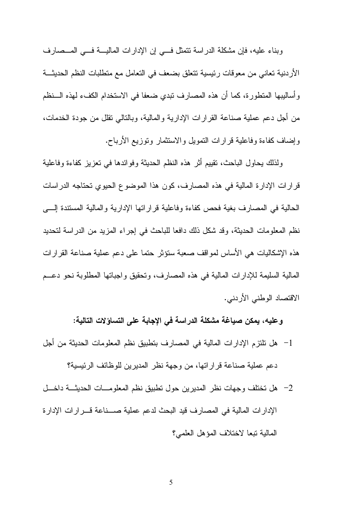وبناء عليه، فإن مشكلة الدراسة نتمثل في إن الإدارات الماليــة فــي المــصارف الأردنية تعاني من معوقات رئيسية تتعلق بضعف في التعامل مع متطلبات النظم الحديثـــة و أساليبها المنطورة، كما أن هذه المصارف نبدي ضعفا في الاستخدام الكفء لهذه الـــنظم من أجل دعم عملية صناعة القرارات الإدارية والمالية، وبالنالبي نقلل من جودة الخدمات، وإضاف كفاءة وفاعلية قرارات التمويل والاستثمار وتوزيع الأرباح.

ولذلك بحاول الباحث، نقيبم أثر هذه النظم الحديثة وفوائدها في تعزيز كفاءة وفاعلية قرارات الإدارة المالية في هذه المصارف، كون هذا الموضوع الحيوي تحتاجه الدراسات الحالية في المصارف بغية فحص كفاءة وفاعلية قراراتها الإدارية والمالية المستندة إلسي نظم المعلومات الحديثة، وقد شكل ذلك دافعا للباحث في إجراء المزيد من الدراسة لتحديد هذه الإشكاليات هي الأساس لمواقف صعبة ستؤثر حتما على دعم عملية صناعة القرارات المالية السليمة للإدارات المالية في هذه المصارف، وتحقيق واجباتها المطلوبة نحو دعــم الاقتصاد الوطني الأردني.

و عليه، يمكن صياغة مشكلة الدراسة في الإجابة على التساؤلات التالية:

- 1– هل تلتزم الإدارات المالية في المصارف بتطبيق نظم المعلومات الحديثة من أجل دعم عملية صناعة قر ار اتها، من وجهة نظر المديرين للوظائف الرئيسية؟
- 2– هل تختلف وجهات نظر المديرين حول تطبيق نظم المعلومسات الحديثــة داخـــل الإدارات المالية في المصارف قيد البحث لدعم عملية صـــناعة قـــرارات الإدارة المالية تبعا لاختلاف المؤهل العلمي؟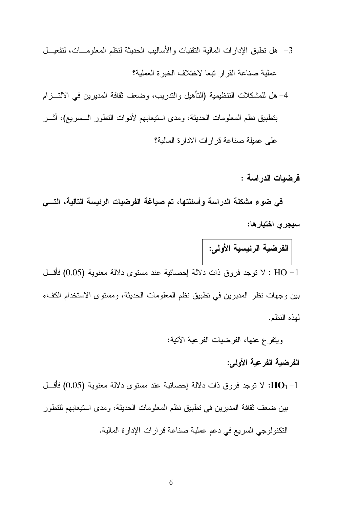4– هل للمشكلات التنظيمية (التأهيل والندريب، وضعف نقافة المديرين في الالتـــزام بتطبيق نظم المعلومات الحديثة، ومدى استيعابهم لأدوات النطور الـــسريع)، أثــــر على عميلة صناعة قرارات الادارة المالية؟

فرضيات الدراسة :

في ضوع مشكلة الدراسة وأسئلتها، تم صياغة الفرضيات الرئيسة التالية، التسي سيجري اختبار ها:

الفرضية الرئيسية الأولى: HO −1 : لا نوجد فروق ذات دلالة اِحصائية عند مستوى دلالة معنوية (0.05) فأقسل بين وجهات نظر المديرين في تطبيق نظم المعلومات الحديثة، ومستوى الاستخدام الكفء لهذه النظم.

ويتفرع عنها، الفرضيات الفرعية الأتية:

الفرضية الفرعية الأولى:

لا نوجد فروق ذات دلالة احصائية عند مستوى دلالة معنوية (0.05) فأقسل : $\mathbf{HO}_1$ بين ضعف ثقافة المديرين في تطبيق نظم المعلومات الحديثة، ومدى استيعابهم للتطور النكنولوجي السريع في دعم عملية صناعة قرارات الإدارة المالية.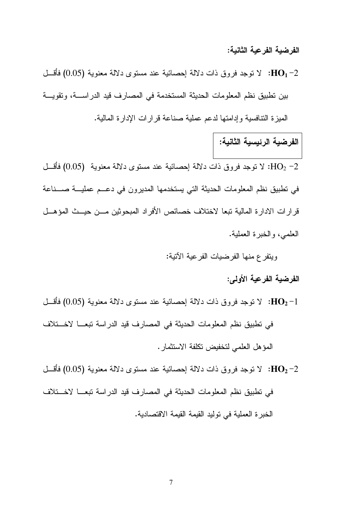الفرضية الفرعية الثانية:

لا توجد فروق ذات دلالة إحصائية عند مستوى دلالة معنوية  $(0.05)$  فأقسل : $\mathbf{HO_1}$ بين تطبيق نظم المعلومات الحديثة المستخدمة في المصارف قيد الدراســـة، وتقويـــة الميزة التنافسية وإدامتها لدعم عملية صناعة قرارات الإدارة المالية.

# الفرضية الرئيسية الثانية:

لا توجد فروق ذات دلالة احصائية عند مستوى دلالة معنوية  $(0.05)$  فأقسل : $\rm HO_2$  7 في نطبيق نظم المعلومات الحديثة التي يستخدمها المديرون في دعــم عمليـــة صــــناعة قرارات الادارة المالية تبعا لاختلاف خصائص الأفراد المبحوثين مــن حيــث المؤهــل العلمي، والخبرة العملية.

ويتفرع منها الفرضيات الفرعية الآتية:

الفرضية الفرعية الأولى:

لا توجد فروق ذات دلالة اِحصائية عند مستوى دلالة معنوية (0.05) فأقسل : $\rm{HO_2-1}$ في تطبيق نظم المعلومات الحديثة في المصارف قيد الدراسة تبعــا لاخــتلاف المؤهل العلمي لتخفيض تكلفة الاستثمار .

لا نوجد فروق ذات دلالة إحصائية عند مستوى دلالة معنوية (0.05) فأقسل : $\rm{HO_2-2}$ في تطبيق نظم المعلومات الحديثة في المصارف قيد الدر اسة تبعـــا لاخـــتلاف الخبر ة العملية في نوليد القيمة القيمة الاقتصادية.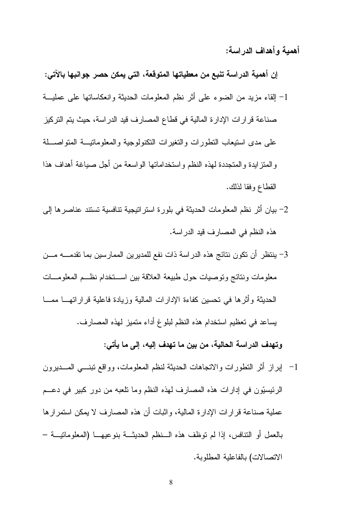أهمية وأهداف الدر اسة:

إن أهمية الدراسة تنبع من معطياتها المتوقعة، التي يمكن حصر جوانبها بالآتي: 1– إلقاء مزيد من الضوء على أثر نظم المعلومات الحديثة وانعكاساتها على عمليـــة صناعة قرارات الإدارة المالية في قطاع المصارف قيد الدراسة، حيث يتم التركيز على مدى استيعاب النطورات والنغيرات النكنولوجية والمعلوماتيسة المنواصسلة والمنز ايدة والمتجددة لهذه النظم واستخداماتها الواسعة من أجل صياغة أهداف هذا القطاع وفقا لذلك.

- 2– بيان أثر نظم المعلومات الحديثة في بلورة استراتيجية تتافسية تستند عناصرها إلى هذه النظم في المصارف قيد الدراسة.
- 3– ينتظر أن تكون نتائج هذه الدراسة ذات نفع للمديرين الممارسين بما تقدمــــه مـــن معلومات ونتائج وتوصيات حول طبيعة العلاقة بين اســـتخدام نظـــم المعلومـــات الحديثة وأثر ها في تحسين كفاءة الإدارات المالية وزيادة فاعلية قراراتهــا ممـــا يساعد في تعظيم استخدام هذه النظم لبلوغ أداء متميز لهذه المصارف.

وتهدف الدراسة الحالية، من بين ما تهدف إليه، إلى ما يأتي:

1- إبراز أثر التطورات والاتجاهات الحديثة لنظم المعلومات، وواقع تبنـــي المـــديرون الرئيسيّون في إدارات هذه المصارف لهذه النظم وما نلعبه من دور كبير في دعــم عملية صناعة قرارات الإدارة المالية، واثبات أن هذه المصارف لا يمكن استمرارها بالعمل أو النتافس، إذا لم نوظف هذه الـنظم الحديثــة بنوعيهــا (المعلومانيـــة – الاتصالات) بالفاعلية المطلوبة.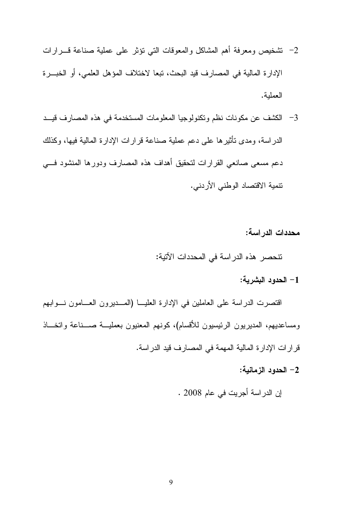- 2– نشخيص ومعرفة أهم المشاكل والمعوفات التي نؤثر على عملية صناعة قسرارات الإدارة المالية في المصارف قيد البحث، تبعا لاختلاف المؤهل العلمي، أو الخبـــرة العملبة.
- 3- الكشف عن مكونات نظم وتكنولوجيا المعلومات المستخدمة في هذه المصارف قيــد الدراسة، ومدى تأثيرها على دعم عملية صناعة قرارات الإدارة المالية فيها، وكذلك دعم مسعى صانعي القرارات لتحقيق أهداف هذه المصارف ودورها المنشود فسي تتمية الاقتصاد الوطني الأردني.

محددات الدراسة:

نتحصر هذه الدراسة في المحددات الآتية:

1– الحدود البشربة:

اقتصرت الدراسة على العاملين في الإدارة العليـــا (المــــديرون العــــامون نــــوابـهم ومساعديهم، المديريون الرئيسيون للأقسام)، كونهم المعنيون بعمليـــة صــــناعة واتخـــاذ قرارات الإدارة المالية المهمة في المصارف قيد الدراسة.

2– الحدود الزمانية:

إن الدراسة أجريت في عام 2008 .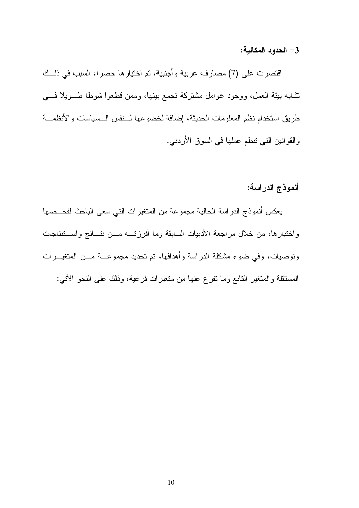3– الحدود المكانية:

اقتصرت على (7) مصارف عربية وأجنبية، تم اختيارها حصرا، السبب في ذلك نشابه بيئة العمل، ووجود عوامل مشتركة تجمع ببنها، وممن قطعوا شوطا طـــويلا فــــي طريق استخدام نظم المعلومات الحديثة، إضافة لخضوعها لــنفس الــسياسات والأنظمـــة والقوانين التي نتظم عملها في السوق الأردني.

أنموذج الدراسة:

يعكس أنموذج الدراسة الحالية مجموعة من المتغيرات التي سعى الباحث لفحــصها واختبارها، من خلال مراجعة الأدبيات السابقة وما أفرزتـــه مـــن نتـــائج واســـتتتاجات ونوصيات، وفي ضوء مشكلة الدراسة وأهدافها، تم تحديد مجموعـــة مـــن المتغيــــرات المستقلة والمتغير التابع وما نفرع عنها من متغيرات فرعية، وذلك على النحو الأتبي: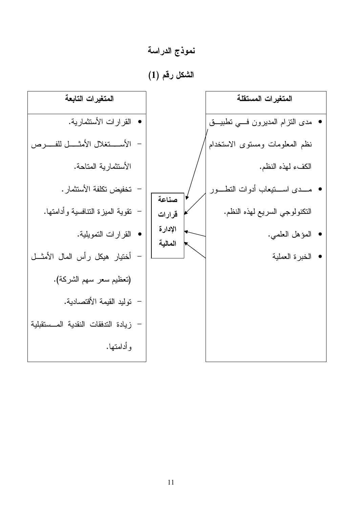نموذج الدراسة

الشكل رقم (1)

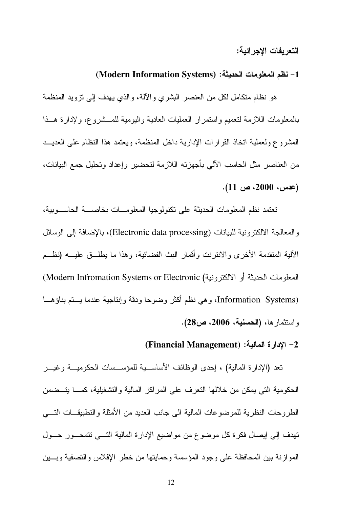#### التعريفات الاجر ائية:

#### 1– نظم المعلومات الحديثة: (Modern Information Systems)

هو نظام متكامل لكل من العنصر البشري والألة، والذي يهدف إلى نزويد المنظمة بالمعلومات اللازمة لتعميم واستمرار العمليات العادية واليومية للمسشروع، ولإدارة هسذا المشروع ولعملية اتخاذ القرارات الإدارية داخل المنظمة، ويعتمد هذا النظام على العديــد من العناصر مثل الحاسب الآلي بأجهزته اللازمة لتحضير وإعداد وتحليل جمع البيانات، (عدس، 2000، ص 11).

تعتمد نظم المعلومات الحديثة على تكنولوجيا المعلومـــات بخاصــــة الحاســـوبية، والمعالجة الالكترونية للبيانات (Electronic data processing)، بالإضافة إلى الوسائل الآلبة المتقدمة الأخرى والانتزنت وأقمار البث الفضائية، وهذا ما بطلَّــق علبــه (نظــم المعلومات الحديثة أو الالكترونية) Modern Infromation Systems or Electronic) (Information Systems، وهي نظم أكثر وضوحا ودقة وإنتاجية عندما يستم بناؤهــا واستثمارها، (الحسنية، 2006، ص28).

#### (Financial Management) : إلادارة المالية: (Financial Management)

تعد (الإدارة المالية) ، إحدى الوظائف الأساســية للمؤســسات الحكوميـــة وغيـــر الحكومية التي يمكن من خلالها النعرف على المراكز المالية والتشغيلية، كمـــا يتـــضمن الطر و حات النظر ية للمو ضو عات المالية الى جانب العديد من الأمثلة و التطبيقــات التــــى تهدف إلى إيصال فكرة كل موضوع من مواضيع الإدارة المالية التسي نتمحــور حــول المو ازنة بين المحافظة على وجود المؤسسة وحمايتها من خطر الإفلاس والتصفية وبسين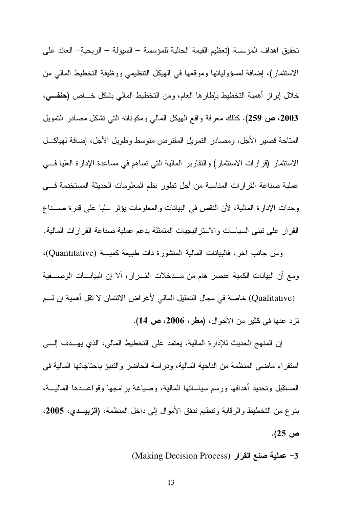تحقيق اهداف المؤسسة (تعظيم القيمة الحالية للمؤسسة – السيولة – الربحية– العائد على الاستثمار)، إضافة لمسؤولياتها وموقعها في الهيكل التنظيمي ووظيفة التخطيط المالي من خلال إبراز أهمية التخطيط بإطارها العام، ومن التخطيط المالي بشكل خـــاص (حففـــي، 2003، ص 259). كذلك معرفة واقع الهيكل المالي ومكوناته التي تشكل مصادر التمويل المتاحة قصير الأجل، ومصادر التمويل المقترض متوسط وطويل الأجل، إضافة لهياكـــل الاستثمار (قرارات الاستثمار) والنقارير المالية التي تساهم في مساعدة الإدارة العليا فسي عملية صناعة القرارات المناسبة من أجل نطور نظم المعلومات الحديثة المستخدمة فسي وحدات الإدار ة المالية، لأن النقص في البيانات و المعلومات يؤثر سلبا على قدر ة صـــناع القرار على نبني السياسات والاستراتيجيات المتمثلة بدعم عملية صناعة القرارات المالية.

ومن جانب آخر، فالبيانات المالية المنشورة ذات طبيعة كميسة (Quantitative)، ومع أن البيانات الكمية عنصر هام من مــدخلات القـــرار ، ألا إن البيانــــات الوصــــفية (Qualitative) خاصــة في مـجـال التـحليل المـالـي لأغر اض الائتمـان لا نقل أهميـة إن لــــم نزد عنها في كثير من الأحوال، (مطر، 2006، ص 14).

إن المنهج الحديث للإدارة المالية، يعتمد على التخطيط المالي، الذي يهــدف إلـــي استقر اء ماضيي المنظمة من الناحية المالية، ودر اسة الحاضر والتنبؤ باحتاجاتها المالية في المستقبل وتحديد أهدافها ورسم سياساتها المالية، وصياغة برامجها وقواعــدها الماليـــة، بنوع من التخطيط والرقابة وتتظيم تدفق الأموال إلى داخل المنظمة، (الزبيــدي، 2005، ص 25).

3- عملية صنع القرار (Making Decision Process)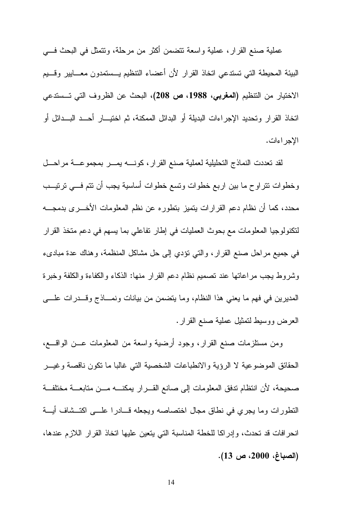عملية صنع القرار، عملية واسعة تتضمن أكثر من مرحلة، وتتمثَّل في البحث فـــي البيئة المحيطة التى تستدعى اتخاذ القرار لأن أعضاء التنظيم يـــستمدون معــــابيير وقـــيم الاختيار من التنظيم (المغربي، 1988، ص 208)، البحث عن الظروف التي تــستدعى اتخاذ القرار وتحديد الإجراءات البديلة أو البدائل الممكنة، ثم اختيـــار أحـــد البـــدائل أو الإجر اءات.

لقد تعددت النماذج التحليلية لعملية صنع القرار ، كونــــه يمـــر بمجموعـــة مراحـــل وخطوات نتراوح ما بين اربع خطوات ونسع خطوات أساسية يجب أن نتم فـــي ترتيـــب محدد، كما أن نظام دعم القرارات يتميز بتطوره عن نظم المعلومات الأخــــرى بدمجــــه لتكنولوجيا المعلومات مع بحوث العمليات في إطار نفاعلي بما يسهم في دعم متخذ القرار في جميع مراحل صنع القرار ، والتي نؤدي إلى حل مشاكل المنظمة، وهناك عدة مبادىء وشروط يجب مراعاتها عند نصميم نظام دعم القرار منها: الذكاء والكفاءة والكلفة وخبرة المديرين في فهم ما يعني هذا النظام، وما يتضمن من بيانات ونمـــاذج وقـــدرات علــــي العرض ووسيط لتمثيل عملية صنع القرار.

ومن مستلزمات صنع القرار، وجود أرضية واسعة من المعلومات عـــن الواقــــع، الحقائق الموضوعية لا الرؤية والانطباعات الشخصية التي غالبا ما نكون ناقصة وغيــر صحيحة، لأن انتظام تدفق المعلومات إلى صانع القـــرار يمكنــــه مـــن متابعــــة مختلفـــة التطورات وما يجري في نطاق مجال اختصاصه ويجعله فسادرا علسى اكتــشاف أيـــة انحرافات قد تحدث، وإدراكا للخطة المناسبة التي يتعين عليها اتخاذ القرار اللازم عندها، (الصباغ، 2000، ص 13).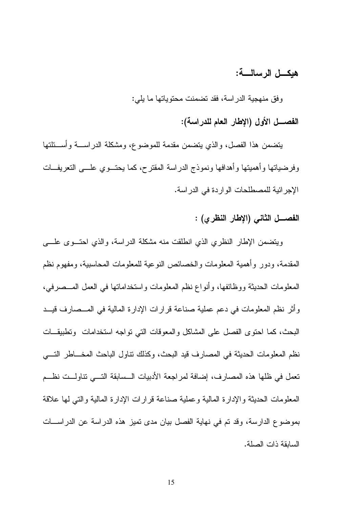#### هبكـــل الرسالــــة:

وفق منهجية الدراسة، فقد تضمنت محتوياتها ما يلي:

الفصــــل الأول (الإطار الـعام للدراسة):

يتضمن هذا الفصل، والذي يتضمن مقدمة للموضوع، ومشكلة الدراســـة وأســـئلتها وفرضياتها وأهميتها وأهدافها ونموذج الدراسة المقترح، كما يحتـــوى علــــي التعريفـــات الإجر ائية للمصطلحات الو ار دة في الدر اسة.

الفصــــل الثانــى (الإطار النظر ي) :

ويتضمن الإطار النظري الذي انطلقت منه مشكلة الدراسة، والذي احتسوى علسى المقدمة، ودور وأهمية المعلومات والخصائص النوعية للمعلومات المحاسبية، ومفهوم نظم المعلومات الحديثة ووظائفها، وأنواع نظم المعلومات واستخداماتها في العمل المـــصرفي، وأثر نظم المعلومات في دعم عملية صناعة قرارات الإدارة المالية في المــصارف قيــد البحث، كما احتوى الفصل على المشاكل والمعوقات التي نواجه استخدامات ونطبيقــات نظم المعلومات الحديثة في المصارف قيد البحث، وكذلك نتاول الباحث المخـــاطر التـــي تعمل في ظلها هذه المصارف، إضافة لمراجعة الأدبيات السسابقة التسي نتاولت نظــم المعلومات الحديثة والإدار ة المالية وعملية صناعة قر ار ات الإدار ة المالية والتي لمها علاقة بموضوع الدارسة، وقد تم في نهاية الفصل بيان مدى تميز هذه الدراسة عن الدراســـات السابقة ذات الصلة.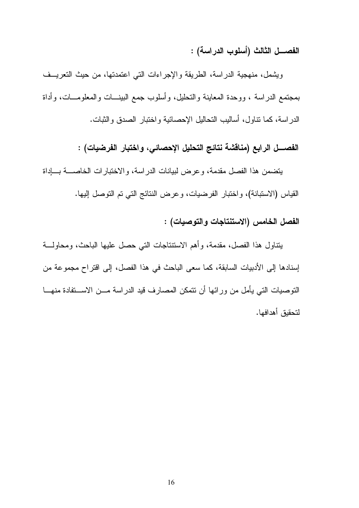الفصــــل الثالث (أسلوب الدراسـة) :

ويشمل، منهجية الدراسة، الطريقة والإجراءات التبي اعتمدتها، من حيث التعريــف بمجتمع الدراسة ، ووحدة المعاينة والتحليل، وأسلوب جمع البينـــات والمعلومـــات، وأداة الدراسة، كما نتاول، أساليب التحاليل الإحصائية واختبار الصدق والثبات.

#### الفصــــل الرابـع (مناقشة نتائـج التحليل الإحصائـي، واختبار الفرضيات) :

يتضمن هذا الفصل مقدمة، وعرض لبيانات الدراسة، والاختبارات الخاصـــة بـــإداة القياس (الاستبانة)، و اختبار الفرضيات، و عرض النتائج التي تم التوصل إليها.

#### الفصل الخامس (الاستنتاجات والتوصيات) :

يتناول هذا الفصل، مقدمة، وأهم الاستنتاجات التبي حصل عليها الباحث، ومحاولـــة إسنادها إلى الأدبيات السابقة، كما سعى الباحث في هذا الفصل، إلى افتراح مجموعة من التوصيات التي يأمل من ورائها أن نتمكن المصارف قيد الدراسة مـــن الاســـتفادة منهـــا لتحقبق أهدافها.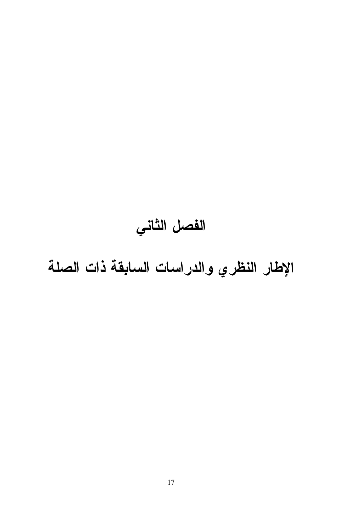# الفصل الثاني

الإطار النظري والدراسات السابقة ذات الصلة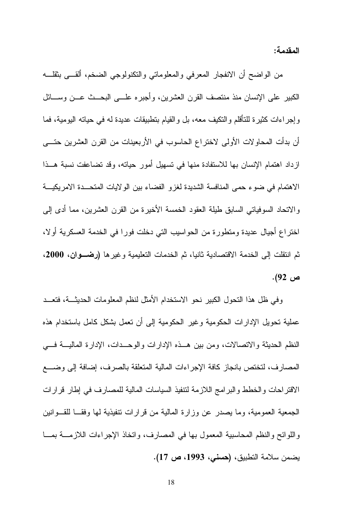المقدمة:

من الواضح أن الانفجار المعرفي والمعلوماتي والنكنولوجي الضخم، ألقـــي بثقلـــه الكبير على الإنسان منذ منتصف القرن العشرين، وأجبره علـــي البحـــث عـــن وســــائل وإجراءات كثيرة للنأقلم والنكيف معه، بل والقيام بنطبيقات عديدة له في حيانه اليومية، فما أن بدأت المحاو لات الأولى لاختراع الحاسوب في الأربعينات من القرن العشرين حتـــي ازداد اهتمام الإنسان بها للاستفادة منها في تسهيل أمور حياته، وقد تضاعفت نسبة هــذا الاهتمام في ضوء حمى المنافسة الشديدة لغزو الفضاء بين الولايات المتحــدة الامريكيـــة والاتحاد السوفياتي السابق طبلة العقود الخمسة الأخيرة من القرن العشرين، مما أدى إلى اختراع أجيال عديدة ومتطورة من الحواسيب التي دخلت فورا في الخدمة العسكرية أولا، ثم انتقلت إلى الخدمة الاقتصادية ثانيا، ثم الخدمات التعليمية وغيرها (رضـوان، 2000، ص 92).

وفي ظل هذا التحول الكبير نحو الاستخدام الأمثل لنظم المعلومات الحديثـــة، فتعـــد عملية تحويل الإدارات الحكومية وغير الحكومية إلى أن تعمل بشكل كامل باستخدام هذه النظم الحديثة والاتصالات، ومن بين هـذه الإدارات والوحـدات، الإدارة الماليـــة فـــي المصارف، لتختص بانجاز كافة الإجراءات المالية المتعلقة بالصرف، إضافة إلى وضـــع الاقتراحات والخطط والبرامج اللازمة لتتفيذ السياسات المالية للمصارف في إطار قرارات الجمعية العمومية، وما يصدر عن وزارة المالية من قرارات تنفيذية لمها وفقــا للقـــوانين واللوائح والنظم المحاسبية المعمول بها في المصارف، واتخاذ الإجراءات اللازمــــة بمـــا يضمن سلامة التطبيق، (حسنى، 1993، ص 17).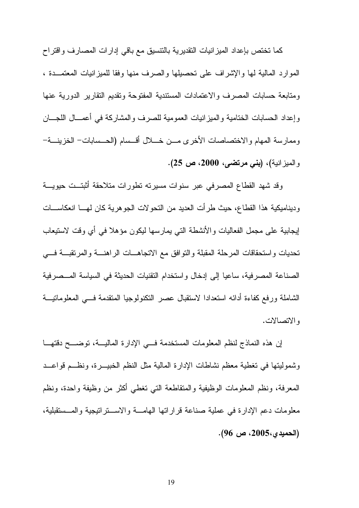كما تختص بإعداد الميزانيات النقديرية بالنتسيق مع باقي إدارات المصارف واقتراح الموارد المالية لمها والإشراف على تحصيلها والصرف منها وفقا للميزانيات المعتمــدة ، ومتابعة حسابات المصرف والاعتمادات المستندية المفتوحة وتقديم النقارير الدورية عنها وإعداد الحسابات الختامية والمبز انيات العمومية للصرف والمشاركة في أعمـــال اللجـــان وممارسة المهام والاختصاصات الأخرى مــن خـــلل أقــسام (الحــسابات– الخزينـــة– والمعيز انبة)، (بني مرتضى، 2000، ص 25).

وقد شهد القطاع المصرفي عبر سنوات مسيرته نطورات متلاحقة أثبتــت حيويـــة وديناميكية هذا القطاع، حيث طرأت العديد من النحو لات الجو هرية كان لهـــا انعكاســـات لِيجابِية على مجمل الفعاليات والأنشطة التي يمارسها ليكون مؤهلا في أي وقت لاستيعاب تحديات واستحقاقات المرحلة المقبلة والنوافق مع الانجاهــات الراهنـــة والمرتقبـــة فــــى الصناعة المصرفية، ساعيا إلى إدخال واستخدام النقنيات الحديثة في السياسة المــصرفية الشاملة ورفع كفاءة أدائه استعدادا لاستقبال عصر التكنولوجيا المنقدمة فسي المعلوماتيـــة والاتصالات.

إن هذه النماذج لنظم المعلومات المستخدمة فسي الإدارة الماليسة، توضسح دقتهــا وشموليتها في تغطية معظم نشاطات الإدارة المالية مثل النظم الخبيــــرة، ونظـــم قواعـــد المعرفة، ونظم المعلومات الوظيفية والمتقاطعة التي تغطي أكثر من وظيفة واحدة، ونظم معلومات دعم الإدارة في عملية صناعة قراراتها الهامسة والاسستراتيجية والمسستقبلية، (الحميدي،2005، ص 96).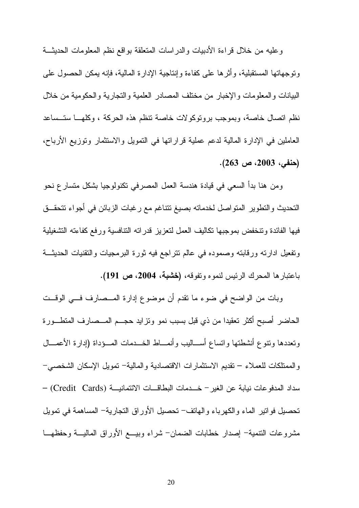وعليه من خلال قراءة الأدبيات والدراسات المتعلقة بواقع نظم المعلومات الحديثة ونوجهاتها المستقبلية، وأثَّرها على كفاءة وإنتاجية الإدارة المالية، فإنه يمكن الحصول على البيانات والمعلومات والإخبار من مختلف المصادر العلمية والتجارية والحكومية من خلال نظم اتصال خاصة، وبموجب برونوكولات خاصة نتظم هذه الحركة ، وكلهـــا ستــساعد العاملين في الإدارة المالية لدعم عملية قراراتها في النمويل والاستثمار وتوزيع الأرباح،  $(263 \nightharpoonup 2003)$  ص(263).

ومن هنا بدأ السعي في قيادة هندسة العمل المصرفي نكنولوجيا بشكل منسارع نحو التحديث والتطوير المتواصل لخدماته بصيغ نتتاغم مع رغبات الزبائن في أجواء نتحقــق فيها الفائدة وتنخفض بموجبها نكاليف العمل لتعزيز قدراته التنافسية ورفع كفاءته التشغيلية وتفعيل ادارته ورقابته وصموده في عالم نتراجع فيه ثورة البرمجيات والتقنيات الحديثة باعتبارها المحرك الرئيس لنموه ونفوقه، (خشبة، 2004، ص 191).

وبات من الواضح في ضوء ما نقدم أن موضوع إدارة المـــصارف فـــي الوقـــت الحاضر أصبح أكثر تعقيدا من ذي قبل بسبب نمو ونز ايد حجـــم المـــصـارف المتطـــورة وتعددها ونتوع أنشطتها وانساع أســـاليب وأنمــــاط الخـــدمات المـــؤداة (إدارة الأعمــــال و الممتلكات للعملاء – تقديم الاستثمار ات الاقتصادية و المالية– تمويل الإسكان الشخصبي– سداد المدفو عات نيابة عن الغير – خـــدمات البطاقـــات الائتمانيـــة (Credit Cards) – تحصيل فواتير الماء والكهرباء والهاتف– تحصيل الأوراق النجارية– المساهمة في تمويل مشروعات النتمية– إصدار خطابات الضمان– شراء وبيسع الأوراق الماليسة وحفظهــا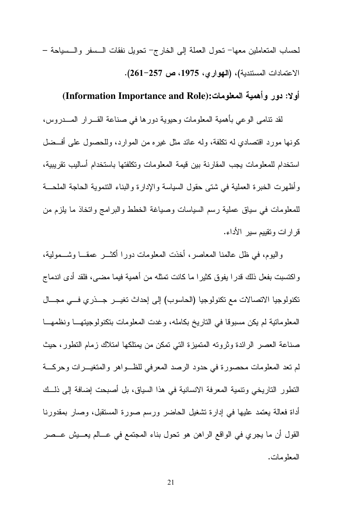لحساب المتعاملين معها– تحول العملة إلى الخارج– تحويل نفقات السسفر والسسياحة – الاعتمادات المستندية)، (الهوارى، 1975، ص 257-261).

#### أولا: دور وأهمية المعلومات:(Information Importance and Role)

لقد نتامي الوعي بأهمية المعلومات وحيوية دورها في صناعة القـــرار المــــدروس، كونها مورد اقتصادي له تكلفة، وله عائد مثل غير ه من الموارد، وللحصول على أفسضل استخدام للمعلومات يجب المقارنة بين قيمة المعلومات وتكلفتها باستخدام أساليب تقريبية، و أظهر ت الخبر ة العملية في شتى حقول السياسة و الإدار ة و البناء التتموية الحاجة الملحـــة للمعلومات في سياق عملية رسم السياسات وصياغة الخطط والبرامج وانخاذ ما يلزم من قرارات وتقييم سير الأداء.

والبوم، في ظل عالمنا المعاصر، أخذت المعلومات دورا أكثـــر عمقـــا وشـــمولية، واكتسبت بفعل ذلك قدرًا يفوق كثيرًا ما كانت تمثله من أهمية فيما مضيي، فلقد أدى اندماج تكنولوجيا الاتصالات مع تكنولوجيا (الحاسوب) إلى إحداث تغيـــر جـــذري فـــي مجـــال المعلوماتية لم يكن مسبوقا في التاريخ بكامله، وغدت المعلومات بتكنولوجيتهــا ونظمهـــا صناعة العصر الرائدة وثروته المتميزة التي تمكن من يمتلكها امتلاك زمام التطور، حيث لم تعد المعلومات محصورة في حدود الرصد المعرفي للظــواهر والمتغيــرات وحركـــة النطور الناريخي ونتمية المعرفة الانسانية في هذا السياق، بل أصبحت إضافة إلى ذلــك أداة فعالة يعتمد عليها في إدارة نشغيل الحاضر ورسم صورة المستقبل، وصار بمقدورنا القول أن ما يجري في الواقع الراهن هو تحول بناء المجتمع في عـــالم يعـــيش عـــصر المعلو مات.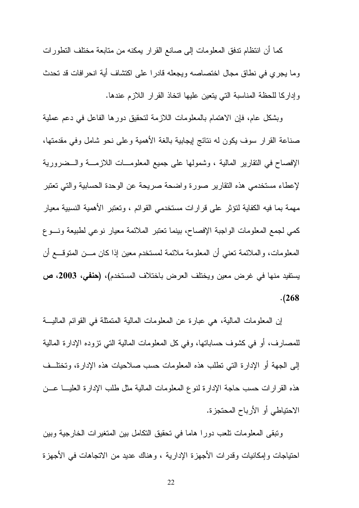كما أن انتظام ندفق المعلومات إلى صانع القرار يمكنه من متابعة مختلف النطورات وما يجري في نطاق مجال اختصاصه ويجعله قادرا على اكتشاف أية انحرافات قد تحدث وإداركا للحظة المناسبة التى يتعين عليها انخاذ القرار اللازم عندها.

وبشكل عام، فإن الاهتمام بالمعلومات اللازمة لتحقيق دورها الفاعل في دعم عملية صناعة القرار سوف يكون له نتائج إيجابية بالغة الأهمية وعلىي نحو شامل وفي مقدمتها، الإفصاح في النقارير المالية ، وشمولها على جميع المعلومـــات اللازمــــة والـــضرورية لإعطاء مستخدمي هذه النقارير صورة واضحة صريحة عن الوحدة الحسابية والتي تعتبر مهمة بما فيه الكفاية لتؤثر على قرارات مستخدمي القوائم ، وتعتبر الأهمية النسبية معيار كمي لجمع المعلومات الواجبة الإفصاح، بينما نعتبر الملائمة معيار نوعي لطبيعة ونسوع المعلومات، والملائمة نعني أن المعلومة ملائمة لمستخدم معين إذا كان مـــن المتوقــــع أن يستفيد منها في غرض معين ويختلف العرض باختلاف المستخدم)، (حنفي، 2003، ص  $. (268)$ 

إن المعلومات المالية، هي عبارة عن المعلومات المالية المتمثلة في القوائم المالية للمصارف، أو في كشوف حساباتها، وفي كل المعلومات المالية التي نزوده الإدارة المالية إلى الجهة أو الإدارة التي نطلب هذه المعلومات حسب صلاحيات هذه الإدارة، وتختلــف هذه القرارات حسب حاجة الإدارة لنوع المعلومات المالية مثل طلب الإدارة العليسا عسن الاحتياطي أو الأرباح المحتجزة.

ونبقى المعلومات نلعب دورا هاما في نحقيق النكامل بين المنغيرات الخارجية وبين احتياجات وإمكانيات وقدرات الأجهزة الإدارية ، وهناك عديد من الاتجاهات في الأجهزة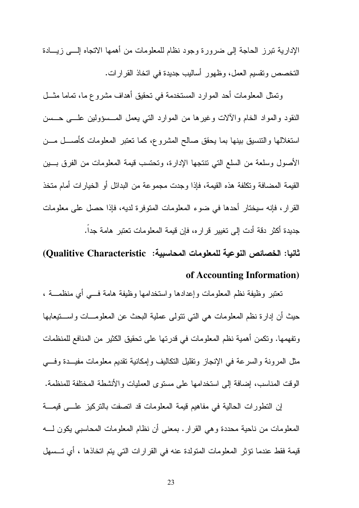الإدارية نبرز الحاجة إلى ضرورة وجود نظام للمعلومات من أهمها الاتجاه إلـــي زيــــادة التخصص وتقسيم العمل، وظهور أساليب جديدة في اتخاذ القرارات.

وتمثَّل المعلومات أحد الموارد المستخدمة في نحقيق أهداف مشروع ما، تماما مثـــل النقود والمواد الخام والألات وغيرها من الموارد التبي يعمل المـــسؤولين علــــي حـــسن استغلالها والتتسيق بينها بما يحقق صالح المشروع، كما تعتبر المعلومات كأصــــل مـــن الأصول وسلعة من السلع التي تنتجها الإدارة، وتحتسب قيمة المعلومات من الفرق بسين القيمة المضافة و تكلفة هذه القيمة، فإذا وجدت مجمو عة من البدائل أو الخيار ات أمام متخذ القر ار ، فإنه سيختار أحدها في ضو ء المعلومات المتوفر ة لديه، فإذا حصل على معلومات جديدة أكثر دقة أدت إلى تغيير قرار ه، فإن قيمة المعلومات تعتبر هامة جداً.

# ثانيا: الخصائص النوعية للمعلومات المحاسبية: Oualitive Characteristic) of Accounting Information)

تعتبر وظيفة نظم المعلومات وإعدادها واستخدامها وظيفة هامة فسي أي منظمــــة ، حيث أن إدار ة نظم المعلومات هي التي نتولى عملية البحث عن المعلومـــات واســـتيعابها وتفهمها. وتكمن أهمية نظم المعلومات في قدرتها على تحقيق الكثير من المنافع للمنظمات مثل المرونة والسرعة في الإنجاز ونقليل النكاليف وإمكانية نقديم معلومات مفيــدة وفـــي الوقت المناسب، إضافة إلى استخدامها على مستوى العمليات والأنشطة المختلفة للمنظمة.

إن التطورات الحالية في مفاهيم قيمة المعلومات قد اتصفت بالتركيز علمي قيمة المعلومات من ناحية محددة وهي القرار . بمعنى أن نظام المعلومات المحاسبي يكون لــــه قيمة فقط عندما نؤثر المعلومات المتولدة عنه في القرارات التي يتم اتخاذها ، أي تـــسهل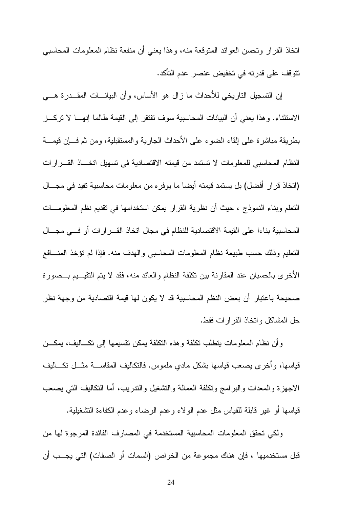اتخاذ القرار وتحسن العوائد المتوقعة منه، وهذا يعني أن منفعة نظام المعلومات المحاسبي تتوقف على قدرته في تخفيض عنصر عدم التأكد.

إن التسجيل التاريخي للأحداث ما زال هو الأساس، وأن البيانـــات المقـــدرة هــــي الاستثناء. وهذا يعني أن البيانات المحاسبية سوف تفتقر إلى القيمة طالما إنهـــا لا نركـــز بطريقة مباشرة على القاء الضوء على الأحداث الجارية والمستقبلية، ومن ثم فسان قيمسة النظام المحاسبي للمعلومات لا تستمد من قيمته الاقتصادية في تسهيل اتخـــاذ القـــرارات (اتخاذ قرار أفضل) بل يستمد قيمته أيضا ما يوفره من معلومات محاسبية تفيد في مجـــال النعلم وبناء النموذج ، حيث أن نظرية القرار يمكن استخدامها في نقديم نظم المعلومـــات المحاسبية بناءا على القيمة الاقتصادية للنظام في مجال اتخاذ القـــرارات أو فـــي مجـــال النعليم وذلك حسب طبيعة نظام المعلومات المحاسبي والهدف منه. فإذا لم نؤخذ المنسافع الأخرى بالحسبان عند المقارنة بين نكلفة النظام والعائد منه، فقد لا يتم التقيـــيم بـــصورة صحيحة باعتبار أن بعض النظم المحاسبية قد لا يكون لها قيمة اقتصادية من وجهة نظر حل المشاكل وانخاذ القرارات فقط.

وأن نظام المعلومات بنطلب نكلفة وهذه النكلفة بمكن نقسيمها إلىي نكساليف، بمكـــن قياسها، وأخرى يصعب قياسها بشكل مادي ملموس. فالنكاليف المقاســــة مثـــل نكــــاليف الاجهزة والمعدات والبرامج ونكلفة العمالة والتشغيل والندريب، أما النكاليف التي يصعب قياسها أو غير قابلة للقياس مثل عدم الولاء وعدم الرضاء وعدم الكفاءة النشغيلية.

ولكي تحقق المعلومات المحاسبية المستخدمة في المصارف الفائدة المرجوة لها من قبل مستخدميها ، فإن هناك مجموعة من الخواص (السمات أو الصفات) التي يجـــب أن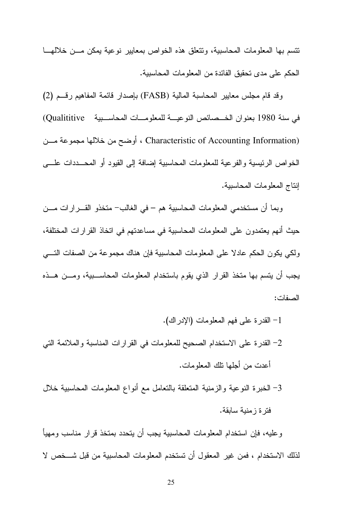نتسم بها المعلومات المحاسبية، ونتعلق هذه الخواص بمعايير نوعية بمكن مـــن خلالهـــا الحكم على مدى تحقيق الفائدة من المعلومات المحاسبية.

وقد قام مجلس معايير المحاسبة المالية (FASB) بإصدار قائمة المفاهيم رقسم (2) في سنة 1980 بعنوان الخـصائص النوعيــة للمعلومــات المحاســبية Qualititive) (Characteristic of Accounting Information ، أوضح من خلالها مجموعة مسن الخواص الرئيسية والفرعية للمعلومات المحاسبية إضافة إلى القيود أو المحـــددات علــــي إنتاج المعلومات المحاسببة.

وبما أن مستخدمي المعلومات المحاسبية هم – في الغالب– متخذو القـــرارات مـــن حيث أنهم يعتمدون على المعلومات المحاسبية في مساعدتهم في اتخاذ القرارات المختلفة، ولكي يكون الحكم عادلا على المعلومات المحاسبية فإن هناك مجموعة من الصفات التسي يجب أن يتسم بها متخذ القرار الذي يقوم باستخدام المعلومات المحاسـبية، ومـــن هــذه الصفات:

1– القدرة على فهم المعلومات (الإدراك). 2– القدرة على الاستخدام الصحيح للمعلومات في القرارات المناسبة والملائمة التي أعدت من أجلها تلك المعلومات. 3– الخبرة النوعية والزمنية المتعلقة بالتعامل مع أنواع المعلومات المحاسبية خلال فتر ۃ ز منبة سابقة.

وعليه، فإن استخدام المعلومات المحاسبية يجب أن يتحدد بمتخذ قرار مناسب ومهيأ لذلك الاستخدام ، فمن غير المعقول أن تستخدم المعلومات المحاسبية من قبل شـــخص لا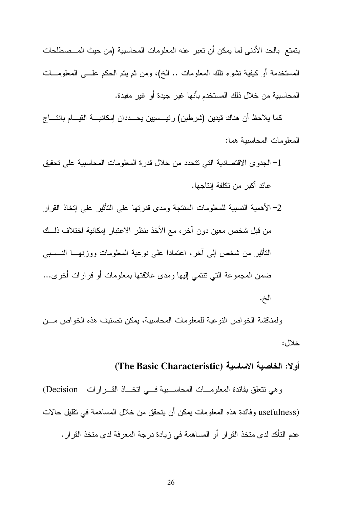يتمتع بالحد الأدنى لما يمكن أن تعبر عنه المعلومات المحاسبية (من حيث المــصطلحات المستخدمة أو كيفية نشوء نلك المعلومات .. الـخ)، ومن ثم يتم الـحكم علـــي المعلومــــات المحاسبية من خلال ذلك المستخدم بأنها غير جيدة أو غير مفيدة.

كما يلاحظ أن هناك فيدين (شرطين) رئيـــسيين يحـــددان إمكانيــــة القيــــام بانتــــاج المعلومات المحاسبية هما:

- 1– الجدوى الاقتصادية التي تتحدد من خلال قدرة المعلومات المحاسبية على تحقيق عائد أكبر ًمن تكلفة إنتاجها.
- 2–الأهمية النسبية للمعلومات المنتجة ومدى قدرتها على التأثير على إتخاذ القرار من قبل شخص معين دون آخر ، مع الأخذ بنظر الاعتبار إمكانية اختلاف ذلـــك التأثير من شخص إلى أخر، اعتمادا على نوعية المعلومات ووزنهـــا النـــسببي ضمن المجموعة التي نتتمي إليها ومدى علاقتها بمعلومات أو قرارات أخرى... الخ.

ولمناقشة الخواص النو عية للمعلومات المحاسبية، يمكن تصنيف هذه الخواص مـــن خلال:

# أولا: الخاصبة الاساسبة (The Basic Characteristic)

وهي نتعلق بفائدة المعلومــات المحاســبية فـــي اتخــاذ القـــرارات Decision) usefulness) و فائدة هذه المعلومات يمكن أن يتحقق من خلال المساهمة في تقليل حالات عدم التأكد لدى متخذ القرار أو المساهمة في زيادة درجة المعرفة لدى متخذ القرار .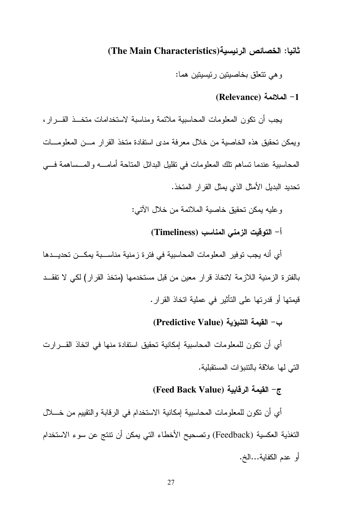### ثانيا: الخصائص الرئيسية(The Main Characteristics)

وهي نتعلق بخاصيتين رئيسيتين هما:

#### (Relevance) الملائمة (Relevance)

يجب أن نكون المعلومات المحاسبية ملائمة ومناسبة لاستخدامات متخــذ القـــرار ، ويمكن تحقيق هذه الخاصية من خلال معرفة مدى استفادة متخذ القرار مسن المعلومسات المحاسبية عندما نساهم نلك المعلومات في نقليل البدائل المتاحة أمامــــه والمـــساهمة فـــي تحديد البديل الأمثل الذي يمثل القر ار المتخذ.

و عليه بمكن تحقيق خاصية الملائمة من خلال الآتي:

أ– التوفّيت الزمني المناسب (Timeliness)

أي أنه يجب توفير المعلومات المحاسبية في فترة زمنية مناســـبة يمكـــن تحديـــدها بالفترة الزمنية اللازمة لاتخاذ قرار معين من قبل مستخدمها (متخذ القرار) لكي لا تفقــد قيمتها أو قدرتها على التأثير في عملية اتخاذ القرار .

# ب- القيمة التنبؤية (Predictive Value)

أي أن تكون للمعلومات المحاسبية إمكانية تحقيق استفادة منها في اتخاذ القـــرارت التي لها علاقة بالنتبوات المستقبلية.

# 7- القيمة الرقابية (Feed Back Value)

أي أن نكون للمعلومات المحاسبية إمكانية الاستخدام في الرقابة والتقييم من خــــلال التغذية العكسية (Feedback) وتصحيح الأخطاء التي يمكن أن نتتج عن سوء الاستخدام أو عدم الكفاية...الخ.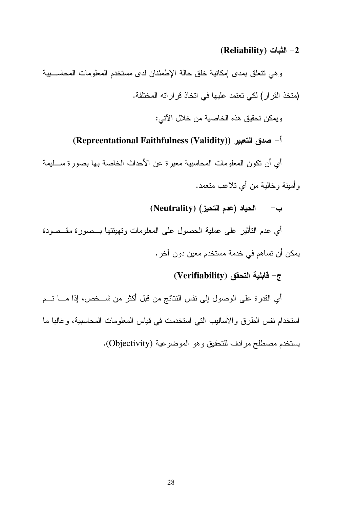#### (Reliability) ⊔لثبات (CReliability

وهي نتعلق بمدى إمكانية خلق حالة الإطمئنان لدى مستخدم المعلومات المحاسبية (متخذ القرار) لكي تعتمد عليها في اتخاذ قراراته المختلفة. ويمكن تحقيق هذه الخاصية من خلال الآتي:

# أ- صدق التعبير (Repreentational Faithfulness (Validity))

أي أن تكون المعلومات المحاسبية معبرة عن الأحداث الخاصة بها بصورة سـليمة وِ أمينة وخالية من أي نلاعب متعمد.

ب- الحياد (عدم التحيز) (Neutrality)

أي عدم التأثير على عملية الحصول على المعلومات وتهيئتها بـــصورة مقـــصودة يمكن أن تساهم في خدمة مستخدم معين دون آخر .

# ج- فَابِلْية التحقق (Verifiability)

أي القدرة على الوصول إلى نفس النتائج من قبل أكثر من شـــخص، إذا مــــا تـــم استخدام نفس الطرق والأساليب التبي استخدمت في قياس المعلومات المحاسبية، وغالبا ما يستخدم مصطلح مرادف للتحقيق وهو الموضوعية (Objectivity).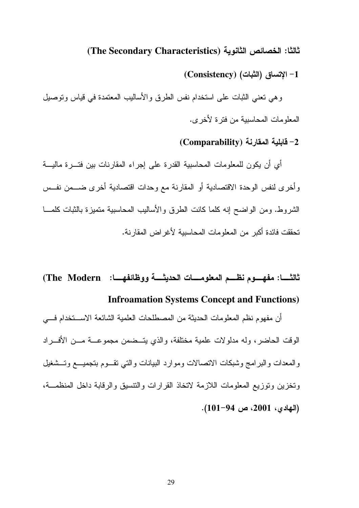ثالثا: الخصائص الثانوية (The Secondary Characteristics)

1− الإتساق (الثبات) (Consistency)

وهي نعني الثبات على استخدام نفس الطرق والأساليب المعتمدة في قياس ونوصيل المعلومات المحاسبية من فترة لأخرى.

(Comparability) قابلية المقارنة (Comparability

أي أن يكون للمعلومات المحاسبية القدرة على إجراء المقارنات بين فتـــرة ماليــــة وأخرى لنفس الوحدة الاقتصادية أو المقارنة مع وحدات اقتصادية أخرى ضـــمن نفــس الشروط. ومن الواضح إنه كلما كانت الطرق والأساليب المحاسبية متميزة بالثبات كلمـــا تحققت فائدة أكبر ٍ من المعلومات المحاسبية لأغر اض المقار نة.

ثالثـــــا: مفهــــوم نظــــم المعلومـــــات الحديثــــة ووظائفهـــــا: The Modern) **Infroamation Systems Concept and Functions)** 

أن مفهوم نظم المعلومات الحديثة من المصطلحات العلمية الشائعة الاســـتخدام فــــى الوقت الحاضر ، وله مدلو لات علمية مختلفة، والذي يتــضمن مجموعـــة مـــن الأفـــر اد والمعدات والبر امج وشبكات الاتصالات وموارد البيانات والتبي تقسوم بتجميسع وتسشغيل وتخزين وتوزيع المعلومات اللازمة لاتخاذ القرارات والتنسبق والرقابة داخل المنظمـــة، (المهادى، 2001، ص 94-101).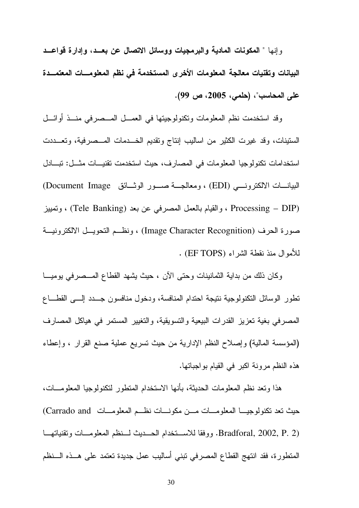وإنها " المكونات المادية والبرمجيات ووسائل الاتصال عن بعــد، وإدارة قواعــد البيانات وتقنيات معالجة المعلومات الأخرى المستخدمة فى نظم المعلومـــات المعتمـــدة على المحاسب"، (حلمي، 2005، ص 99).

وقد استخدمت نظم المعلومات وتكنولوجيتها في العمـــل المـــصرفي منـــذ أوائـــل الستينات، وقد غيرت الكثير من اساليب إنتاج وتقديم الخـــدمات المـــصرفية، وتعـــددت استخدامات تكنولوجيا المعلومات في المصارف، حيث استخدمت تقنيسات مثـــل: تبــــادل البيانــــات الالكترونــــي (EDI) ، ومعالجــــة صــــور الوثــــائق Document Image) Processing – DIP) ، والقيام بالعمل المصرفي عن بعد (Tele Banking) ، وتمييز صورة الحرف (Image Character Recognition) ، ونظـم التحويــل الالكترونيــة للأموال منذ نقطة الشراء (EF TOPS) .

وكان ذلك من بداية الثمانينات وحتى الآن ، حيث يشهد القطاع المــصرفي يوميــا نطور الوسائل النكنولوجية نتيجة احتدام المنافسة، ودخول منافسون جسدد إلسي القطاع المصرفي بغية نعزيز القدرات البيعية والتسويقية، والتغيير المستمر في هياكل المصارف (المؤسسة المالية) وإصلاح النظم الإدارية من حيث تسريع عملية صنع القرار ، وإعطاء هذه النظم مر ونة اكبر في القيام بو اجباتها.

هذا وتعد نظم المعلومات الحديثة، بأنها الاستخدام المتطور لتكنولوجيا المعلومـــات، حيث نعد تكنولوجيـــا المعلومـــات مـــن مكونــــات نظـــم المعلومـــات Carrado and) Bradforal, 2002, P. 2). ووفقا للاستخدام الحسديث لسنظم المعلومسات وتقنياتهما المتطورة، فقد انتهج القطاع المصرفي تبني أساليب عمل جديدة تعتمد على هـــذه الــــنظم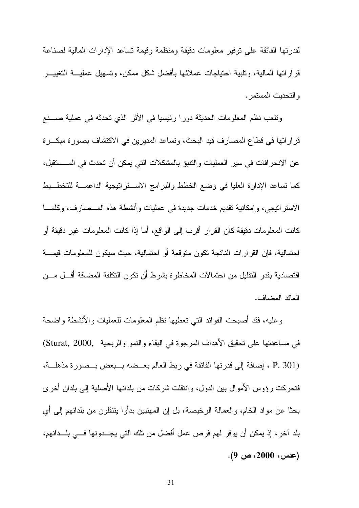لقدرتها الفائقة على توفير معلومات دقيقة ومنظمة وقيمة تساعد الإدارات المالية لصناعة قر ار اتها المالية، وتلبية احتياجات عملائها بأفضل شكل ممكن، وتسهيل عمليــــة التغييــــر و التحديث المستمر .

وتلعب نظم المعلومات الحديثة دورا رئيسيا في الأثر الذي تحدثه في عملية صــــنع قراراتها في قطاع المصارف قيد البحث، وتساعد المديرين في الاكتشاف بصورة مبكـــرة عن الانحر افات في سير العمليات و النتبوَ بـالمشكلات التي يمكن أن تحدث في المـــستقبل، كما تساعد الإدارة العليا في وضع الخطط والبرامج الاستراتيجية الداعمــة للتخطــيط الاسترانيجي، وإمكانية نقديم خدمات جديدة في عمليات وأنشطة هذه المـــصـارف، وكلمـــا كانت المعلومات دقيقة كان القرار أقرب إلى الواقع، أما إذا كانت المعلومات غير دقيقة أو احتمالية، فإن القرارات الناتجة تكون متوقعة أو احتمالية، حيث سيكون للمعلومات قيمــــة اقتصادية بقدر التقليل من احتمالات المخاطرة بشرط أن تكون التكلفة المضافة أقـــل مـــن العائد المضاف.

وعليه، فقد أصبحت الفوائد التبي تعطيها نظم المعلومات للعمليات والأنشطة واضحة في مساعدتها على نحقيق الأهداف المرجوة في البقاء والنمو والربحية ,Sturat, 2000) (P. 301 ، إضافة إلى قدرتها الفائقة في ربط العالم بعــضه بــبعض بــصورة مذهلـــة، فتحركت رؤوس الأموال بين الدول، وانتقلت شركات من بلدانها الأصلية إلى بلدان أخرى بحثًا عن مواد الخام، والعمالة الرخيصة، بل إن المهنيين بدأوا ينتقلون من بلدانهم إلى أي بلد آخر ، إذ يمكن أن يوفر لمم فرص عمل أفضل من نلك التي يجـــدونها فـــي بلـــدانهم، (عدس، 2000، ص 9).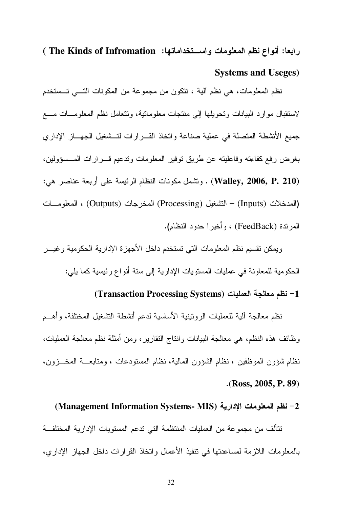رابعا: أنواع نظم المعلومات واستخداماتها: The Kinds of Infromation ) **Systems and Useges)** 

نظم المعلومات، هي نظم ألية ، نتكون من مجموعة من المكونات التـــي تـــستخدم لاستقبال موارد البيانات ونحويلها إلى منتجات معلومانية، وتتعامل نظم المعلومـــات مـــع جميع الأنشطة المتصلة في عملية صناعة واتخاذ القــرارات لتــشغيل الجهـــاز الإداري بغرض رفع كفاءته وفاعليته عن طريق توفير المعلومات وندعيم قسرارات المسسؤولين، (Walley, 2006, P. 210) . وتشمل مكونات النظام الرئيسة على أربعة عناصر هي: (المدخلات (Inputs) – التشغيل (Processing) المخرجات (Outputs) ، المعلومـــات المرتدة (FeedBack) ، وأخبر ا حدود النظام).

ويمكن نقسيم نظم المعلومات التي تستخدم داخل الأجهزة الإدارية الحكومية وغيسر الحكومية للمعاونة في عمليات المستويات الإدارية إلى ستة أنواع رئيسية كما يلي:

### 1- نظم معالجة العمليات (Transaction Processing Systems)

نظم معالجة ألية للعمليات الروتينية الأساسية لدعم أنشطة التشغيل المختلفة، وأهـــم وظائف هذه النظم، هي معالجة البيانات وانتاج النقارير ، ومن أمثلة نظم معالجة العمليات، نظام شؤون الموظفين ، نظام الشؤون المالية، نظام المستودعات ، ومتابعـــة المخـــزون،  $\cdot$ (Ross, 2005, P. 89)

#### (Management Information Systems- MIS) انظم المعلومات الإدارية

تتألف من مجموعة من العمليات المنتظمة التي ندعم المستويات الإدارية المختلفة بالمعلومات اللازمة لمساعدتها في تنفيذ الأعمال واتخاذ القر ار ات داخل الجهاز الإدار ي،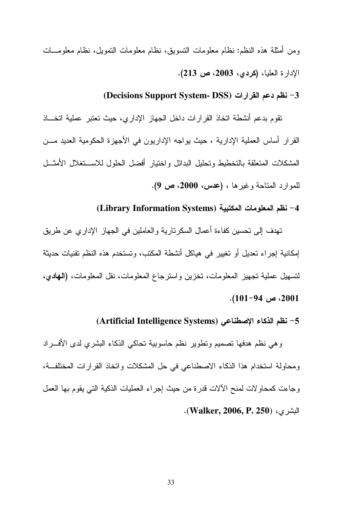ومن أمثلة هذه النظم: نظام معلومات التسويق، نظام معلومات التمويل، نظام معلومـــات الإدارة العليا، (كردي، 2003، ص 213).

### 3– نظم دعم القرارات (Decisions Support System- DSS)

تقوم بدعم أنشطة اتخاذ القرارات داخل الجهاز الإداري، حيث تعتبر عملية اتخاذ القرار أساس العملية الإدارية ، حيث يواجه الإداريون في الأجهزة الحكومية العديد مـــن المشكلات المتعلقة بالتخطيط وتحليل البدائل واختيار أفضل الحلول للاستخلال الأمثسل للموارد المتاحة وغيرها ، (عدس، 2000، ص 9).

# 4– نظم المعلومات المكتبية (Library Information Systems)

تهدف إلى تحسين كفاءة أعمال السكر تارية و العاملين في الجهاز الإدار ي عن طريق إمكانية إجراء تعديل أو تغيير في هياكل أنشطة المكتب، وتستخدم هذه النظم تقنيات حديثة لتسهيل عملية تجهيز المعلومات، تخزين واسترجاع المعلومات، نقل المعلومات، **(الـهادي**،  $. (101-94 \omega. 2001)$ 

# 5- نظم الذكاء الإصطناعي (Artificial Intelligence Systems)

وهي نظم هدفها تصميم وتطوير نظم حاسوبية تحاكي الذكاء البشري لدى الأفسراد ومحاولة استخدام هذا الذكاء الاصطناعي في حل المشكلات واتخاذ القرارات المختلفة، وجاءت كمحاولات لمنح الآلات قدرة من حيث إجراء العمليات الذكية التي يقوم بها العمل البشرى، (Walker, 2006, P. 250).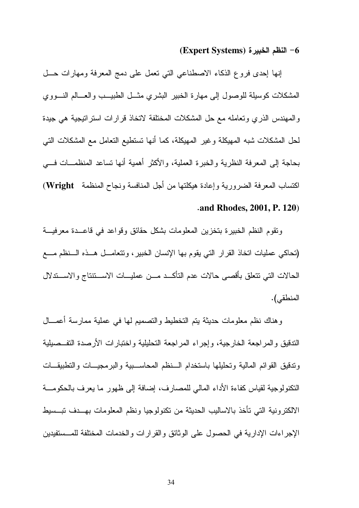#### (Expert Systems) النظم الخبيرة (Expert Systems)

إنها إحدى فروع الذكاء الاصطناعي التبي نعمل علىي دمج المعرفة ومهارات حـــل المشكلات كوسيلة للوصول إلىى مهارة الخبير البشري مثسل الطبيــب والعـــالم النـــووي و المهندس الذر ى و تعامله مع حل المشكلات المختلفة لاتخاذ قر ار ات استر اتيجية هي جيدة لحل المشكلات شبه المهيكلة وغير المهيكلة، كما أنها تستطيع التعامل مع المشكلات التي بحاجة إلى المعرفة النظرية والخبرة العملية، والأكثر أهمية أنها نساعد المنظمــات فـــي اكتساب المعرفة الضرورية وإعادة هيكلتها من أجل المنافسة ونجاح المنظمة Wright)

#### and Rhodes, 2001, P. 120)

ونقوم النظم الخبيرة بتخزين المعلومات بشكل حقائق وقواعد في قاعــدة معرفيـــة (تحاكي عمليات اتخاذ القرار التي يقوم بها الإنسان الخبير ، وتتعامـــل هـــذه الـــنظم مــــع الحالات التبي نتعلق بأقصبي حالات عدم التأكــد مـــن عمليـــات الاســـنتناج والاســـندلال المنطقي).

وهناك نظم معلومات حديثة بتم التخطيط والتصميم لها في عملية ممارسة أعمـــال الندقيق والمراجعة الخارجية، وإجراء المراجعة التحليلية واختبارات الأرصدة التفــصيلية وندقيق القوائم المالية وتحليلها باستخدام السنظم المحاسسبية والبر مجيسات والتطبيقات النكنولوجية لقياس كفاءة الأداء المالي للمصارف، إضافة إلى ظهور ما يعرف بالحكومـــة الالكترونية التي تأخذ بالاساليب الحديثة من تكنولوجيا ونظم المعلومات بهــدف تبــسيط الإجراءات الإدارية في الحصول على الوثائق والقرارات والخدمات المختلفة للمــستفيدين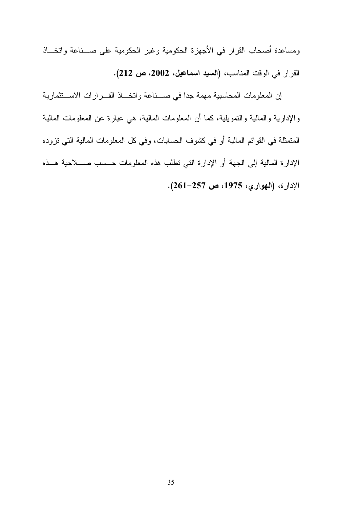ومساعدة أصحاب القرار في الأجهزة الحكومية وغير الحكومية على صــناعة واتخــاذ القرار في الوقت المناسب، (السيد اسماعيل، 2002، ص 212).

إن المعلومات المحاسبية مهمة جدا في صـــناعة واتخـــاذ القـــرارات الاســـتثمارية والإدارية والمالية والنمويلية، كما أن المعلومات المالية، هي عبارة عن المعلومات المالية المتمثلة في القوائم المالية أو في كشوف الحسابات، وفي كل المعلومات المالية التي نزوده الإدارة المالية إلى الجهة أو الإدارة التي نطلب هذه المعلومات حـــسب صـــــلاحية هـــذه الإدارة، (الهواري، 1975، ص 257-261).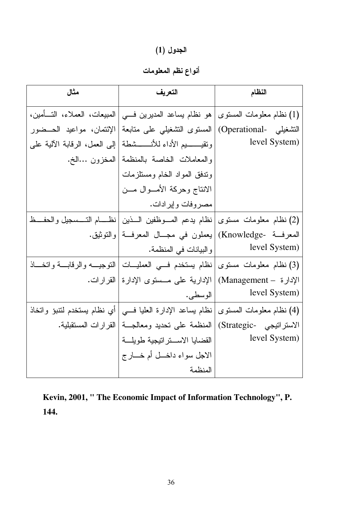الجدول (1)<br>أنواع نظم المعلومات

| مثال                          | التعريف                                                          | النظام                   |
|-------------------------------|------------------------------------------------------------------|--------------------------|
| المبيعات، العملاء، التسأمين،  | (1) نظام معلومات المستوى   هو نظام بساعد المديرين فسي            |                          |
| الإئتمان، مواعيد الحــضور     | التشغيلي -Operational) المستوى التشغيلبي على متابعة              |                          |
| إلى العمل، الرقابة الألية على | ونقيسسيم الأداء للأنسسشطة                                        | level System)            |
| المخزون …الخ.                 | والمعاملات الخاصة بالمنظمة                                       |                          |
|                               | وندفق المواد الخام ومستلزمات                                     |                          |
|                               | الانتاج وحركة الأمـــوال مـــن                                   |                          |
|                               | مصروفات وإيرادات.                                                |                          |
|                               | نظام يدعم المسوظفين السذين  نظسـام التـــــسجيل والـحفــــظ      | (2) نظام معلومات مستوى   |
|                               | المعرفـــة  -Knowledge)  يعملون في مجـــال المعرفـــة  والنوثيق. |                          |
|                               | والبيانات في المنظمة.                                            | level System)            |
|                               | نظام يستخدم فسي العمليسات   النوجيسه والرقابسة واتخساذ           | (3) نظام معلومات مستوى   |
|                               | الإدارية على مـــستوى الإدارة القرارات.                          | الإدارة - Management)    |
|                               | الوسطى.                                                          | level System)            |
| أي نظام يستخدم لتنبؤ واتخاذ   | نظام بساعد الإدارة العليا فسي                                    | (4) نظام معلومات المسنوى |
| القرارات المستقبلية.          | المنظمة على نحديد ومعالجــة                                      | الاستراتيجي -Strategic)  |
|                               | القضايا الاستراتيجية طويلة                                       | level System)            |
|                               | الاجل سواء داخـــل أم خـــــارج                                  |                          |
|                               | المنظمة                                                          |                          |

Kevin, 2001, " The Economic Impact of Information Technology", P. 144.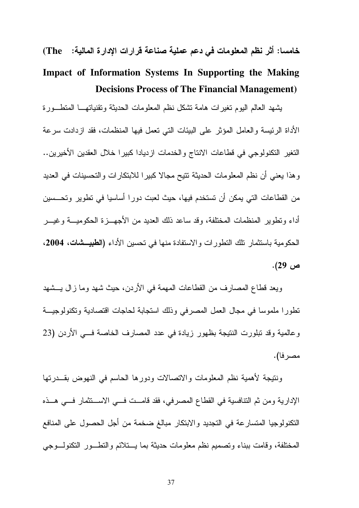خامسا: أثر نظم المعلومات في دعم عملية صناعة قرارات الإدارة المالية: (The Impact of Information Systems In Supporting the Making **Decisions Process of The Financial Management)** 

يشهد العالم اليوم نغير ات هامة نشكل نظم المعلومات الحديثة وتقنياتهــا المتطــورة الأداة الرئيسة والعامل المؤثر على البيئات التي تعمل فيها المنظمات، فقد ازدادت سرعة النغير النكنولوجي في قطاعات الانتاج والخدمات ازديادا كبيرا خلال العقدين الأخيرين.. و هذا يعني أن نظم المعلومات الحديثة تتيح مجالا كبير ا للابتكار ات و التحسينات في العديد من القطاعات التي يمكن أن تستخدم فيها، حيث لعبت دورا أساسيا في تطوير وتحـــسين أداء وتطوير المنظمات المختلفة، وقد ساعد ذلك العديد من الأجهـــز ة الحكوميـــة و غيـــر الحكومية باستثمار تلك التطورات والاستفادة منها في تحسين الأداء **(الطبيـــشات، 2004،** ص 29).

ويعد قطاع المصارف من القطاعات المهمة في الأردن، حيث شهد وما زال يـــشهد نطورا ملموسا في مجال العمل المصرفي وذلك استجابة لحاجات اقتصادية وتكنولوجيــة و عالمية وقد تبلورت النتيجة بظهور زيادة في عدد المصارف الخاصة فـــي الأردن (23 مصر فا).

ونتيجة لأهمية نظم المعلومات والاتصالات ودورها الحاسم فبي النهوض بقـــدرتها الإدارية ومن ثم النتافسية في القطاع المصرفي، فقد قامــت فــي الاســتثمار فـــي هــذه التكنولوجيا المتسارعة في التجديد والابتكار مبالغ ضخمة من أجل الحصول على المنافع المختلفة، وقامت ببناء وتصميم نظم معلومات حديثة بما يستلائم والنطسور النكنولسوجي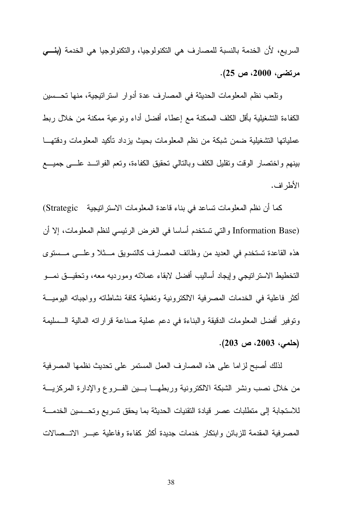السريع، لأن الخدمة بالنسبة للمصارف هي النكنولوجيا، والنكنولوجيا هي الخدمة **(بنـــي** مرتضى، 2000، ص 25).

وتلعب نظم المعلومات الحديثة في المصارف عدة أدوار استراتيجية، منها تحـــسين الكفاءة التشغيلية بأقل الكلف الممكنة مع إعطاء أفضل أداء ونوعية ممكنة من خلال ربط عملياتها التشغيلية ضمن شبكة من نظم المعلومات بحيث بزداد تأكيد المعلومات ودقتهـــا ببنهم واختصار الوقت ونقليل الكلف وبالنالبي نحقيق الكفاءة، ونعم الفوائــد علـــي جميــــع الأطر اف.

كما أن نظم المعلومات تساعد في بناء قاعدة المعلومات الاستراتيجية \_ Strategic) (Information Base والتبي تستخدم أساسا في الغرض الرئيسي لنظم المعلومات، إلا أن هذه القاعدة تستخدم في العديد من وظائف المصارف كالتسويق مـــثلا وعلـــي مـــستوى التخطيط الاستر انبجى وإيجاد أساليب أفضل لابقاء عملائه ومورديه معه، وتحقيــق نمـــو أكثر فاعلية في الخدمات المصرفية الالكترونية وتغطية كافة نشاطاته وواجباته اليوميـــة وتوفير أفضل المعلومات الدقيقة والبناءة في دعم عملية صناعة قراراته المالية الــسليمة  $(203 \nightharpoonup 2003)$ (حلمي، 2003).

لذلك أصبح لزاما على هذه المصارف العمل المستمر على تحديث نظمها المصرفية من خلال نصب ونشر الشبكة الالكترونية وربطهـــا بـــين الفـــروع والإدارة المركزيـــة للاستجابة إلى متطلبات عصر فيادة النقنيات الحديثة بما يحقق تسريع وتحسسين الخدمـــة المصرفية المقدمة للزبائن وابتكار خدمات جديدة أكثر كفاءة وفاعلية عبـــر الاتـــصالات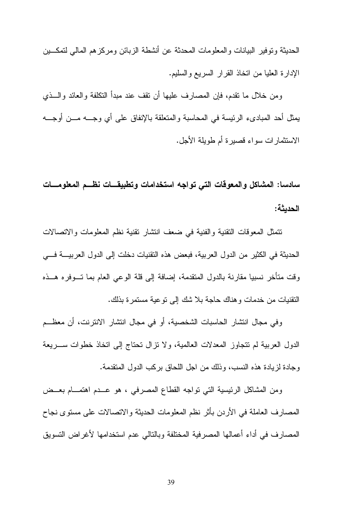الحديثة وتوفير البيانات والمعلومات المحدثة عن أنشطة الزبائن ومركزهم المالي لتمكـــين الإدارة العليا من اتخاذ القرار السريع والسليم.

ومن خلال ما نقدم، فإن المصارف عليها أن نقف عند مبدأ النكلفة والعائد والسذي يمثل أحد المبادىء الرئيسة في المحاسبة والمتعلقة بالإنفاق على أي وجـــه مـــن أوجـــه الاستثمارات سواء قصيرة أم طويلة الأجل.

سادسا: المشاكل والمعوقات التي تواجه استخدامات وتطبيقـــات نظـــم المعلومـــات الحديثة:

نتمثَّل المعوقات النقنية والفنية في ضعف انتشار نقنية نظم المعلومات والاتصالات الحديثة في الكثير من الدول العربية، فبعض هذه التقنيات دخلت إلى الدول العربيــــة فــــى وقت متأخر نسبيا مقارنة بالدول المتقدمة، إضافة إلى قلة الوعى العام بما تـــوفره هـــذه النقنيات من خدمات وهناك حاجة بلا شك إلى نوعية مستمرة بذلك.

وفي مجال انتشار الحاسبات الشخصية، أو في مجال انتشار الانترنت، أن معظــم الدول العربية لم نتجاوز المعدلات العالمية، ولا نزال نحناج إلى انخاذ خطوات ســـريعة وجادة لزيادة هذه النسب، وذلك من اجل اللحاق بركب الدول المتقدمة.

ومن المشاكل الرئيسية التي نواجه القطاع المصرفي ، هو عــدم اهتمـــام بعــض المصـارف العاملة في الأردن بأثر نظم المعلومات الحديثة والانصـالات علـى مسنوى نجاح المصارف في أداء أعمالها المصرفية المختلفة وبالتالي عدم استخدامها لأغراض التسويق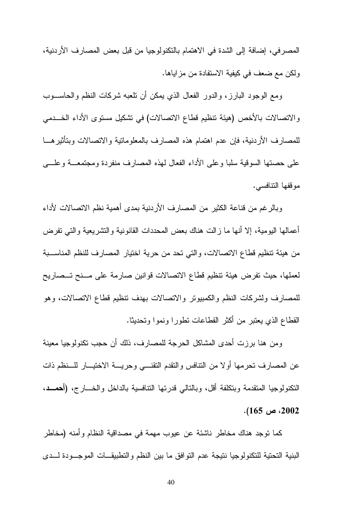المصرفي، إضافة إلى الشدة في الاهتمام بالتكنولوجيا من قبل بعض المصارف الأردنية، ولكن مع ضعف في كيفية الاستفادة من مزاياها.

ومع الوجود البارز، والدور الفعال الذي يمكن أن ناعبه شركات النظم والحاســـوب والاتصالات بالأخص (هيئة نتظيم قطاع الاتصالات) في تشكيل مستوى الأداء الخـــدمي للمصارف الأردنية، فإن عدم اهتمام هذه المصارف بالمعلوماتية والاتصالات وبتأثيرهـــا على حصنها السوقية سلبا وعلى الأداء الفعال لهذه المصارف منفردة ومجتمعـــة وعلــــي مو قفها النتافسي.

وبالرغم من قناعة الكثير من المصارف الأردنية بمدى أهمية نظم الاتصالات لأداء أعمالها البومية، إلا أنها ما زالت هناك بعض المحددات القانونية والنشريعية والتبي نفرض من هيئة تنظيم قطاع الاتصالات، والتي تحد من حرية اختيار المصارف للنظم المناســـبة لعملها، حيث تفرض هيئة تنظيم قطاع الاتصالات قوانين صارمة على مسنح تــصاريح للمصارف ولشركات النظم والكمبيونر والاتصالات بهدف نتظيم قطاع الاتصالات، وهو القطاع الذي يعتبر من أكثر القطاعات نطورا ونموا ونحديثا.

ومن هنا برزت أحدى المشاكل الحرجة للمصارف، ذلك أن حجب نكنولوجيا معينة عن المصارف تحرمها أولا من النتافس والنقدم النقنسي وحريسة الاختيـــار للـــنظم ذات النكنولوجيا المنقدمة وبتكلفة أقل، وبالتالي قدرتها النتافسية بالداخل والخسارج، (أحمسد،  $. (165 \sim 2002)$ 

كما نوجد هناك مخاطر ناشئة عن عيوب مهمة في مصداقية النظام وأمنه (مخاطر البنية التحتية للتكنولوجيا نتيجة عدم التوافق ما بين النظم والتطبيقــات الموجـــودة لـــدى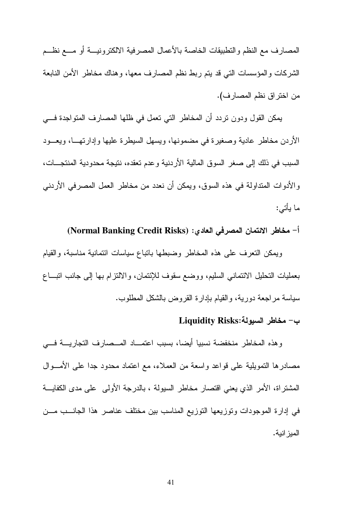المصارف مع النظم والنطبيقات الخاصة بالأعمال المصرفية الالكترونيسة أو مسع نظسم الشركات والمؤسسات التبي قد يتم ربط نظم المصارف معها، وهناك مخاطر الأمن النابعة من اختر اق نظم المصار ف).

يمكن القول ودون نردد أن المخاطر التي نعمل في ظلها المصارف المنواجدة فسي الأردن مخاطر عادية وصغيرة في مضمونها، ويسهل السيطرة عليها وإدارتهــا، ويعـــود السبب في ذلك إلى صغر السوق المالية الأردنية وعدم تعقده، نتيجة محدودية المنتجـــات، والأدوات المتداولة في هذه السوق، ويمكن أن نعدد من مخاطر العمل المصرفي الأردني ما بأتي:

أ– مخاطر الائتمان المصرفي العادي: (Normal Banking Credit Risks)

ويمكن النعرف على هذه المخاطر وضبطها بانباع سياسات ائتمانية مناسبة، والقيام بعمليات التحليل الائتماني السليم، ووضع سقوف للإئتمان، والالتزام بها إلىي جانب اتبـــاع سياسة مراجعة دورية، والقيام بإدارة القروض بالشكل المطلوب.

# ب- مخاطر السيولة:Liquidity Risks

وهذه المخاطر منخفضة نسبيا أيضا، بسبب اعتمــاد المــصارف التجاريـــة فـــى مصادرها النمويلية على قواعد واسعة من العملاء، مع اعتماد محدود جدا على الأمـــوال المشتر اة، الأمر الذي يعني اقتصار مخاطر السيولة ، بالدرجة الأولى على مدى الكفايــــة في إدارة الموجودات وتوزيعها التوزيع المناسب بين مختلف عناصر هذا الجانـــب مـــن الميز انية.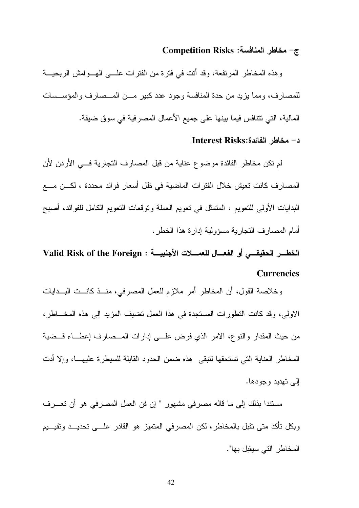#### ج- مخاطر المنافسة: Competition Risks

وهذه المخاطر المرتفعة، وقد أنت في فترة من الفترات علـــي الهـــوامش الربحيـــة للمصارف، ومما يزيد من حدة المنافسة وجود عدد كبير مــن المــصارف والمؤســسات المالية، التي تتنافس فيما بينها على جميع الأعمال المصرفية في سوق ضيقة.

#### د- مخاطر الفائدة:Interest Risks

لم تكن مخاطر الفائدة موضوع عناية من قبل المصارف التجارية فسي الأردن لأن المصارف كانت تعيش خلال الفترات الماضية في ظل أسعار فوائد محددة ، لكـــن مــــع البدايات الأولى للتعويم ، المتمثل في تعويم العملة وتوقعات التعويم الكامل للفوائد، أصبح أمام المصارف النجارية مسؤولية إدارة هذا الخطر .

الخطــر الحقيقـــي أو الفعـــال للعمــــلات الأجنبيـــة : Valid Risk of the Foreign **Currencies** 

وخلاصة القول، أن المخاطر أمر ملازم للعمل المصرفي، منــذ كانــت البــدايات الاولى، وقد كانت النظورات المستجدة في هذا العمل نضيف المزيد إلى هذه المخـــاطر، من حيث المقدار والنوع، الامر الذي فرض علـــي إدارات المـــصارف إعطـــاء قـــضية المخاطر العناية التي تستحقها لتبقى هذه ضمن الحدود القابلة للسيطرة عليهـــا، وإلا أدت الے تھدید وجودھا۔

مستندا بذلك إلى ما قاله مصرفى مشهور " إن فن العمل المصرفى هو أن تعـــرف وبكل تأكد متى تقبل بالمخاطر ، لكن المصرفي المتميز هو القادر علـــي تحديـــد وتقيـــيم المخاطر التي سيقبل بها".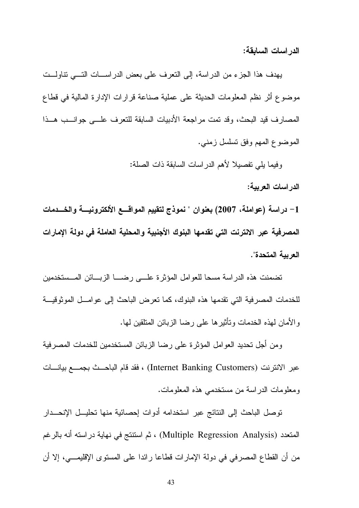الدر اسات السابقة:

يهدف هذا الجزء من الدراسة، إلى النعرف على بعض الدراســـات التـــى نتاولـــت موضوع أثر نظم المعلومات الحديثة على عملية صناعة قرارات الإدارة المالية في قطاع المصارف قيد البحث، وقد تمت مراجعة الأدبيات السابقة للتعرف علـــي جوانـــب هــذا الموضوع المهم وفق نسلسل زمني.

وفيما بلي تفصيلا لأهم الدراسات السابقة ذات الصلة:

الدر اسات العربية:

1– دراسة (عواملة، 2007) بعنوان " نموذج لتقييم المواقسع الألكترونيسة والخسدمات المصرفية عبر الانترنت التي تقدمها البنوك الأجنبية والمحلية العاملة في دولة الإمارات العربية المتحدة".

تضمنت هذه الدراسة مسحا للعوامل المؤثرة علسى رضـــا الزبـــائن المــستخدمين للخدمات المصرفية التي تقدمها هذه البنوك، كما تعرض الباحث إلى عوامــل الموثوقيــة و الأمان لهذه الخدمات وتأثير ها على رضا الزبائن المنلقين لها.

ومن أجل تحديد العوامل المؤثرة على رضا الزبائن المستخدمين للخدمات المصرفية عبر الانترنت (Internet Banking Customers) ، فقد قام الباحــث بجمـــع بيانـــات ومعلومات الدر اسة من مستخدمي هذه المعلومات.

توصل الباحث إلى النتائج عبر استخدامه أدوات إحصائية منها تحليــل الإنحـــدار المتعدد (Multiple Regression Analysis) ، ثم استنتج في نهاية دراسته أنه بالرغم من أن القطاع المصر في في دولة الإمارات قطاعا رائدا على المستو ي الإقليمـــي، إلا أن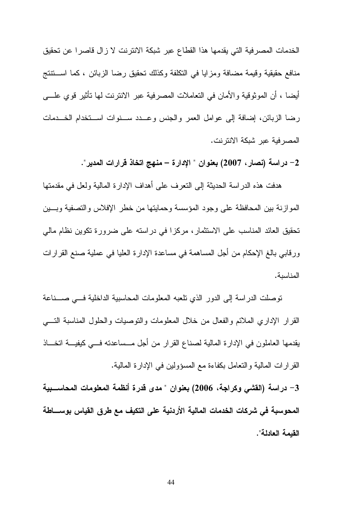الخدمات المصرفية التي يقدمها هذا القطاع عبر شبكة الانترنت لا زال قاصرا عن تحقيق منافع حقيقية وقيمة مضافة ومزايا في النكلفة وكذلك تحقيق رضا الزبائن ، كما استتنتج أيضا ، أن الموثوقية والأمان في التعاملات المصرفية عبر الانترنت لها تأثير قوي علـــي رضا الزبائن، إضافة إلى عوامل العمر والجنس وعــدد ســنوات اســتخدام الخـــدمات المصر فية عبر شبكة الانتر نت.

2– دراسة (نصار ، 2007) بعنوان " الإدارة – منهج اتخاذ قرارات المدير".

هدفت هذه الدراسة الحديثة إلىي النعرف على أهداف الإدارة المالية ولعل في مقدمتها الموازنة بين المحافظة على وجود المؤسسة وحمايتها من خطر الإفلاس والتصفية وبسين تحقيق العائد المناسب على الاستثمار، مركزًا في دراسته على ضرورة تكوين نظام مالي ورِقابي بالغ الإحكام من أجل المساهمة في مساعدة الإدارة العليا في عملية صنع القرارات المناسبة.

توصلت الدراسة إلى الدور الذي نلعبه المعلومات المحاسبية الداخلية فسى صسناعة القرار الإداري الملائم والفعال من خلال المعلومات والنوصيات والحلول المناسبة النسبي يقدمها العاملون في الإدارة المالية لصناع القرار من أجل مـــساعدته فـــي كيفيـــة اتخــــاذ القرارات المالية والتعامل بكفاءة مع المسؤولين في الإدارة المالية.

3– دراسة (القشى وكراجة، 2006) بعنوان " مدى قدرة أنظمة المعلومات المحاســـبية المحوسبة في شركات الخدمات المالية الأردنية على التكيف مع طرق القياس بوســـاطة القيمة العادلة".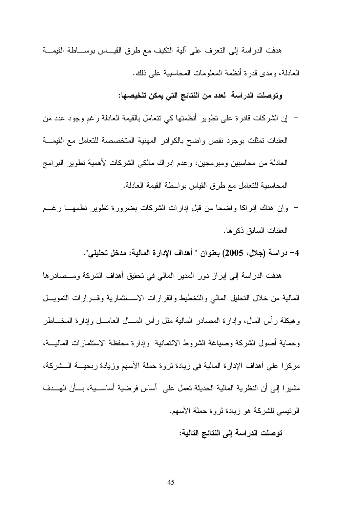هدفت الدراسة إلى التعرف على آلية التكيف مع طرق القيـــاس بوســـاطة القيمـــة العادلة، ومدى قدرة أنظمة المعلومات المحاسبية على ذلك.

### وتوصلت الدراسة لعدد من النتائج التي يمكن تلخيصها:

- إن الشركات قادر ة على تطوير أنظمتها كي تتعامل بالقيمة العادلة رغم وجود عدد من العقبات نمثلت بوجود نقص واضح بالكوادر المهنية المتخصصة للتعامل مع القيمـــة العادلة من محاسبين ومبرمجين، وعدم إدراك مالكي الشركات لأهمية تطوير البرامج المحاسبية للتعامل مع طرق القياس بواسطة القيمة العادلة.
- وإن هناك إدراكا وإضحا من قبل إدارات الشركات بضرورة تطوير نظمهـــا رغـــم العقبات السابق ذكر ها.
	- 4– دراسة (جلال، 2005) بعنوان " أهداف الإدارة المالية: مدخل تحليلي".

هدفت الدراسة إلى إبراز دور المدير المالي في تحقيق أهداف الشركة ومــصادرها المالية من خلال التحليل المالي والتخطيط والقرارات الاستثمارية وقسرارات التمويسل و هيكلة ر أس المال، و إدار ة المصادر المالية مثل ر أس المسال العامـــل و إدار ة المخــــاطر وحماية أصول الشركة وصياغة الشروط الائتمانية وإدارة محفظة الاستثمارات الماليسة، مركز ا على أهداف الإدار ة المالية في زيادة نروة حملة الأسهم وزيادة ربحيـــة الـــشركة، مشيرا إلى أن النظرية المالية الحديثة تعمل على ۖ أساس فرضية أساســـية، بـــأن الهـــدف الرئيسي للشركة هو زيادة ثروة حملة الأسهم.

#### توصلت الدراسة إلى النتائج التالية: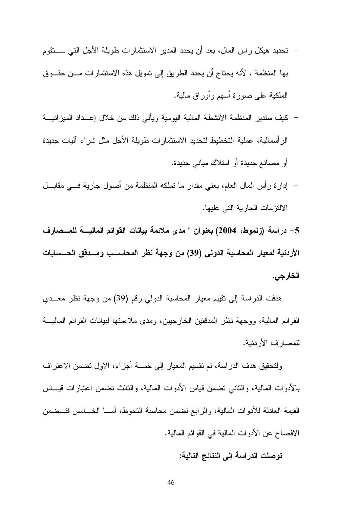- تحديد هيكل راس المال، بعد أن يحدد المدير الاستثمارات طويلة الأجل التي ســـتقوم بـها المنظمة ، لأنـه يحتاج أن يحدد الطريق إلـى تمويل هذه الاستثمارات مـــن حقـــوق الملكية على صورة أسهم وأوراق مالية.
- كيف ستدير المنظمة الأنشطة المالية اليومية ويأتى ذلك من خلال إعــداد الميزانيـــة الرأسمالية، عملية التخطيط لتحديد الاستثمارات طويلة الأجل مثل شراء آليات جديدة أو مصانع جديدة أو امتلاك مباني جديدة.
- إدارة رأس المال العام، يعني مقدار ما نملكه المنظمة من أصول جارية فسي مقابـــل الالتز مات الجار ية التي عليها.

5– دراسة (زلموط، 2004) بعنوان " مدى ملائمة بيانات القوائم الماليــــة للمـــصارف الأردنية لمعيار المحاسبة الدولي (39) من وجهة نظر المحاســب ومـــدقق الحـــسابات الخارجي.

هدفت الدراسة إلى تقييم معيار المحاسبة الدولي رقم (39) من وجهة نظر معــدي القوائم المالية، ووجهة نظر المدققين الخارجيين، ومدى ملاءمتها لبيانات القوائم المالية للمصارف الأر دنية.

ولتحقيق هدف الدراسة، تم نقسيم المعيار إلى خمسة أجزاء، الاول تضمن الاعتراف بالأدوات المالية، والثاني نضمن فياس الأدوات المالية، والثالث نضمن اعتبارات فيساس القيمة العادلة للأدوات المالية، والرابع نضمن محاسبة النحوط، أمـــا الخــــامس فتـــضمن الافصـاح عن الأدوات المـالية في القوائم المـالية.

توصلت الدراسة إلى النتائج التالية: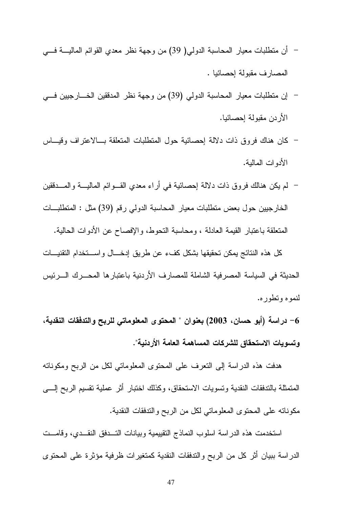- أن منطلبات معيار المحاسبة الدولمي( 39) من وجهة نظر معدي القو ائم الماليــــة فــــي المصار ف مقبولة إحصائيا .
- إن منطلبات معيار المحاسبة الدولي (39) من وجهة نظر المدفقين الخـــارجيين فـــي  $\overline{\phantom{0}}$ الأر دن مقبولة إحصائيا.
- كان هناك فروق ذات دلالة احصائية حول المنطلبات المنعلقة بـــالاعتراف وقيـــاس الأدوات المالبة.
- لم يكن هنالك فروق ذات دلالة إحصائية في أراء معدي القـــوائم الماليــــة والمــــدققين الخارجيين حول بعض منطلبات معيار المحاسبة الدولي رقم (39) مثل : المنطلبـــات المنعلقة باعتبار القيمة العادلة ، ومحاسبة التحوط، والإفصاح عن الأدوات الحالية.

كل هذه النتائج بمكن تحقيقها بشكل كفء عن طريق إدخـــال واســـتخدام التقنيـــات الحديثة في السياسة المصرفية الشاملة للمصارف الأردنية باعتبارها المحـــرك الــــرئيس لنموه وتطور ه.

6– دراسة (أبو حسان، 2003) بعنوان " المحتوى المعلوماتي للربح والتدفقات النقدية، وتسويات الاستحقاق للشركات المساهمة العامة الأردنية".

هدفت هذه الدراسة إلى النعرف على المحتوى المعلوماتي لكل من الربح ومكوناته المتمثلة بالتدفقات النقدية وتسويات الاستحقاق، وكذلك اختبار أثر عملية تقسيم الربح إلــــى مكوناته على المحتوى المعلوماتي لكل من الربح والتدفقات النقدية.

استخدمت هذه الدراسة اسلوب النماذج التقييمية وبيانات التسدفق النقسدي، وقامست الدراسة ببيان أثر كل من الربح والتدفقات النقدية كمتغيرات ظرفية مؤثرة على المحتوى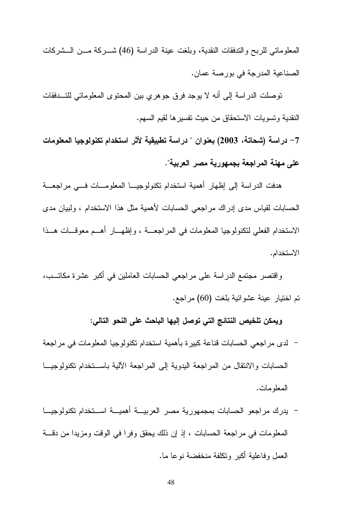المعلوماتي للربح والندفقات النقدية، وبلغت عينة الدراسة (46) شـــركة مـــن الـــشركات الصناعية المدرجة في بورصة عمان.

توصلت الدراسة إلى أنه لا يوجد فرق جوهري بين المحتوى المعلوماتي للتـــدفقات النقدية وتسويات الاستحقاق من حيث تفسيرها لقيم السهم.

7– دراسة (شحاتة، 2003) بعنوان " دراسة تطبيقية لأثر استخدام تكنولوجيا المعلومات على مهنة المراجعة بجمهورية مصر العربية".

هدفت الدراسة إلى إظهار أهمية استخدام تكنولوجيــا المعلومـــات فـــي مراجعـــة الحسابات لقباس مدى إدر اك مر اجعى الحسابات لأهمية مثل هذا الاستخدام ، وليبان مدى الاستخدام الفعلي لتكنولوجيا المعلومات في المراجعــة ، وإظهـــار أهـــم معوقـــات هـــذا الاستخدام.

واقتصر مجتمع الدراسة على مراجعي الحسابات العاملين في أكبر عشرة مكاتــب، تم اختيار عينة عشوائية بلغت (60) مراجع.

ويمكن تلخيص النتائج التي توصل إليها الباحث على النحو التالي:

- لدى مراجعي الحسابات فناعة كبيرة بأهمية استخدام نكنولوجيا المعلومات في مراجعة الحسابات والانتقال من المراجعة البدوية إلى المراجعة الآلية باســتخدام تكنولوجيـــا المعلو مات.
- يدرك مراجعو الحسابات بمجمهورية مصر العربيــة أهميــة اســتخدام تكنولوجيــا المعلومات في مراجعة الحسابات ، إذ إن ذلك يحقق وفرا في الوقت ومزيدا من دقــــة العمل وفاعلية أكبر وتكلفة منخفضة نوعا ما.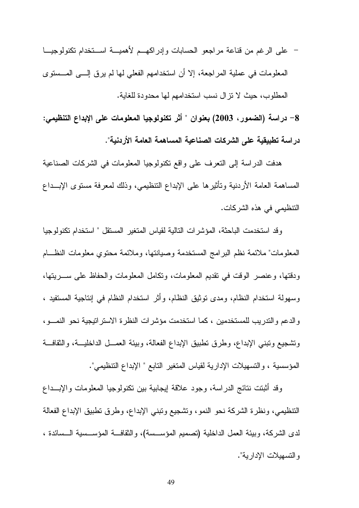– على الرغم من قناعة مراجعو الحسابات وإدراكهــم لأهميـــة اســـتخدام تكنولوجيـــا المعلومات في عملية المراجعة، إلا أن استخدامهم الفعلي لها لم يرق إلـــي المـــستوي المطلوب، حيث لا نزال نسب استخدامهم لها محدودة للغاية.

8– دراسة (الضمور، 2003) بعنوان " أثر تكنولوجيا المعلومات على الإبداع التنظيمي: دراسة تطبيقية على الشركات الصناعية المساهمة العامة الأردنية".

هدفت الدراسة إلى التعرف على واقع تكنولوجيا المعلومات في الشركات الصناعية المساهمة العامة الأردنية وتأثيرها على الإبداع التنظيمي، وذلك لمعرفة مستوى الإبــداع النتظيمي في هذه الشركات.

وقد استخدمت الباحثة، المؤشرات التالية لقياس المتغير المستقل " استخدام تكنولوجيا المعلومات" ملائمة نظم البرامج المستخدمة وصبانتها، وملائمة محتوي معلومات النظــام ودقتها، وعنصر الوقت في نقديم المعلومات، ونكامل المعلومات والحفاظ على ســـريتها، وسهولة استخدام النظام، ومدى توثيق النظام، وأثَّر استخدام النظام في إنتاجية المستفيد ، والدعم والتدريب للمستخدمين ، كما استخدمت مؤشرات النظرة الاستراتيجية نحو النمسو، ونشجيع ونبنى الإبداع، وطرق نطبيق الإبداع الفعالة، وبيئة العمـــل الداخليـــة، والثقافـــة المؤسسية ، والتسهيلات الإدارية لقياس المتغير التابع " الإبداع التنظيمي".

وقد أثبتت نتائج الدر اسة، وجود علاقة إيجابية بين تكنولوجيا المعلومات والإبــداع التنظيمي، ونظرة الشركة نحو النمو، ونشجيع ونبني الإبداع، وطرق نطبيق الإبداع الفعالة لدى الشركة، وبيئة العمل الداخلية (تصميم المؤسسة)، والثقافــة المؤســسية الــسائدة ، والتسهيلات الإدارية".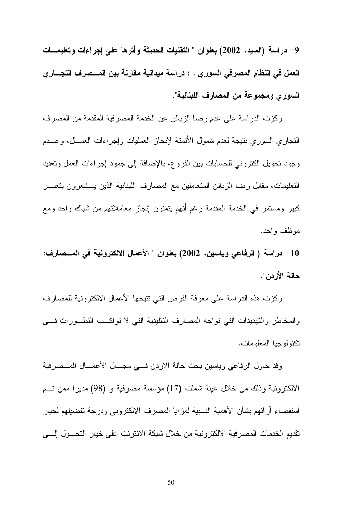9– دراسة (السبد، 2002) بعنوان " التقنيات الحديثة وأثرها على إجراءات وتعليمـــات العمل في النظام المصرفي السوري". : دراسة ميدانية مقارنة بين المـــصرف التجـــار ي السور ي ومجموعة من المصارف اللبنانية".

ركزت الدراسة على عدم رضا الزبائن عن الخدمة المصرفية المقدمة من المصرف التجاري السوري نتيجة لعدم شمول الأتمتة لإنجاز العمليات وإجراءات العمـــل، وعـــدم وجود نحويل الكتروني للحسابات بين الفروع، بالإضافة إلى جمود إجراءات العمل ونعقيد التعليمات، مقابل رضا الزبائن المتعاملين مع المصارف اللبنانية الذين يـــشعرون بتغيـــر كبير ومستمر في الخدمة المقدمة رغم أنهم يتمنون إنجاز معاملاتهم من شباك واحد ومع موظف وإحد.

10– دراسة ( الرفاعي وياسين، 2002) بعنوان " الأعمال الالكترونية في المـــصارف: حالة الأردن".

ركزت هذه الدراسة على معرفة الفرص التي نتيحها الأعمال الالكترونية للمصارف والمخاطر والتهديدات التي نواجه المصارف النقليدية التي لا نواكـب التطـورات فــي تكنولوجيا المعلومات.

وقد حاول الرفاعي وياسين بحث حالة الأردن فسي مجسال الأعمسال المسصرفية الالكترونية وذلك من خلال عينة شملت (17) مؤسسة مصرفية و (98) مديرًا ممن تسم استقصاء آرائهم بشأن الأهمية النسبية لمزايا المصرف الالكتروني ودرجة تفضيلهم لخيار تقديم الخدمات المصر فية الالكتر ونية من خلال شبكة الانترنت على خيار التحـــول إلــــى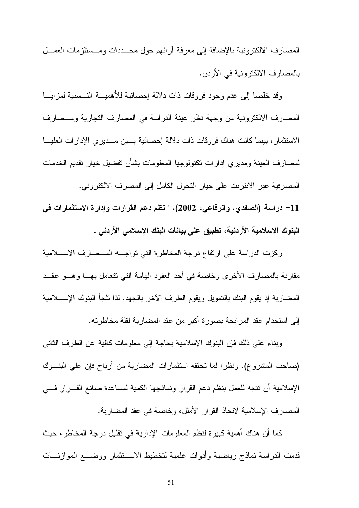المصارف الالكترونية بالإضافة إلى معرفة أرائهم حول محــددات ومــستلزمات العمــل بالمصارف الالكترونية في الأردن.

وقد خلصا إلى عدم وجود فروقات ذات دلالة إحصائية للأهميـــة النـــسبية لمزايـــا المصارف الالكترونية من وجهة نظر عينة الدراسة في المصارف التجارية ومـصارف الاستثمار ، بينما كانت هناك فروقات ذات دلالة إحصائية بسين مسديري الإدارات العليسا لمصارف العينة ومديري إدارات تكنولوجيا المعلومات بشأن تفضيل خيار تقديم الخدمات المصرفية عبر الانترنت على خيار التحول الكامل إلى المصرف الالكتروني.

11– دراسة (الصفدي، والرفاعي، 2002)، " نظم دعم القرارات وإدارة الاستثمارات في البنوك الإسلامية الأردنية، تطبيق على بيانات البنك الإسلامي الأردني".

ركزت الدراسة على ارتفاع درجة المخاطرة التي تواجسه المسصارف الاسسلامية مقارنة بالمصارف الأخرى وخاصة في أحد العقود الهامة التي نتعامل بهـــا وهـــو عقـــد المضاربة إذ يقوم البنك بالتمويل ويقوم الطرف الأخر بالجهد. لذا نلجأ البنوك الإســــلامية إلى استخدام عقد المر ابحة بصورة أكبر من عقد المضاربة لقلة مخاطرته.

وبناء على ذلك فإن البنوك الإسلامية بحاجة إلى معلومات كافية عن الطرف الثاني (صباحب المشروع). ونظر ا لما تحققه استثمار ات المضبارية من ارباح فإن على البنــوك الإسلامية أن نتجه للعمل بنظم دعم القرار ونماذجها الكمية لمساعدة صانع القـــرار فــــي المصارف الإسلامية لاتخاذ القرار الأمثل، وخاصة في عقد المضاربة.

كما أن هناك أهمية كبيرة لنظم المعلومات الإدارية في نقليل درجة المخاطر ، حيث قدمت الدراسة نماذج رياضية وأدوات علمية لتخطيط الاســـتثمار ووضــــع الموازنــــات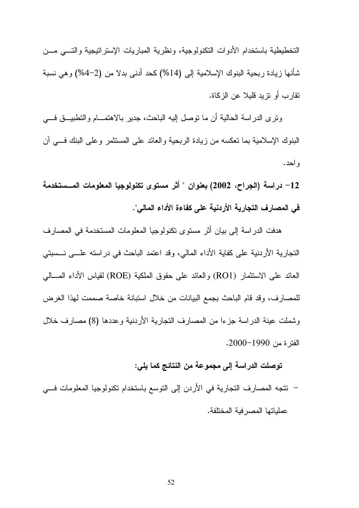التخطيطية باستخدام الأدوات التكنولوجية، ونظرية المباريات الإستراتيجية والتسى مسن شأنها زيادة ربحية البنوك الإسلامية إلى (14%) كحد أدنى بدلا من (2–4%) وهي نسبة تقار ب أو تزيد قلبلا عن الزكاة.

ونرى الدراسة الحالية أن ما نوصل إليه الباحث، جدير بالاهتمـــام والتطبيــــق فــــي البنوك الإسلامية بما نعكسه من زيادة الربحية والعائد على المستثمر وعلى البنك فسي أن و احد .

12– دراسة (الجراح، 2002) بعنوان " أثر مستوى تكنولوجيا المعلومات المــستخدمة في المصار ف التجارية الأردنية على كفاءة الأداء المالي".

هدفت الدراسة إلى بيان أثر مستوى تكنولوجيا المعلومات المستخدمة في المصارف التجارية الأردنية على كفاية الأداء المالي، وقد اعتمد الباحث في دراسته علـــي نـــسبتي العائد على الاستثمار (RO1) والعائد على حقوق الملكية (ROE) لقياس الأداء المسالمي للمصارف، وقد قام الباحث بجمع البيانات من خلال استبانة خاصة صممت لهذا الغرض وشملت عينة الدر اسة جزءا من المصارف النجارية الأردنية وعددها (8) مصارف خلال الفتر ة من 1990–2000.

### توصلت الدراسة إلى مجموعة من النتائج كما يلي:

– نتجه المصارف التجارية في الأردن إلى التوسع باستخدام نكنولوجيا المعلومات فسي عملياتها المصر فية المختلفة.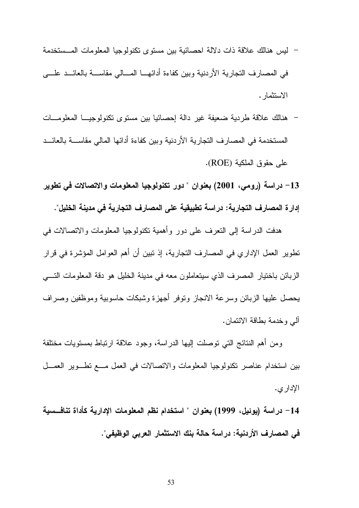- ليس هنالك علاقة ذات دلالة احصائية بين مستوى تكنولوجيا المعلومات المــستخدمة في المصارف النجارية الأردنية وبين كفاءة أدائهـــا المــــالـي مقاســــة بالعائـــد علــــي الاستثمار .
- هنالك علاقة طردية ضعيفة غير دالة إحصائيا بين مستوى تكنولوجيــا المعلومـــات المستخدمة في المصارف التجارية الأردنية وبين كفاءة أدائها المالي مقاســـة بالعائـــد على حقوق الملكية (ROE).
- 13– دراسة (رومي، 2001) بعنوان " دور تكنولوجيا المعلومات والاتصالات في تطوير إدار ة المصارف التجارية: دراسة تطبيقية على المصارف التجارية في مدينة الخليل".

هدفت الدراسة إلى النعرف على دور وأهمية نكنولوجيا المعلومات والاتصالات في تطوير العمل الإدار ي في المصارف التجارية، إذ تبين أن أهم العوامل المؤشرة في قرار الزبائن باختيار المصرف الذي سيتعاملون معه في مدينة الخليل هو دقة المعلومات التسي يحصل عليها الزبائن وسرعة الانجاز ونوفر أجهزة وشبكات حاسوبية وموظفين وصراف آلي وخدمة بطاقة الائتمان.

ومن أهم النتائج التبي توصلت إليها الدراسة، وجود علاقة ارتباط بمستويات مختلفة بين استخدام عناصر نكنولوجيا المعلومات والاتصالات في العمل مـــع نطـــوير العمـــل الإدار ي.

14– دراسة (يوئيل، 1999) بعنوان " استخدام نظم المعلومات الإدارية كأداة تنافــسية في المصارف الأردنية: دراسة حالة بنك الاستثمار العربي الوظيفي".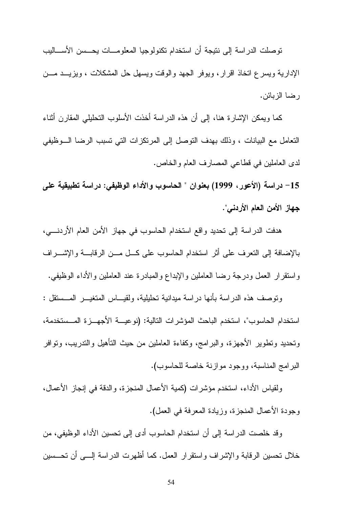توصلت الدراسة إلى نتيجة أن استخدام تكنولوجيا المعلومـــات يحـــسن الأســــاليب الإدارية ويسرع اتخاذ اقرار، ويوفر الجهد والوقت ويسهل حل المشكلات ، ويزيـــد مـــن ر ضبا الزيائن.

كما ويمكن الإشارة هنا، إلى أن هذه الدراسة أخذت الأسلوب التحليلي المقارن أثناء التعامل مع البيانات ، وذلك بهدف التوصل إلى المرتكزات التي تسبب الرضا الـــوظيفي لدى العاملين في قطاعي المصارف العام والخاص.

15– دراسة (الأعور، 1999) بعنوان " الحاسوب والأداء الوظيفي: دراسة تطبيقية على جهاز الأمن العام الأردني".

هدفت الدراسة إلى تحديد واقع استخدام الحاسوب في جهاز الأمن العام الأردنـــي، بالإضافة إلى التعرف على أثر استخدام الحاسوب على كـــل مـــن الرقابـــة والإشــــراف واستقرار العمل ودرجة رضا العاملين والإبداع والمبادرة عند العاملين والأداء الوظيفي.

وتوصف هذه الدراسة بأنها دراسة ميدانية تحليلية، ولقيـــاس المتغيـــر المـــستقل : استخدام الحاسوب"، استخدم الباحث المؤشرات التالية: (نو عيـــة الأجهـــز ة المـــستخدمة، ونحديد ونطوير الأجهزة، والبرامج، وكفاءة العاملين من حيث النأهيل والندريب، ونوافر البر امج المناسبة، ووجود مو از نة خاصة للحاسوب).

ولقياس الأداء، استخدم مؤشرات (كمية الأعمال المنجزية، والدقة في إنجاز الأعمال، وجودة الأعمال المنجزة، وزيادة المعرفة في العمل).

وقد خلصت الدراسة إلى أن استخدام الحاسوب أدى إلى تحسين الأداء الوظيفي، من خلال نحسين الرقابة والإشراف واستقرار العمل. كما أظهرت الدراسة إلــــي أن نحــــسين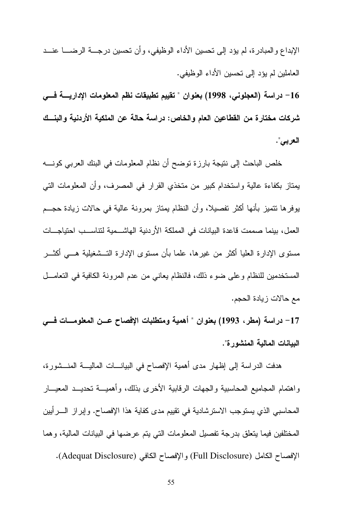الإبداع والمبادرة، لم يؤد إلى نحسين الأداء الوظيفي، وأن نحسين درجــــة الرضـــــا عنـــد العاملين لم يؤد إلى تحسين الأداء الوظيفي.

16 – دراسة (العجلوني، 1998) بعنوان " تقييم تطبيقات نظم المعلومات الإداريسة فسي شركات مختار ة من القطاعين العام والخاص: دراسة حالة عن الملكية الأردنية والبنــك العربي".

خلص الباحث إلى نتيجة بارزة توضح أن نظام المعلومات في البنك العربي كونــــه يمتاز بكفاءة عالية واستخدام كبير من متخذي القرار في المصرف، وأن المعلومات التي يوفر ها نتميز بأنها أكثر تفصيلا، وأن النظام يمتاز بمرونة عالية في حالات زيادة حجـــم العمل، بينما صممت قاعدة البيانات في المملكة الأردنية الهاشـــمية لتناســـب احتياجــــات مسنوى الإدارة العليا أكثر من غيرها، علما بأن مسنوى الإدارة التــشغيلية هـــي أكثـــر المستخدمين للنظام وعلى ضوء ذلك، فالنظام يعانـي من عدم المرونـة الكافيـة فـي التعامـــل مع حالات زيادة الحجم.

17– دراسة (مطر، 1993) بعنوان " أهمية ومتطلبات الإفصاح عــن المعلومــــات فـــى البيانـات المـاليـة المنشور ة".

هدفت الدراسة إلى إظهار مدى أهمية الإفصاح في البيانــــات الماليــــة المنـــشورة، واهتمام المجاميع المحاسبية والجهات الرقابية الأخرى بذلك، وأهميـــة تحديـــد المعيـــار المحاسبي الذي يستوجب الاسترشادية في تقييم مدى كفاية هذا الإفصاح. وإبر از الــــرأيين المختلفين فيما يتعلق بدرجة تفصيل المعلومات التي يتم عرضها في البيانات المالية، وهما الإفصاح الكامل (Full Disclosure) والإفصاح الكافي (Adequat Disclosure).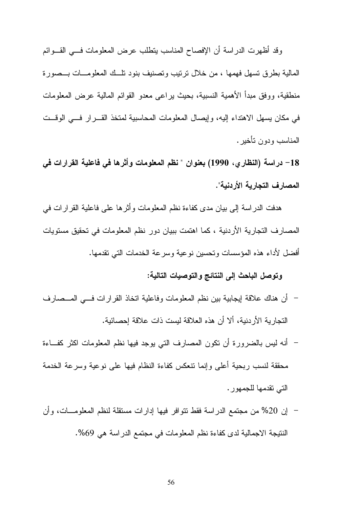وقد أظهرت الدراسة أن الإفصاح المناسب يتطلب عرض المعلومات فسي القـوائم المالية بطرق تسهل فهمها ، من خلال ترتيب وتصنيف بنود تلَّــك المعلومـــات بـــصورة منطقية، ووفق مبدأ الأهمية النسبية، بحيث يراعي معدو القوائم المالية عرض المعلومات في مكان بسهل الاهتداء إليه، وإيصال المعلومات المحاسبية لمتخذ القـــرار فـــي الوقـــت المناسب ودون تأخير .

18– دراسة (النظاري، 1990) بعنوان " نظم المعلومات وأثرها في فاعلية القرارات في المصارف التجارية الأردنية".

هدفت الدر اسة إلى بيان مدى كفاءة نظم المعلومات و أثر ها على فاعلية القر ار ات في المصـارف التجارية الأردنية ، كما اهتمت ببيان دور نظم المعلومات في تحقيق مستويات أفضل لأداء هذه المؤسسات وتحسين نوعية وسرعة الخدمات التبي تقدمها.

وتوصل الباحث إلى النتائج والتوصيات التالية:

- أن هناك علاقة إيجابية بين نظم المعلومات وفاعلية انخاذ القرارات فـــي المـــصـارف التجار بة الأر دنية، ألا أن هذه العلاقة لبست ذات علاقة إحصائية.
- أنه ليس بالضرورة أن نكون المصارف التي يوجد فيها نظم المعلومات اكثر كفــاءة محققة لنسب ربحية أعلى وإنما نتعكس كفاءة النظام فيها على نوعية وسرعة الخدمة التي تقدمها للجمهور .
- إن 20% من مجتمع الدراسة فقط نتوافر فيها إدارات مستقلة لنظم المعلومـــات، وأن النتيجة الاجمالية لدى كفاءة نظم المعلومات في مجتمع الدراسة هي 69%.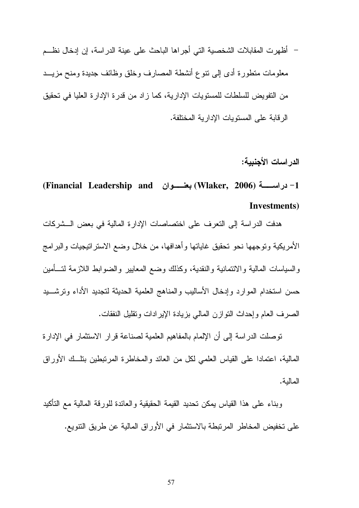– أظهرت المقابلات الشخصية التي أجراها الباحث على عينة الدراسة، إن إدخال نظـــم معلومات منطورة أدى إلى نتوع أنشطة المصارف وخلق وظائف جديدة ومنح مزيـــد من النفويض للسلطات للمستويات الإدارية، كما ز اد من قدر ة الإدار ة العليا في تحقيق الر قابة على المستويات الإدارية المختلفة.

الدر اسات الأجنبية:

1- دراســـــة (Wlaker, 2006) بعنـــــوان (Financial Leadership and) Investments)

هدفت الدراسة إلى النعرف على اختصاصات الإدارة المالية في بعض الــشركات الأمريكية وتوجهها نحو تحقيق غاياتها وأهدافها، من خلال وضع الاستراتيجيات والبرامج والسباسات المالبة والائتمانية والنقدية، وكذلك وضع المعابير والضوابط اللازمة لتسأمين حسن استخدام الموارد وإدخال الأساليب والمناهج العلمية الحديثة لتجديد الأداء وترشسيد الصرف العام وإحداث النوازن المالي بزيادة الإيرادات ونقليل النفقات.

توصلت الدراسة إلى أن الإلمام بالمفاهيم العلمية لصناعة قرار الاستثمار في الإدارة المالية، اعتمادا على القياس العلمي لكل من العائد والمخاطرة المرتبطين بتلَّــك الأوراق المالية.

وبناء على هذا القياس بمكن نحديد القيمة الحقيقية والعائدة للورقة المالية مع التأكيد على تخفيض المخاطر المرتبطة بالاستثمار في الأوراق المالية عن طريق التتويع.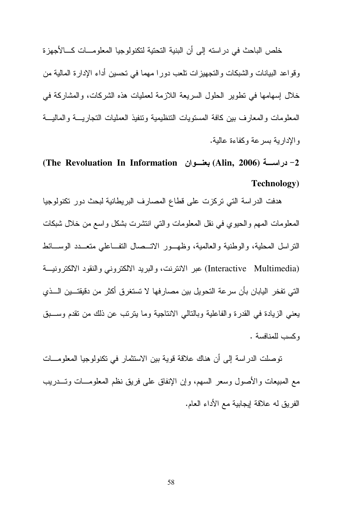خلص الباحث في در استه إلى أن البنية التحتية لتكنولوجيا المعلومـــات كــــالأجهزة وقواعد البيانات والشبكات والنجهيزات نلعب دورا مهما في نحسين أداء الإدارة المالية من خلال إسهامها في نطوير الحلول السريعة اللازمة لعمليات هذه الشركات، والمشاركة في المعلومات والمعارف بين كافة المستويات التنظيمية ونتفيذ العمليات التجاريسة والماليسة والإدارية بسرعة وكفاءة عالية.

### (Alin, 2006) (Alin, 2006) بعنسوان The Revoluation In Information) **Technology**)

هدفت الدراسة التي تركزت على قطاع المصارف البريطانية لبحث دور تكنولوجيا المعلومات المهم والحيوى في نقل المعلومات والتبي انتشرت بشكل واسع من خلال شبكات النراسل المحلية، والوطنية والعالمية، وظهــور الاتــصال النفــاعلـي متعــدد الوســـائط (Interactive Multimedia) عبر الانترنت، والبريد الالكتروني والنقود الالكترونيــة التي تفخر اليابان بأن سرعة التحويل بين مصارفها لا تستغرق أكثر من دقيقتـــين الـــذي يعني الزيادة في القدرة والفاعلية وبالتالي الانتاجية وما يترتب عن ذلك من تقدم وســبق وكسب للمنافسة.

تو صلت الدر اسة إلى أن هناك علاقة قوية بين الاستثمار ٍ في تكنو لوجيا المعلو مـــات مع المبيعات والأصول وسعر السهم، وإن الإنفاق على فريق نظم المعلومـــات وتـــدريب الفريق له علاقة إيجابية مع الأداء العام.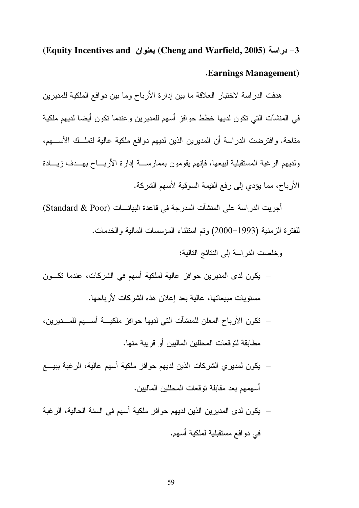### (Equity Incentives and ) بعنوان (Cheng and Warfield, 2005) -3 **Earnings Management**)

هدفت الدراسة لاختبار العلاقة ما بين إدارة الأرباح وما بين دوافع الملكية للمديرين في المنشآت التي تكون لديها خطط حوافز أسهم للمديرين وعندما تكون أيضا لديهم ملكية متاحة. وافترضت الدراسة أن المديرين الذين لديهم دوافع ملكية عالية لتملَّــك الأســــهم، ولديهم الرغبة المستقبلية لبيعها، فإنهم يقومون بممارســـة إدارة الأربــــاح بهـــدف زيــــادة الأرباح، مما يؤدي إلى رفع القيمة السوقية لأسهم الشركة.

أجريت الدر اسة على المنشآت المدرجة في قاعدة البيانــــات (Standard & Poor) للفترة الزمنية (1993–2000) وتم استثناء المؤسسات المالية والخدمات.

وخلصت الدر اسة إلى النتائج التالية:

- يكون لدى المديرين حوافز عالية لملكية أسهم في الشركات، عندما تكـــون مستويات مبيعاتها، عالية بعد إعلان هذه الشركات لأرباحها.
- نكون الأرباح المعلن للمنشآت التي لديها حوافز ملكيـــة أســـهم للمـــديرين، مطابقة لتوقعات المحللين الماليين أو قريبة منها.
- يكون لمديري الشركات الذين لديهم حوافز ملكية أسهم عالية، الرغبة ببيـــع أسهمهم بعد مقابلة نوفعات المحللين الماليين.
- يكون لدى المديرين الذين لديهم حو افز ملكية أسهم في السنة الحالية، الر غبة في دوافع مستقبلية لملكية أسهم.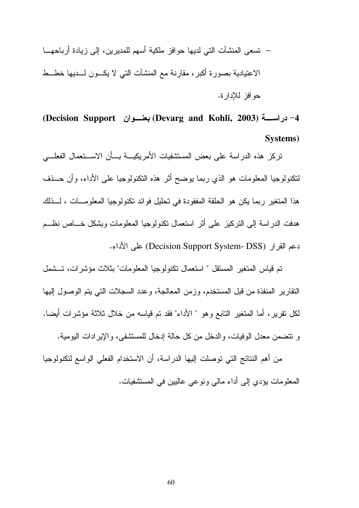— تسعى المنشآت التي لديها حوافز ملكية أسهم للمديرين، إلى زيادة أرباحهـــا الاعتيادية بصورة أكبر، مقارنة مع المنشآت التبي لا يكـــون لــــديها خطـــط حو افز للإدار ة.

4- در اسسة (Devarg and Kohli, 2003) بعنسوان (Decision Support) Systems)

تركز هذه الدراسة على بعض المستشفيات الأمريكيسة بسأن الاسستعمال الفعلسي لنكنولوجيا المعلومات هو الذي ربما يوضح أثر هذه النكنولوجيا على الأداء، وأن حـــذف هذا المتغير ( بما يكن هو الحلقة المفقودة في تحليل فوائد تكنولوجيا المعلومـــات ، لـــذلك هدفت الدر اسة إلى التركيز على أثر استعمال تكنولوجيا المعلومات وبشكل خساص نظــم دعم القرار (Decision Support System- DSS) على الأداء.

تم قياس المتغير المستقل " استعمال تكنولوجيا المعلومات" بثلاث مؤشرات، تــشمل النقارير المنفذة من قبل المستخدم، وزمن المعالجة، وعدد السجلات التي يتم الوصول إليها لكل نقرير ، أما المتغير التابع وهو " الأداء" فقد تم قياسه من خلال ثلاثة مؤشرات أيضا. و نتضمن معدل الوفيات، والدخل من كل حالة إدخال للمستشفى، والإيرادات اليومية.

من أهم النتائج التي توصلت إليها الدر اسة، أن الاستخدام الفعلي الو اسع لتكنولوجيا المعلومات بؤدي إلى أداء مالي ونوعي عالبين في المستشفيات.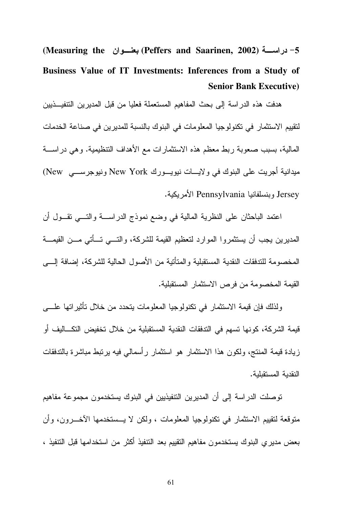5- دراســـة (Peffers and Saarinen, 2002) بعنسـوان Measuring the) Business Value of IT Investments: Inferences from a Study of **Senior Bank Executive)** 

هدفت هذه الدراسة إلى بحث المفاهيم المستعملة فعليا من قبل المديرين التنفيـــذيين لتقييم الاستثمار في تكنولوجيا المعلومات في البنوك بالنسبة للمديرين في صناعة الخدمات المالية، بسبب صعوبة ربط معظم هذه الاستثمارات مع الأهداف التنظيمية. وهي دراســـة ميدانية أجريت على البنوك في ولايـــات نيويـــورك New York ونيوجرســـي New) Jersey وينسلفانيا Pennsylvania الأمريكية.

اعتمد الباحثان على النظرية المالية في وضع نموذج الدراســــة والتــــي تقـــول أن المديرين يجب أن يستثمروا الموارد لتعظيم القيمة للشركة، والتـــي تـــأتـي مـــن القيمـــة المخصومة للتدفقات النقدية المستقبلية والمتأنية من الأصول الحالية للشركة، إضافة إلــــى القيمة المخصومة من فرص الاستثمار المستقبلية.

ولذلك فإن قيمة الاستثمار في تكنولوجيا المعلومات يتحدد من خلال نأثيراتها علــــى قيمة الشركة، كونها تسهم في التدفقات النقدية المستقبلية من خلال تخفيض التكـــاليف أو زيادة قيمة المنتج، ولكون هذا الاستثمار هو استثمار رأسمالي فيه برنبط مباشرة بالتدفقات النقدية المستقبلية.

توصلت الدراسة إلى أن المديرين التتفيذيين في البنوك يستخدمون مجموعة مفاهيم متوقعة لتقييم الاستثمار في تكنولوجيا المعلومات ، ولكن لا يـــستخدمها الأخــــرون، وأن بعض مدير ي البنوك يستخدمون مفاهيم التقييم بعد التنفيذ أكثر من استخدامها قبل التنفيذ ،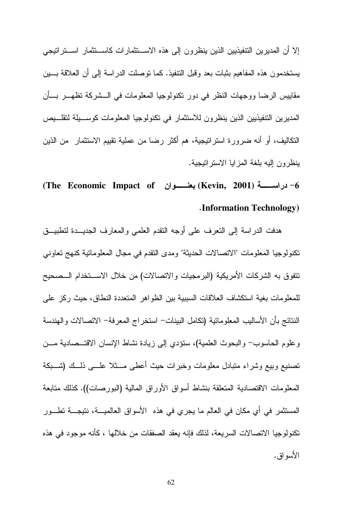إلا أن المديرين التنفيذيين الذين ينظرون إلى هذه الاســـتثمار ات كاســـتثمار اســـتراتيجي يستخدمون هذه المفاهيم بثبات بعد وقبل النتفيذ. كما نوصلت الدراسة إلىي أن العلاقة بسين مقاييس الرضا ووجهات النظر في دور تكنولوجيا المعلومات في الـــشركة تظهـــر بـــأن المديرين التتفيذيين الذين ينظرون للاستثمار في تكنولوجيا المعلومات كوســيلة لتقلــيص التكاليف، أو أنه ضرورة استراتيجية، هم أكثر رضا من عملية تقييم الاستثمار من الذين بنظرون إليه بلغة المزايا الاستراتيجية.

**Information Technology**)

هدفت الدراسة إلىي النعرف على أوجه النقدم العلمي والمعارف الجديـــدة لنطبيـــق تكنولوجيا المعلومات "الاتصالات الحديثة" ومدى النقدم في مجال المعلوماتية كنهج تعاوني نتفوق به الشركات الأمريكية (البرمجيات والاتصالات) من خلال الاســـنخدام الـــصحيح للمعلومات بغية استكشاف العلاقات السببية بين الظواهر المتعددة النطاق، حيث ركز على النتائج بأن الأساليب المعلوماتية (تكامل البينات– استخر اج المعرفة– الاتصالات و الهندسة وعلوم الحاسوب– والبحوث العلمية)، ستؤدي إلى زيادة نشاط الإنسان الاقتـــصادية مـــن تصنيع وبيع وشراء متبادل معلومات وخبرات حيث أعطى مسثلا علسى ذلسك (شسبكة المعلومات الاقتصادية المتعلقة بنشاط أسواق الأوراق المالية (البورصات)). كذلك متابعة المستثمر في أي مكان في العالم ما يجري في هذه الأسواق العالميــة، نتيجــة تطــور تكنولوجيا الاتصالات السريعة، لذلك فإنه يعقد الصفقات من خلالها ، كأنه موجود في هذه الأسو اق.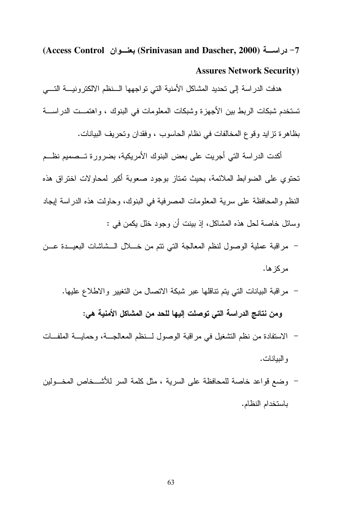7- دراســـة (Srinivasan and Dascher, 2000) بعنــوان (Access Control) **Assures Network Security)** 

هدفت الدر اسة إلى تحديد المشاكل الأمنية التي تو اجهها السنظم الالكتر و نيسة التسبي تستخدم شبكات الربط بين الأجهزة وشبكات المعلومات في البنوك ، واهتمــت الدراســـة بظاهرة تزايد وقوع المخالفات في نظام الحاسوب ، وفقدان وتحريف البيانات.

أكدت الدراسة التي أجريت على بعض البنوك الأمريكية، بضرورة تـــصميم نظـــم تحتوي على الضوابط الملائمة، بحيث تمتاز بوجود صعوبة أكبر لمحاولات اختراق هذه النظم والمحافظة على سرية المعلومات المصرفية في البنوك، وحاولت هذه الدراسة إيجاد وسائل خاصة لحل هذه المشاكل، إذ بينت أن وجود خلل يكمن في :

- مراقبة عملية الوصول لنظم المعالجة التي نتم من خـــلال الـــشاشات البعيـــدة عـــن مركز ها.
	- مراقبة البيانات التي يتم تناقلها عبر شبكة الاتصال من التغيير والاطلاع عليها. ومن نتائج الدراسة التي توصلت إليها للحد من المشاكل الأمنية هي:
- الاستفادة من نظم التشغيل في مراقبة الوصول لــنظم المعالجـــة، وحمايـــة الملفـــات و البيانات.
- وضع قواعد خاصة للمحافظة على السرية ، مثل كلمة السر للأشــخاص المخـــولين باستخدام النظام.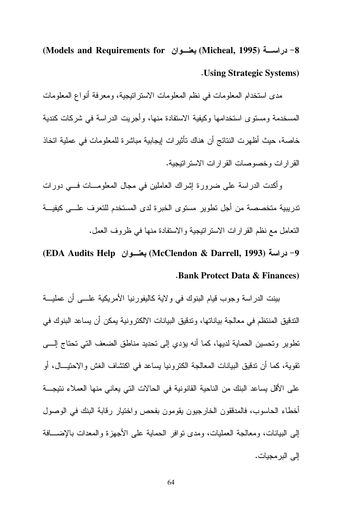8- دراســـة (Micheal, 1995) بعنـــوان Models and Requirements for) **. Using Strategic Systems)** 

مدى استخدام المعلومات في نظم المعلومات الاستر اتيجية، ومعرفة أنواع المعلومات المسخدمة ومستوى استخدامها وكيفية الاستفادة منها، وأجريت الدراسة في شركات كندية خاصة، حيث أظهرت النتائج أن هناك تأثيرات إيجابية مباشرة للمعلومات في عملية اتخاذ القر ار ات و خصوصات القر ار ات الاستر انبجية.

وأكدت الدراسة على ضرورة إشراك العاملين في مجال المعلومـــات فـــي دورات تدر ببية متخصصة من أجل تطوير مستوى الخبر ة لدى المستخدم للتعرف علـــى كبفيـــة النعامل مع نظم القر إر ات الاستر انيجية و الاستفادة منها في ظروف العمل.

9- دراسة (293 McClendon & Darrell, 1993) بعنسوان (EDA Audits Help) **Bank Protect Data & Finances**)

بينت الدراسة وجوب قيام البنوك في ولاية كاليفورنيا الأمريكية علـــي أن عمليـــة الندقيق المنتظم في معالجة بياناتها، وتدقيق البيانات الالكتر ونية يمكن أن يساعد البنوك في تطوير وتحسين الحماية لديها، كما أنه يؤدي إلى تحديد مناطق الضعف التي تحتاج إلـــي نقوية، كما أن ندقيق البيانات المعالجة الكترونيا يساعد في اكتشاف الغش والاحتيــال، أو على الأقل بساعد البنك من الناحية القانونية في الحالات التي يعاني منها العملاء نتيجـــة أخطاء الحاسوب، فالمدفقون الخارجيون يقومون بفحص واختيار رقابة البنك في الوصول إلى البيانات، ومعالجة العمليات، ومدى نوافر الحماية على الأجهزة والمعدات بالإضـــافة إلى البر مجيات.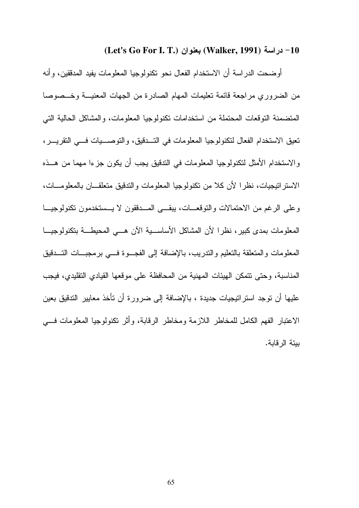### (Let's Go For I. T.) بعنوان (Walker, 1991) - دراسة (

أوضحت الدراسة أن الاستخدام الفعال نحو تكنولوجيا المعلومات يفيد المدققين، وأنه من الضروري مراجعة قائمة تعليمات المهام الصادرة من الجهات المعنيـــة وخـــصوصـا المتضمنة التوقعات المحتملة من استخدامات تكنولوجيا المعلومات، والمشاكل الحالية التي تعيق الاستخدام الفعال لتكنولوجيا المعلومات في التــدقيق، والتوصــــيات فـــي التقريــــر، و الاستخدام الأمثل لتكنولوجيا المعلومات في التدقيق يجب أن يكون جزءا مهما من هــذه الاستر انيجيات، نظرًا لأن كلاً من نكنولوجيا المعلومات والتدقيق متعلقـــان بالمعلومـــات، وعلى الرغم من الاحتمالات والتوقعــات، يبقـــي المـــدققون لا يـــستخدمون تكنولوجيـــا المعلومات بمدى كبير ، نظر الأن المشاكل الأساســـية الآن هـــي المحيطـــة بنكنولوجيـــا المعلومات والمتعلقة بالتعليم والندريب، بالإضافة إلى الفجــوة فـــي برمجبـــات التـــدقيق المناسبة، وحتى نتمكن الهيئات المهنية من المحافظة على موقعها القيادي التقليدي، فيجب عليها أن توجد استراتيجيات جديدة ، بالإضافة إلى ضرورة أن تأخذ معايير التدقيق بعين الاعتبار الفهم الكامل للمخاطر اللازمة ومخاطر الرقابة، وأثر نكنولوجيا المعلومات فسي ببئة الر قابة.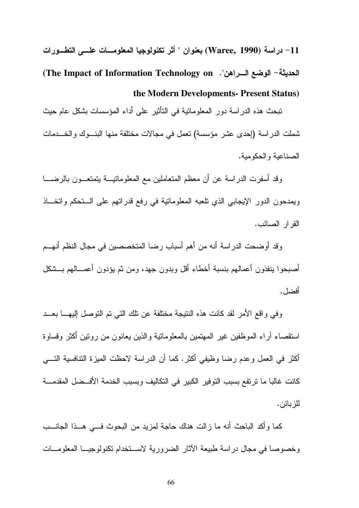تبحث هذه الدراسة دور المعلوماتية في التأثير على أداء المؤسسات بشكل عام حيث شملت الدراسة (إحدى عشر مؤسسة) تعمل في مجالات مختلفة منها البنــوك والخـــدمات الصناعبة والحكومبة.

وقد أسفرت الدراسة عن أن معظم المتعاملين مع المعلوماتيـــة يتمتعـــون بالرضـــــا ويمدحون الدور الإيجابي الذي نلعبه المعلومانية في رفع قدراتهم على الـــتحكم واتخـــاذ القر ار الصبائب.

وقد أوضحت الدراسة أنه من أهم أسباب رضا المتخصصين في مجال النظم أنهــم أصبحوا ينفذون أعمالهم بنسبة أخطاء أقل وبدون جهد، ومن ثم يؤدون أعمـــالهم بـــشكل أفضل .

وفي واقع الأمر لقد كانت هذه النتيجة مختلفة عن تلك التي تم التوصل اليهـــا بعـــد استقصاء أراء الموظفين غير المهتمين بالمعلوماتية والذين بعانون من رونين أكثر وقساوة أكثر في العمل و عدم رضا وظيفي أكثر . كما أن الدر اسة لاحظت الميزة التنافسية التـــي كانت غالبا ما ترتفع بسبب التوفير الكبير في التكاليف وبسبب الخدمة الأفــضل المقدمـــة للز بائن .

كما وأكد الباحث أنه ما زالت هناك حاجة لمزيد من البحوث فـــي هــذا الجانـــب وخصوصا في مجال در اسة طبيعة الآثار الضرورية لاستخدام نكنولوجيــا المعلومـــات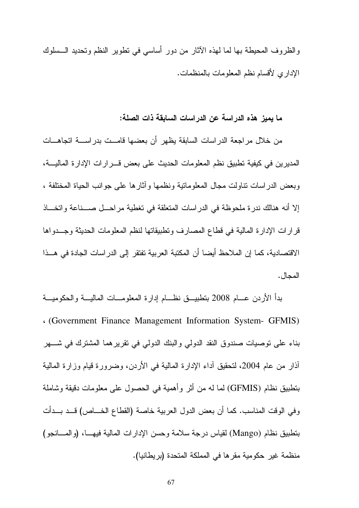والظروف المحيطة بها لما لهذه الأثار من دور أساسي في نطوير النظم وتحديد الـــسلوك الإداري لأقسام نظم المعلومات بالمنظمات.

ما يميز. هذه الدراسة عن الدراسات السابقة ذات الصلة:

من خلال مراجعة الدراسات السابقة يظهر أن بعضها قامــت بدراســة اتجاهــات المديرين في كيفية نطبيق نظم المعلومات الحديث على بعض قـــرارات الإدارة الماليـــة، وبعض الدراسات نناولت مجال المعلومانية ونظمها وأثارها على جوانب الحياة المختلفة ، إلا أنه هنالك ندر ة ملحوظة في الدر اسات المتعلقة في تغطية مر احـــل صــــناعة و اتخـــاذ قرارات الإدارة المالية في قطاع المصارف ونطبيقاتها لنظم المعلومات الحديثة وجــدواها الاقتصادية، كما إن الملاحظ أيضا أن المكتبة العربية تفتقر إلى الدر اسات الجادة في هــذا المحال.

بدأ الأردن عـــام 2008 بتطبيـــــق نظــــام إدارة المعلومــــات الماليــــة والحكوميــــة Government Finance Management Information System- GFMIS) بناء على نوصيات صندوق النقد الدولي والبنك الدولي في نقرير هما المشترك في شـــهر أذار من عام 2004، لنحقيق أداء الإدارة المالية في الأردن، وضرورة قيام وزارة المالية بتطبيق نظام (GFMIS) لما له من أثرٍ وأهمية في الحصول على معلومات دقيقة وشاملة وفي الوقت المناسب. كما أن بعض الدول العربية خاصة (القطاع الخـــاص) قـــد بـــدأت بتطبيق نظام (Mango) لقياس درجة سلامة وحسن الإدارات المالية فيهـــا، (والمــــانجو) منظمة غير حكومية مقرها في المملكة المتحدة (بريطانيا).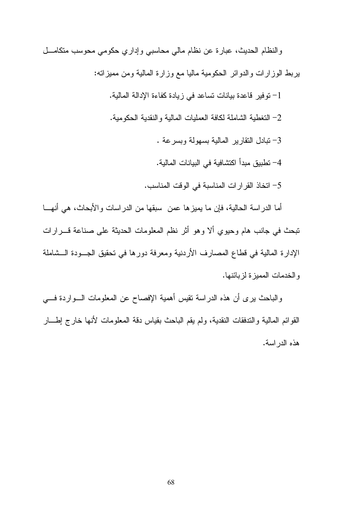والنظام الحديث، عبارة عن نظام مالي محاسبي وإداري حكومي محوسب متكامـــل بربط الوزارات والدوائر الحكومية ماليا مع وزارة المالية ومن مميزاته: 1– توفير فاعدة بيانات تساعد في زيادة كفاءة الإدالة المالية. 2– التغطية الشاملة لكافة العمليات المالية و النقدية الحكومية. 3- تبادل النقارير المالية بسهولة وبسرعة . 4– تطبيق مبدأ اكتشافية في البيانات المالية. 5– اتخاذ القرارات المناسبة في الوقت المناسب.

أما الدراسة الحالية، فإن ما يميز ها عمن سبقها من الدر اسات و الأبحاث، هي أنهـــا تبحث في جانب هام وحيوي ألا وهو أثر نظم المعلومات الحديثة على صناعة قــــرارات الإدارة المالية في قطاع المصارف الأردنية ومعرفة دورها في تحقيق الجـــودة الـــشاملة و الخدمات المميز ة لز بائنها.

والباحث برى أن هذه الدراسة نقيس أهمية الإفصاح عن المعلومات الـــواردة فــــي القوائم المالية والتدفقات النقدية، ولم يقم الباحث بقياس دقة المعلومات لأنها خارج إطـــار هذه الدر اسة.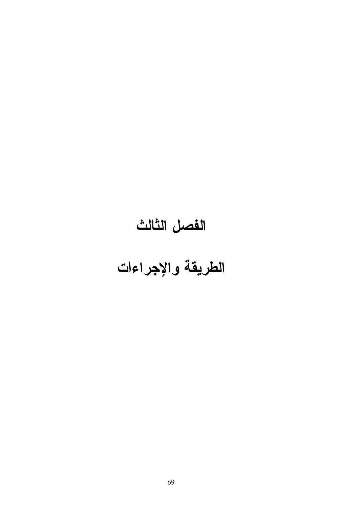# الفصل الثالث

### الطريقة والإجراءات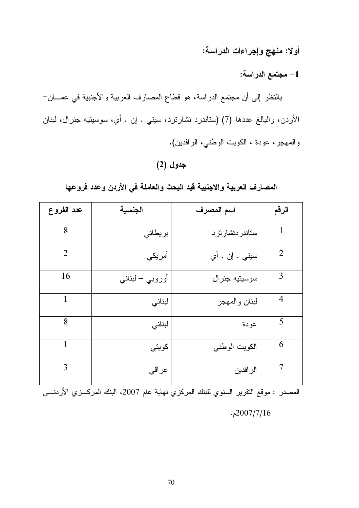أولا: منهج وإجراءات الدراسة:

1– مجتمع الدراسة:

بالنظر إلى أن مجتمع الدراسة، هو قطاع المصارف العربية والأجنبية في عمـــان-الأردن، والبالغ عددها (7) (ستاندرد نشارنرد، سيتي . إن . أي، سوسيتيه جنرال، لبنان والمهجر، عودة ، الكويت الوطني، الرافدين).

### جدول (2)

المصارف العربية والاجنبية قيد البحث والعاملة في الأردن وعدد فروعها

| عدد الفروع     | الجنسية         | اسم المصرف     | الرقم          |
|----------------|-----------------|----------------|----------------|
| 8              | بريطاني         | ستاندردتشارترد | $\mathbf{1}$   |
| $\overline{2}$ | أمريكي          | سيتي . إن . أي | $\overline{2}$ |
| 16             | أوروبي – لبناني | سوسيتيه جنرال  | 3              |
| 1              | لبناني          | لبنان والمهجر  | $\overline{4}$ |
| 8              | لبناني          | عودة           | 5              |
| 1              | كويتى           | الكويت الوطني  | 6              |
| 3              | عراقي           | الر افدين      | 7              |

المصدر : موقع النقرير السنوي للبنك المركزي نهاية عام 2007، البنك المركـــزي الأردنــــي  $.2007/7/16$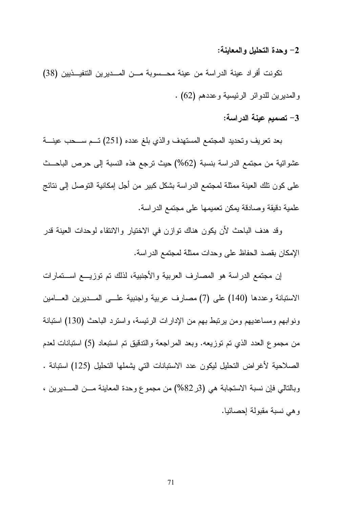2– وحدة التحليل والمعاينة:

تكونت أفراد عينة الدراسة من عينة محـسوبة مــن المــديرين التنفيــذيين (38) والمديرين للدوائر الرئيسية وعددهم (62) .

3– تصميم عينة الدراسة:

بعد تعريف وتحديد المجتمع المستهدف والذي بلغ عدده (251) تسم ســحب عينـــة عشوائية من مجتمع الدراسة بنسبة (62%) حيث ترجع هذه النسبة إلى حرص الباحــث على كون نلك العينة ممثلة لمجتمع الدراسة بشكل كبير من أجل إمكانية التوصل إلى نتائج علمية دقيقة وصلاقة بمكن تعميمها على مجتمع الدر اسة.

وقد هدف الباحث لأن يكون هناك توازن في الاختيار والانتقاء لوحدات العينة قدر الإمكان بقصد الحفاظ على وحدات ممثلة لمجتمع الدراسة.

إن مجتمع الدراسة هو المصارف العربية والأجنبية، لذلك تم توزيــــع اســـتمارات الاستبانة وعددها (140) على (7) مصارف عربية واجنبية علـــي المـــديرين العـــامين ونوابهم ومساعديهم ومن يرتبط بهم من الإدارات الرئيسة، واسترد الباحث (130) استبانة من مجموع العدد الذي تم توزيعه. وبعد المراجعة والندقيق تم استبعاد (5) استبانات لعدم الصلاحية لأغراض التحليل ليكون عدد الاستبانات التي يشملها التحليل (125) استبانة . وبالتالي فإن نسبة الاستجابة هي (3ر82%) من مجموع وحدة المعاينة مـــن المـــديرين ، وهي نسبة مقبولة إحصائيا.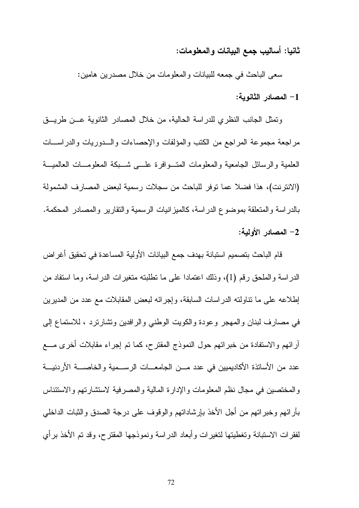### ثانيا: أساليب جمع البيانات والمعلومات:

سعي الباحث في جمعه للبيانات والمعلومات من خلال مصدرين هامين: 1– المصادر الثانوية:

وتمثِّل الجانب النظري للدراسة الحالية، من خلال المصادر الثانوية عـــن طريـــق مر اجعة مجموعة المراجع من الكتب والمؤلفات والإحصاءات والسدوريات والدر اسسات العلمية والرسائل الجامعية والمعلومات المتسوافرة علسى شسبكة المعلومسات العالميسة (الانتز نت)، هذا فضلا عما توفر للباحث من سجلات رسمية لبعض المصار ف المشمولة بالدراسة والمتعلقة بموضوع الدراسة، كالميزانيات الرسمية والتقارير والمصادر المحكمة. 2– المصادر الأولية:

قام الباحث بتصميم استبانة بهدف جمع البيانات الأولية المساعدة في تحقيق أغراض الدراسة والملحق رقم (1)، وذلك اعتمادا على ما نطلبته متغيرات الدراسة، وما استفاد من إطلاعه على ما نتاولته الدراسات السابقة، وإجرائه لبعض المقابلات مع عدد من المديرين في مصارف لبنان والمهجر وعودة والكويت الوطنبي والرافدين ونشارترد ، للاستماع إلىي أرائهم والاستفادة من خبراتهم حول النموذج المقترح، كما تم إجراء مقابلات أخرى مــــع عدد من الأساتذة الأكاديميين في عدد مـــن الجامعـــات الرســـمية والخاصــــة الأردنيـــة والمختصين في مجال نظم المعلومات والإدارة المالية والمصرفية لاستشارتهم والاستئناس بأرائهم وخبراتهم من أجل الأخذ بإرشاداتهم والوقوف على درجة الصدق والشبات الداخلي لفقرات الاستبانة وتغطيتها لتغيرات وأبعاد الدراسة ونموذجها المقترح، وقد تم الأخذ برأى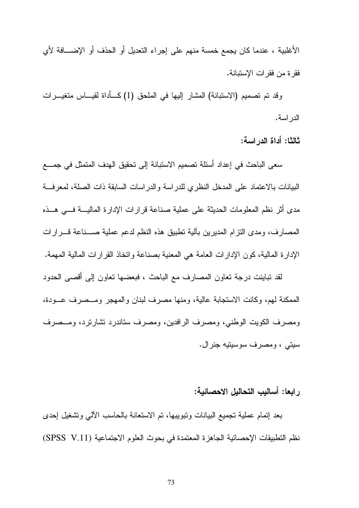الأغلبية ، عندما كان يجمع خمسة منهم على إجراء النعديل أو الحذف أو الإضـــافة لأي فقر ة من فقر ات الإستبانة.

وقد تم تصميم (الاستبانة) المشار إليها في الملحق (1) كــأداة لقيـــاس متغيـــرات الدر اسة.

ثالثًا: أداة الدراسة:

سعى الباحث في إعداد أسئلة تصميم الاستبانة إلى تحقيق الهدف المتمثل في جمـــع البيانات بالاعتماد على المدخل النظر ى للدر اسة و الدر اسات السابقة ذات الصلة، لمعر فسة مدى أثر نظم المعلومات الحديثة على عملية صناعة قرارات الإدارة الماليسة فسى هسذه المصارف، ومدى النزام المديرين بألية نطبيق هذه النظم لدعم عملية صـــناعة قـــرارات الإدارة المالية، كون الإدارات العامة هي المعنية بصناعة واتخاذ القرارات المالية المهمة.

لقد تباينت درجة تعاون المصارف مع الباحث ، فبعضها تعاون إلى أقصى الحدود الممكنة لمهم، وكانت الاستجابة عالية، ومنها مصرف لبنان والمهجر ومــصرف عــودة، ومصرف الكويت الوطني، ومصرف الرافدين، ومصرف ستاندرد تشارترد، ومــصرف سيتي ، ومصر ف سوسيتيه جنر ال.

ر ابعا: أساليب التحاليل الاحصائية:

بعد إنمام عملية نجميع البيانات ونبويبها، نم الاستعانة بالحاسب الآلبي ونشغيل إحدى نظم التطبيقات الإحصائية الجاهزة المعتمدة في بحوث العلوم الاجتماعية (SPSS V.11)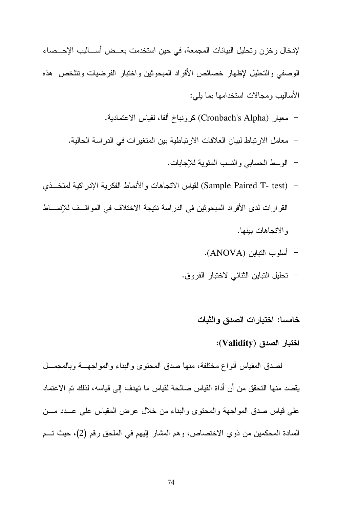لإدخال وخزن وتحليل البيانات المجمعة، في حين استخدمت بعــض أســـاليب الإحـــصـاء الوصفى والتحليل لإظهار خصائص الأفراد المبحوثين واختبار الفرضيات ونتلخص هذه الأساليب ومجالات استخدامها بما يلي:

- معيار (Cronbach's Alpha) كرونباخ ألفا، لقياس الاعتمادية.
- معامل الارتباط لبيان العلاقات الارتباطية بين المتغير ات في الدر اسة الحالية.
	- الوسط الحسابي والنسب المئوية للإجابات.
- (Sample Paired T- test) لقياس الاتجاهات و الأنماط الفكرية الإدر اكية لمتخــذي القرارات لدى الأفراد المبحوثين في الدراسة نتيجة الاختلاف في المواقــف للإنمـــاط و الاتجاهات ببنها.
	- أسلوب النتبابين (ANOVA).
	- تحليل التباين الثنائي لاختبار الفروق.

### خامسا: اختبارات الصدق والثبات

#### اختبار الصدق (Validity):

لصدق المقياس أنواع مختلفة، منها صدق المحتوى والبناء والمواجهــة وبالمجمــل يقصد منها النحقق من أن أداة القياس صـالحة لقياس ما تهدف إلى قياسه، لذلك تم الاعتماد علي قياس صدق المواجهة والمحتوى والبناء من خلال عرض المقياس على عـــدد مـــن السادة المحكمين من ذوي الاختصاص، وهم المشار إليهم في الملحق رقم (2)، حيث تسم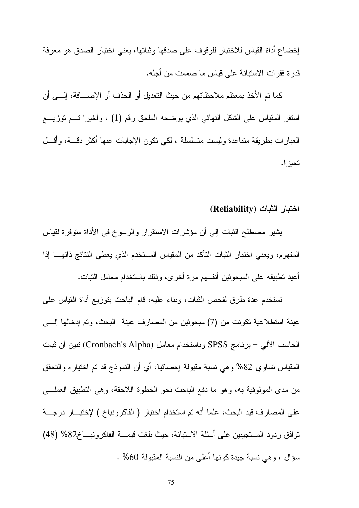إخضاع أداة القياس للاختبار للوقوف على صدقها وثباتها، يعني اختبار الصدق هو معرفة قدر ة فقر ات الاستبانة على قياس ما صممت من أجله.

كما تم الأخذ بمعظم ملاحظاتهم من حيث التعديل أو الحذف أو الإضـــافة، إلـــي أن استقر المقياس على الشكل النهائي الذي يوضحه الملحق رقم (1) ، وأخيرا تسم توزيسع العبارات بطريقة متباعدة وليست متسلسلة ، لكي نكون الإجابات عنها أكثر دقسة، وأقسل تحيز ا.

اختبار الثبات (Reliability)

يشير مصطلح الثبات إلى أن مؤشرات الاستقرار والرسوخ في الأداة متوفرة لقياس المفهوم، ويعني اختبار الثبات التأكد من المقياس المستخدم الذي يعطي النتائج ذاتهـــا إذا أعيد نطبيقه على المبحوثين أنفسهم مرة أخرى، وذلك باستخدام معامل الثبات.

تستخدم عدة طرق لفحص الثبات، وبناء عليه، قام الباحث بتوزيع أداة القياس على عينة استطلاعية تكونت من (7) مبحوثين من المصارف عينة البحث، وتم إدخالها إلــــى الحاسب الآلبي – برنامج SPSS وباستخدام معامل (Cronbach's Alpha) نبين أن ثبات المقياس نساوي 82% وهي نسبة مقبولة إحصائيا، أي أن النموذج قد نم اختياره والنحقق من مدى الموثوقية به، وهو ما دفع الباحث نحو الخطوة اللاحقة، وهي التطبيق العملـــي على المصارف قيد البحث، علما أنه تم استخدام اختبار ( الفاكرونباخ ) لإختبار درجة توافق ردود المستجيبين على أسئلة الاستبانة، حيث بلغت قيمـــة الفاكرونبـــاخ82% (48) سؤال ، وهي نسبة جيدة كونها أعلى من النسبة المقبولة 60% .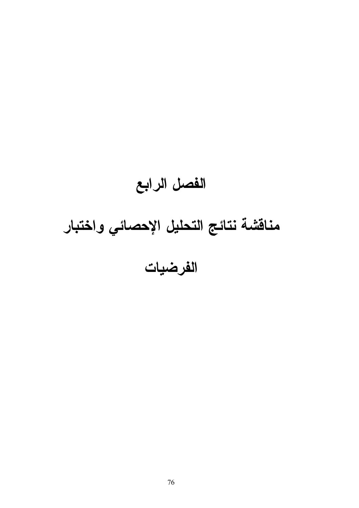## الفصل الرابع مناقشة نتائج التحليل الإحصائي واختبار الفرضيات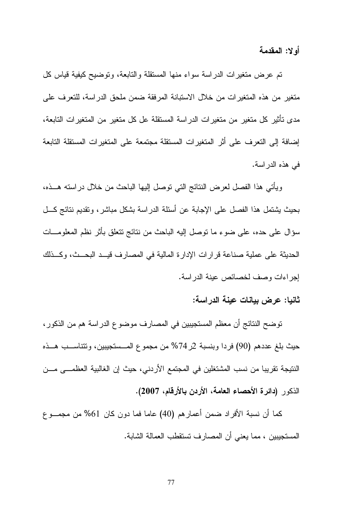أولا: المقدمة

تم عرض متغيرات الدراسة سواء منها المستقلة والتابعة، وتوضيح كيفية قياس كل منغير من هذه المتغيرات من خلال الاستبانة المرفقة ضمن ملحق الدراسة، للتعرف على مدى تأثير كل متغير من متغيرات الدراسة المستقلة عل كل متغير من المتغيرات التابعة، إضافة إلى التعرف على أثر المتغيرات المستقلة مجتمعة على المتغيرات المستقلة التابعة في هذه الدر اسة.

ويأتـي هذا الفصـل لـعرض النتائج التـي توصـل إليها البـاحث من خلال در استه هـــذه، بحيث يشتمل هذا الفصل على الإجابة عن أسئلة الدراسة بشكل مباشر ، ونقديم نتائج كـــل سؤال على حده، على ضوء ما نوصل إليه الباحث من نتائج نتعلق بأثر نظم المعلومـــات الحديثة على عملية صناعة قرارات الإدارة المالية في المصارف قيــد البحــث، وكـــذلك إجراءات وصف لخصائص عينة الدراسة.

ثانيا: عرض بيانات عينة الدراسة:

توضح النتائج أن معظم المستجيبين في المصـارف موضوع الدر اسة هم من الذكور ، حيث بلغ عددهم (90) فردا وبنسبة 2ر 74% من مجموع المـــستجيبين، ونتتاســـب هـــذه النتيجة تقريبا من نسب المشتغلين في المجتمع الأردني، حيث إن الغالبية العظمـــي مـــن الذكور (دائرة الأحصاء العامة، الأردن بالأرقام، 2007).

كما أن نسبة الأفراد ضمن أعمارهم (40) عاما فما دون كان 61% من مجمـــو ع المستجيبين ، مما يعني أن المصـارف تستقطب العمالة الشابة.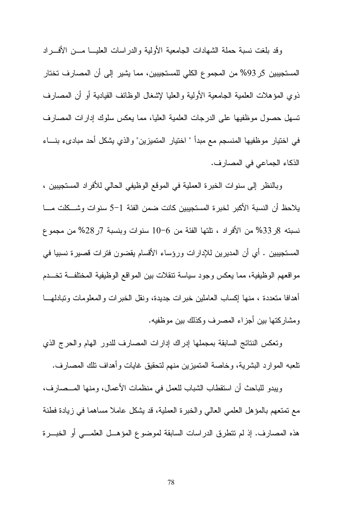وقد بلغت نسبة حملة الشهادات الجامعية الأولية والدراسات العليسا مسن الأفسراد المستجيبين 5ر 93% من المجموع الكلي للمستجيبين، مما يشير إلى أن المصارف تختار ذوى المؤهلات العلمية الجامعية الأولية والعليا لإشغال الوظائف القيادية أو أن المصارف تسهل حصول موظفيها على الدرجات العلمية العليا، مما يعكس سلوك إدارات المصارف في اختيار موظفيها المنسجم مع مبدأ " اختيار المتميزين" والذي يشكل أحد مبادىء بنساء الذكاء الجماعي في المصارف.

وبالنظر إلى سنوات الخبرة العملية في الموقع الوظيفي الحالي للأفراد المستجيبين ، يلاحظ أن النسبة الأكبر لخبرة المستجيبين كانت ضمن الفئة 1–5 سنوات وشـــكلت مـــا نسبته 8ر33% من الأفراد ، تلتها الفئة من 6–10 سنوات وبنسبة 7ر28% من مجموع المستجيبين . أي أن المديرين للإدارات ورؤساء الأقسام يقضون فترات قصيرة نسبيا في مو اقعهم الوظيفية، مما يعكس وجود سياسة تنقلات بين المواقع الوظيفية المختلفـــة تخـــدم أهدافا متعددة ، منها إكساب العاملين خبرات جديدة، ونقل الخبرات والمعلومات وتبادلهـــا ومشاركتها بين أجزاء المصرف وكذلك بين موظفيه.

وتعكس النتائج السابقة بمجملها إدراك إدارات المصارف للدور الهام والحرج الذي تلعبه الموارد البشرية، وخاصة المتميزين منهم لتحقيق غايات و أهداف تلك المصارف.

ويبدو للباحث أن استقطاب الشباب للعمل في منظمات الأعمال، ومنها المـــصـارف، مع نمتعهم بالمؤهل العلمي العالمي والخبرة العملية، قد يشكل عاملاً مساهما في زيادة فطنة هذه المصـارف. إذ لم تتطرق الدراسات السابقة لموضوع المؤهــل العلمـــي أو الخبـــرة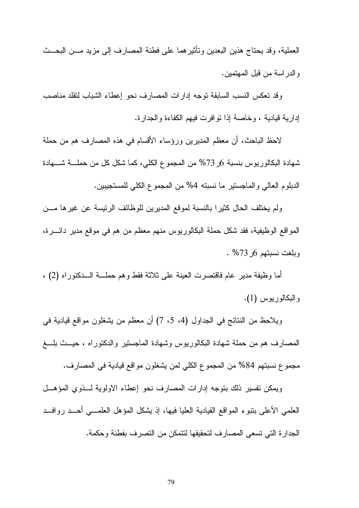العملية، وقد يحتاج هذين البعدين وتأثير هما على فطنة المصارف إلى مزيد مـــن البحـــث و الدر اسة من قبل المهتمين.

وقد نعكس النسب السابقة نوجه إدارات المصارف نحو إعطاء الشباب لنقلد مناصب إدارية قيادية ، وخاصة إذا نوافرت فيهم الكفاءة والجدارة.

لاحظ الباحث، أن معظم المديرين ورؤساء الأقسام في هذه المصارف هم من حملة شهادة البكالوريوس بنسبة 6ر 73% من المجموع الكلي، كما شكل كل من حملــــة شــــهادة الدبلوم العالي والماجستير ما نسبته 4% من المجموع الكلي للمستجيبين.

ولم يختلف الحال كثيرا بالنسبة لموقع المديرين للوظائف الرئيسة عن غيرها مـــن المواقع الوظيفية، فقد شكل حملة البكالوريوس منهم معظم من هم في موقع مدير دائــــرة، وبلغت نسبتهم 6ر73% .

أما وظيفة مدير عام فاقتصرت العينة على ثلاثة فقط وهم حملـــة الـــدكتوراه (2) ، والبكالوريوس (1).

ويلاحظ من النتائج في الجداول (4، 5، 7) أن معظم من يشغلون مواقع قيادية في المصارف هم من حملة شهادة البكالوريوس وشهادة الماجستير والدكتوراه ، حيــث بلـــغ مجموع نسبتهم 84% من المجموع الكلي لمن يشغلون مو اقع قيادية في المصار ف.

ويمكن تفسير ذلك بتوجه إدارات المصارف نحو إعطاء الاولوية للفوى المؤهل العلمي الأعلى بنبوء المواقع القيادية العليا فيها، إذ يشكل المؤهل العلمـــي أحـــد روافـــد الجدارة التي تسعى المصارف لتحقيقها لتتمكن من التصرف بفطنة وحكمة.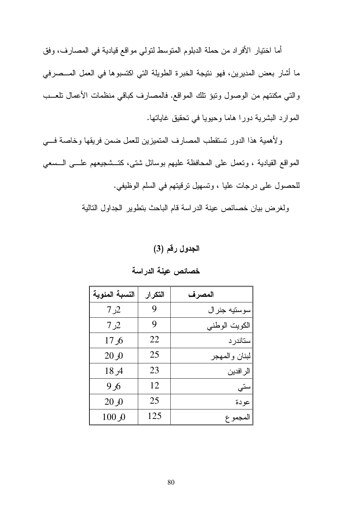أما اختيار الأفراد من حملة الدبلوم المتوسط لتولي مواقع قيادية في المصارف، وفق ما أشار بعض المديرين، فهو نتيجة الخبرة الطويلة التي اكتسبوها في العمل المـــصرفي والتي مكنتهم من الوصول ونبؤ نلك المواقع. فالمصارف كباقي منظمات الأعمال نلعـــب الموارد البشرية دورا هاما وحيويا في تحقيق غاياتها.

ولأهمية هذا الدور تستقطب المصارف المتميزين للعمل ضمن فريقها وخاصة فسى المواقع القيادية ، ونعمل على المحافظة عليهم بوسائل شتى، كَنْـــشْـجيعهم علــــى الــــسعي للحصول على درجات عليا ، وتسهيل ترقيتهم في السلم الوظيفي.

ولغرض بيان خصائص عينة الدراسة قام الباحث بتطوير الجداول التالية

### الجدول رقم (3)

| النسبة المئوية   | التكر إر | المصرف        |
|------------------|----------|---------------|
| 2ر 7             | 9        | سوستيه جنرال  |
| 2ر 7             | 9        | الكويت الوطني |
| 6ر 17            | 22       | ستاندر د      |
| 20 <sub>0</sub>  | 25       | لبنان والمهجر |
| 18 <sub>7</sub>  | 23       | الر افدين     |
| 6ر 9             | 12       | ستي           |
| 20 <sub>0</sub>  | 25       | عودة          |
| 100 <sub>0</sub> | 125      | المجموع       |

### خصائص عينة الدراسة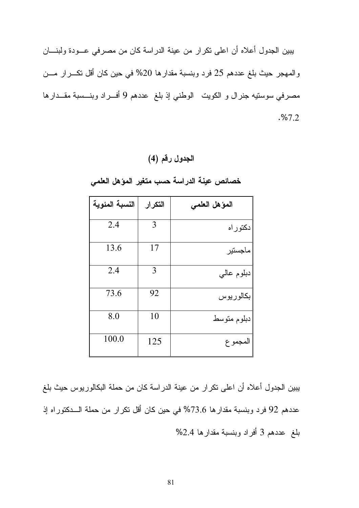يبين الجدول أعلاه أن اعلى نكرار من عينة الدراسة كان من مصرفي عـــودة ولبنــــان والمهجر حيث بلغ عددهم 25 فرد وبنسبة مقدارها 20% في حين كان أقل نكـــرار مـــن مصرفي سوستيه جنرال و الكويت الوطني إذ بلغ عددهم 9 أفـــراد وبنـــسبة مقـــدارها . %7.2

### الجدول رقم (4)

| النسبة المئوية | التكرار | المؤهل العلمى |
|----------------|---------|---------------|
| 2.4            | 3       | دكتوراه       |
| 13.6           | 17      | ماجستير       |
| 2.4            | 3       | دبلوم عاليي   |
| 73.6           | 92      | بكالوريوس     |
| 8.0            | 10      | دبلوم متوسط   |
| 100.0          | 125     | المجموع       |

خصائص عينة الدراسة حسب متغير المؤهل العلمى

يبين الجدول أعلاه أن اعلى نكرار من عينة الدراسة كان من حملة البكالوريوس حيث بلغ عددهم 92 فرد وبنسبة مقدارها 73.6% في حين كان أقل نكرار من حملة الـــدكتوراه إذ بلغ ً عددهم 3 أفراد وبنسبة مقدارها 2.4%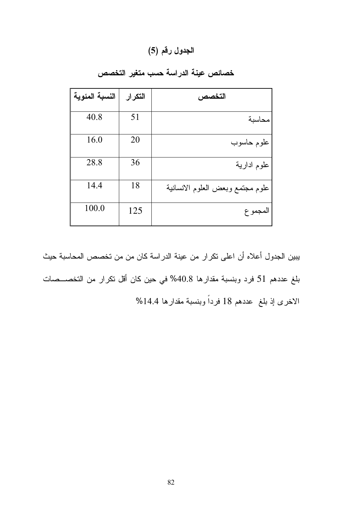### الجدول رقم (5)

| النسبة المئوية | التكرار | التخصص                           |
|----------------|---------|----------------------------------|
| 40.8           | 51      | محاسبة                           |
| 16.0           | 20      | علوم حاسوب                       |
| 28.8           | 36      | علوم ادارية                      |
| 14.4           | 18      | علوم مجتمع وبعض العلوم الانسانية |
| 100.0          | 125     | المجمو ع                         |

خصائص عينة الدراسة حسب متغير التخصص

يبين الجدول أعلاه أن اعلى نكرار من عينة الدراسة كان من من تخصص المحاسبة حيث بلغ عددهم 51 فرد وبنسبة مقدارها 40.8% في حين كان أقل تكرار من التخصــصات الاخرى إذ بلغ عددهم 18 فرداً وبنسبة مقدارها 14.4%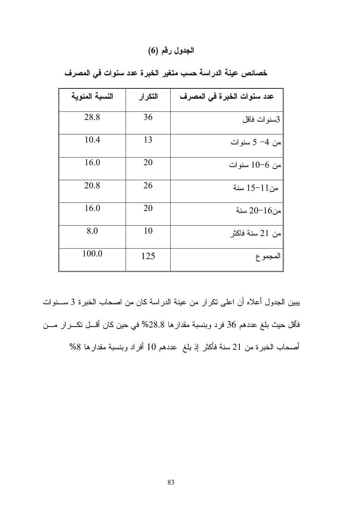### الجدول رقم (6)

| النسبة المئوية | التكرار | عدد سنوات الخبرة في المصرف |
|----------------|---------|----------------------------|
| 28.8           | 36      | 3سنوات فاقل                |
| 10.4           | 13      | من 4– 5 سنوات              |
| 16.0           | 20      | من 6–10 سنو ات             |
| 20.8           | 26      | من11–15 سنة                |
| 16.0           | 20      | من16–20 سنة                |
| 8.0            | 10      | من 21 سنة فاكثر            |
| 100.0          | 125     | المجموع                    |

خصائص عينة الدراسة حسب متغير الخبرة عدد سنوات في المصرف

يبين الجدول أعلاه أن اعلى تكرار من عينة الدراسة كان من اصحاب الخبرة 3 ســـنوات فأقل حيث بلغ عددهم 36 فرد وبنسبة مقدارها 28.8% في حين كان أقسل نكـــرار مـــن أصحاب الخبرة من 21 سنة فأكثر إذ بلغ عددهم 10 أفراد وبنسبة مقدارها 8%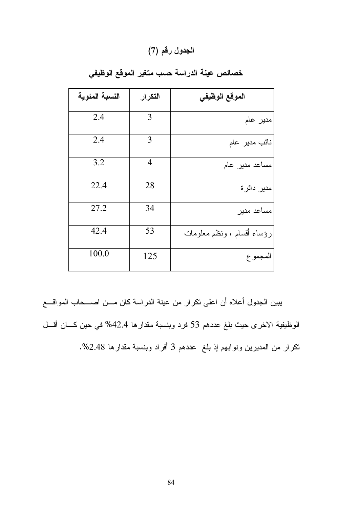### الجدول رقم (7)

| النسبة المئوية | التكرار        | الموقع الوظيفي             |
|----------------|----------------|----------------------------|
| 2.4            | 3              | مدير عام                   |
| 2.4            | 3              | نائب مدير عام              |
| 3.2            | $\overline{4}$ | مساعد مدیر عام             |
| 22.4           | 28             | مدیر دائرۃ                 |
| 27.2           | 34             | مساعد مدير                 |
| 42.4           | 53             | رؤساء أقسام ، ونظم معلومات |
| 100.0          | 125            | المجموع                    |

خصائص عينة الدراسة حسب متغير الموقع الوظيفي

يبين الجدول أعلاه أن اعلى نكرار من عينة الدراسة كان مـــن اصـــحاب المواقـــع الوظيفية الاخرى حيث بلغ عددهم 53 فرد وبنسبة مقدارها 42.4% في حين كـــان أقـــل تكرار من المديرين ونوابهم إذ بلغ عددهم 3 أفراد وبنسبة مقدارها 2.48%.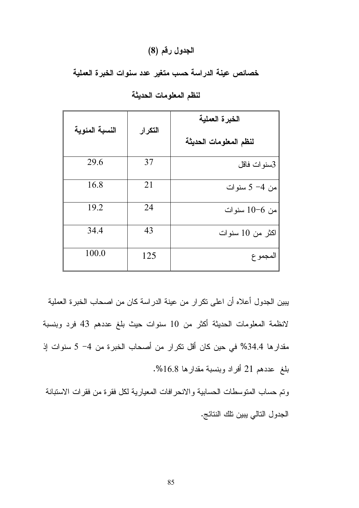### الجدول رقم (8)

خصائص عينة الدراسة حسب متغير عدد سنوات الخبرة العملية

|                |         | الخبرة العملية         |  |
|----------------|---------|------------------------|--|
| النسبة المئوية | التكرار | لنظم المعلومات الحديثة |  |
| 29.6           | 37      | 3سنوات فاقل            |  |
| 16.8           | 21      | من 4- 5 سنوات          |  |
| 19.2           | 24      | من 6–10 سنوات          |  |
| 34.4           | 43      | اكثر من 10 سنوات       |  |
| 100.0          | 125     | المجمو ع               |  |

لنظم المعلومات الحديثة

يبين الجدول أعلاه أن اعلى تكرار من عينة الدراسة كان من اصحاب الخبرة العملية لانظمة المعلومات الحديثة أكثر من 10 سنوات حيث بلغ عددهم 43 فرد وبنسبة مقدار ها 34.4% في حين كان أقل تكرار من أصحاب الخبرة من 4– 5 سنوات إذ بلغ عددهم 21 أفراد وبنسبة مقدارها 16.8%.

وتم حساب المنوسطات الحسابية والانحرافات المعيارية لكل فقرة من فقرات الاستبانة الجدول التالي يبين تلك النتائج.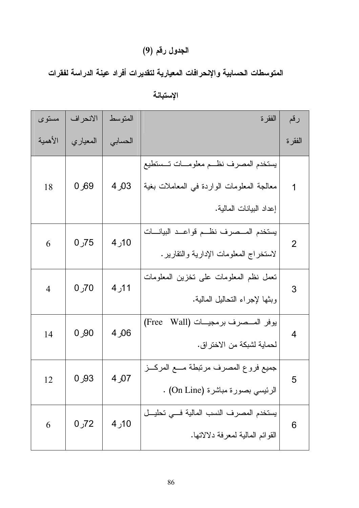### الجدول رقم (9)

المتوسطات الحسابية والإنحرافات المعيارية لتقديرات أفراد عينة الدراسة لفقرات

| مستوى          | الانحراف | المتوسط | الفقر ة                                                                                                         | رقم            |
|----------------|----------|---------|-----------------------------------------------------------------------------------------------------------------|----------------|
| الأهمية        | المعياري | الحسابى |                                                                                                                 | الفقرة         |
| 18             | 69ر0     | 03ر 4   | يستخدم المصرف نظـم معلومـــات تــستطيع<br>معالجة المعلومات الواردة في المعاملات بغية<br>إعداد البيانات المالية. | 1              |
| 6              | 75ر 0    | 10ر 4   | يستخدم المسصرف نظم قواعد البيانسات<br>لاستخراج المعلومات الإدارية والنقارير .                                   | $\overline{2}$ |
| $\overline{4}$ | 70ر 0    | 11ر4    | تعمل نظم المعلومات على تخزين المعلومات<br>وبثها لإجراء التحاليل المالية.                                        | 3              |
| 14             | 90ر 0    | 06ر 4   | (Free<br>يوفر المــصرف برمجيـــات (Wall<br>لحماية لشبكة من الاختراق.                                            | $\overline{4}$ |
| 12             | 0,93     | 07ر4    | جميع فروع المصرف مرنبطة مسع المركــز<br>الرئيسي بصورة مباشرة (On Line) .                                        | 5              |
| 6              | $0J$ 72  | 10ر4    | يستخدم المصرف النسب المالية فسى تحليــل<br>القوائم المالية لمعرفة دلالاتها.                                     | 6              |

الإستبانة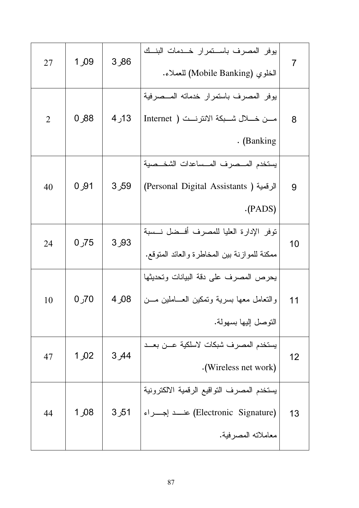| 7  | يوفر المصرف باســتمرار خــدمات البنــك<br>الخلوي (Mobile Banking) للعملاء.                                    | 86ر3  | 1 <sub>0</sub> 09 | 27             |
|----|---------------------------------------------------------------------------------------------------------------|-------|-------------------|----------------|
| 8  | بوفر المصرف باستمرار خدماته المــصرفية<br>مـــن خـــــلال شــــبكة الانترنــــت ( Internet<br>. (Banking      | 13ر4  | 0,88              | $\overline{2}$ |
| 9  | يستخدم المسصرف المسساعدات الشخسصبة<br>الرقمية ( Personal Digital Assistants)<br>(PADS)                        | 59ر3  | 0,91              | 40             |
| 10 | نوفر الإدارة العليا للمصرف أفسضل نسسة<br>ممكنة للموازنة بين المخاطرة والعائد المنوقع.                         | 93ر 3 | $0J$ 75           | 24             |
| 11 | يحرص المصرف على دقة البيانات وتحديثها<br>والنعامل معها بسرية ونمكين العـــاملين مـــن<br>التوصل اليها بسهولة. | 08ر 4 | 70ر 0             | 10             |
| 12 | يستخدم المصرف شبكات لاسلكية عــن بعــد<br>.(Wireless net work)                                                | 3,44  | 1,02              | 47             |
| 13 | يستخدم المصرف التواقيع الرقمية الالكترونية<br>(Electronic Signature) عنسد إجسراء<br>معاملاته المصرفية.        | 51ر3  | 1,08              | 44             |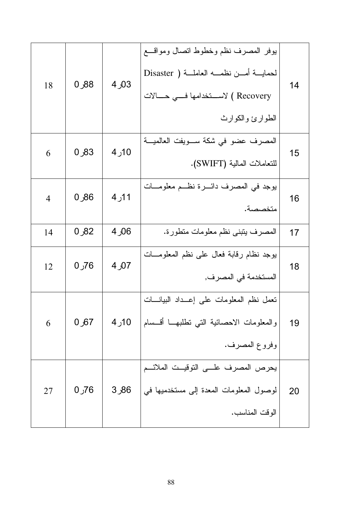| 18             | 0,88 | 03ر4  | بوفر المصرف نظم وخطوط انصال ومواقسع<br>لحمايسة أمسن نظمسه العاملسة ( Disaster<br>Recovery ) لاســـتخدامها فــــى حـــــالات<br>الطوارئ والكوارث | 14 |
|----------------|------|-------|-------------------------------------------------------------------------------------------------------------------------------------------------|----|
| 6              | 83ر0 | 10ر 4 | المصرف عضو في شكة ســـويفت العالميـــة<br>للتعاملات المالية (SWIFT).                                                                            | 15 |
| $\overline{4}$ | 86ر0 | 11ر4  | يوجد في المصرف دائــــرة نظــــم معلومــــات<br>متخصصة.                                                                                         | 16 |
| 14             | 82ر0 | 06ر 4 | المصرف يتبنى نظم معلومات متطورة.                                                                                                                | 17 |
| 12             | 76ر0 | 07ر 4 | يوجد نظام رقابة فعال علىي نظم المعلومـــات<br>المستخدمة في المصرف,                                                                              | 18 |
| 6              | 67ر0 | 10ر4  | تعمل نظم المعلومات على إعــداد البيانـــات<br>والمعلومات الاحصائية التبي نطلبهـــا أقـــسام<br>وفروع المصرف.                                    | 19 |
| 27             | 76ر0 | 86ر 3 | يحرص المصرف علـــى التوقيــت الملائـــم<br>لوصول المعلومات المعدة إلى مستخدميها في<br>الوقت المناسب.                                            | 20 |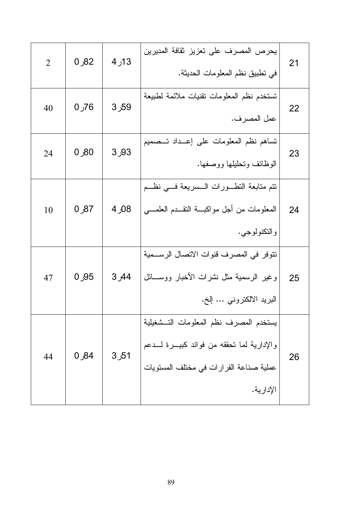| 2  | 82ر0    | 13ر4  | يحرص المصرف على تعزيز ثقافة المديرين<br>في تطبيق نظم المعلومات الحديثة.                                                                          | 21 |
|----|---------|-------|--------------------------------------------------------------------------------------------------------------------------------------------------|----|
| 40 | 76ر0    | 59ر 3 | تستخدم نظم المعلومات نقنيات ملائمة لطبيعة<br>عمل المصرف.                                                                                         | 22 |
| 24 | $00$ ر0 | 93ر3  | تساهم نظم المعلومات على إعــداد تــصميم<br>الوظائف ونحليلها ووصفها.                                                                              | 23 |
| 10 | 87ر0    | 08ر 4 | نتم متابعة النطـــورات الـــسريعة فــــي نظـــم<br>المعلومات من أجل مواكبـــة النقـــدم العلمــــي<br>و التكنولوجي.                              | 24 |
| 47 | 0,95    | 44ر3  | تتوفر في المصرف قنوات الاتصال الرســمية<br>وغير الرسمية مثل نشرات الأخبار ووســـائل<br>البريد الالكترونـي … إلخ.                                 | 25 |
| 44 | 84ر0    | 51ر3  | يستخدم المصرف نظم المعلومات التسشغيلية<br>والإدارية لما تحققه من فوائد كبيـــرة لــــدعم<br>عملية صناعة القرارات في مختلف المستويات<br>الإدارية. | 26 |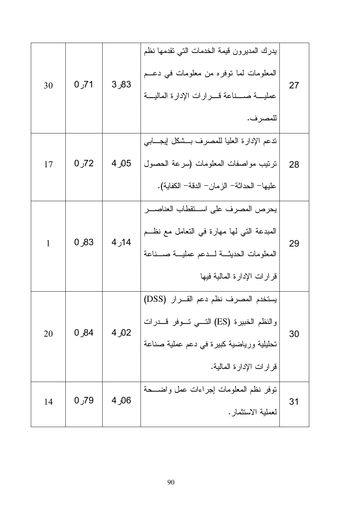| 30 | 71ر 0 | 83ر3  | بدرك المديرون قيمة الخدمات التي تقدمها نظم<br>المعلومات لما نوفره من معلومات في دعــم<br>عمليسة صسناعة فسرارات الإدارة الماليسة<br>للمصرف.                    | 27 |
|----|-------|-------|---------------------------------------------------------------------------------------------------------------------------------------------------------------|----|
| 17 | 72ر0  | 05ر 4 | ندعم الإدارة العليا للمصرف بسشكل إيجسابي<br>نرنيب مواصفات المعلومات (سرعة الحصول<br>عليها– الحداثة– الزمان– الدقة– الكفاية).                                  | 28 |
| 1  | 83ر0  | 14ر 4 | يحرص المصرف على استقطاب العناصـــر<br>المبدعة التي لها مهارة في التعامل مع نظــم<br>المعلومات الحديثة لسدعم عمليسة صسناعة<br>قرارات الإدارة المالية فيها      | 29 |
| 20 | 84ر0  | 02ر4  | يستخدم المصرف نظم دعم القـــرار (DSS)<br>والنظم الخبيرة (ES) التـــي تـــوفر قــــدرات<br>تحليلية ورياضية كبيرة في دعم عملية صناعة<br>قرارات الإدارة المالية. | 30 |
| 14 | 79ر 0 | 06ر 4 | نوفر نظم المعلومات إجراءات عمل واضـــحة<br>لعملية الاستثمار .                                                                                                 | 31 |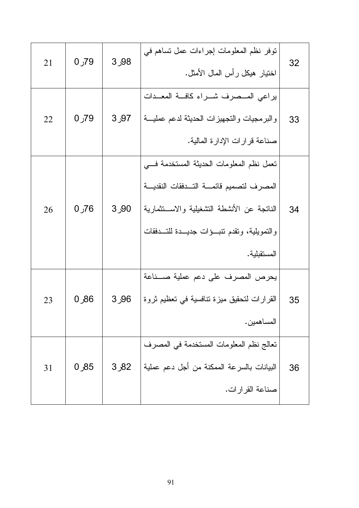| 32 | نوفر نظم المعلومات إجراءات عمل نساهم في<br>اختيار هيكل رأس المال الأمثل.     | 98ر 3 | 79ر 0   | 21 |
|----|------------------------------------------------------------------------------|-------|---------|----|
| 33 | يراعى المسصرف شراء كافة المعدات<br>والبرمجيات والتجهيزات الحديثة لدعم عمليسة | 97ر3  | $00$ 79 | 22 |
|    | صناعة قرارات الإدارة المالية.                                                |       |         |    |
| 34 | تعمل نظم المعلومات الحديثة المستخدمة فسي                                     |       |         |    |
|    | المصرف لتصميم قائمة التهفقات النقديسة                                        | 90ر3  | 76ر0    | 26 |
|    | الناتجة عن الأنشطة التشغيلية والاســتثمارية                                  |       |         |    |
|    | والنمويلية، وتقدم نتبئوات جديـــدة للتـــدفقات                               |       |         |    |
|    | المستقبلية.                                                                  |       |         |    |
| 35 | يحرص المصرف على دعم عملية صـــناعة                                           |       |         |    |
|    | القرارات لتحقيق ميزة تنافسية في تعظيم ثروة                                   | 96ر3  | 86ر0    | 23 |
|    | المساهمين.                                                                   |       |         |    |
| 36 | تعالج نظم المعلومات المستخدمة في المصرف                                      |       |         |    |
|    | البيانات بالسرعة الممكنة من أجل دعم عملية                                    | 82ر3  | 85ر0    | 31 |
|    | صناعة القرارات.                                                              |       |         |    |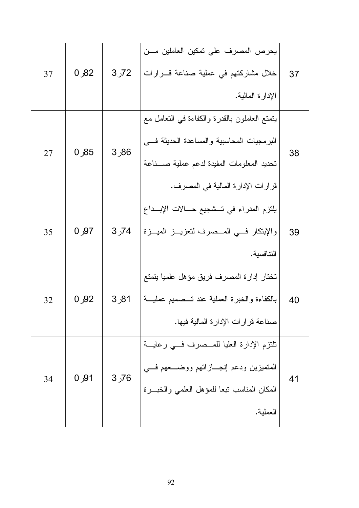|    |      |                   | يحرص المصرف على تمكين العاملين مـــن           |    |
|----|------|-------------------|------------------------------------------------|----|
| 37 | 82ر0 | 72ر3              | خلال مشاركتهم في عملية صناعة قــــرارات        | 37 |
|    |      |                   | الإدارة المالية.                               |    |
|    |      |                   | يتمتع العاملون بالقدرة والكفاءة فبي التعامل مع |    |
| 27 | 85ر0 | 86ر3              | البرمجيات المحاسبية والمساعدة الحديثة فسي      | 38 |
|    |      |                   | تحديد المعلومات المفيدة لدعم عملية صــــناعة   |    |
|    |      |                   | قرار ات الإدار ة المالية في المصرف.            |    |
|    |      |                   | يلتزم المدراء في تـــشجيع حـــالات الإبـــداع  |    |
| 35 | 0,97 | 74ر3              | والإبتكار فسي المسصرف لتعزيـــز الميـــزة      | 39 |
|    |      |                   | التنافسية.                                     |    |
|    |      |                   | تختار إدارة المصرف فريق مؤهل علميا يتمتع       |    |
| 32 | 0,92 | 81ر3              | بالكفاءة والخبرة العملية عند تــصميم عمليـــة  | 40 |
|    |      |                   | صناعة قرارات الإدارة المالية فيها.             |    |
|    |      |                   | تلتزم الإدارة العليا للمــصرف فـــي رعايـــة   |    |
| 34 | 91ر0 | 3 <sub>0</sub> 76 | المتميزين ودعم إنجـــازاتهم ووضــــعهم فــــي  | 41 |
|    |      |                   | المكان المناسب نبعا للمؤهل العلمى والخبــرة    |    |
|    |      |                   | العملية.                                       |    |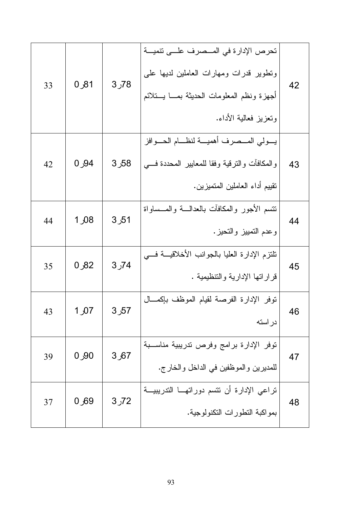| 33 | 81ر0             | 78ر 3 | تحرص الإدارة في المــصرف علـــي تتميـــة<br>ونطوير قدرات ومهارات العاملين لديها على<br>أجهزة ونظم المعلومات الحديثة بمسا يستلائم<br>وتعزيز فعالية الأداء. | 42 |
|----|------------------|-------|-----------------------------------------------------------------------------------------------------------------------------------------------------------|----|
| 42 | 94ر0             | 58ر3  | يسولي المسصرف أهميسة لنظسام الحسوافز<br>والمكافأت والنرقية وفقا للمعابير المحددة فسي<br>نقييم أداء العاملين المتميزين.                                    | 43 |
| 44 | 1,08             | 51ر3  | نتسم الأجور والمكافآت بالعدالسة والمسساواة<br>وعدم النمبيز والنحيز.                                                                                       | 44 |
| 35 | 82ر0             | 74ر 3 | نلتزم الإدارة العليا بالجوانب الأخلاقيسة فسي<br>قراراتها الإدارية والتنظيمية .                                                                            | 45 |
| 43 | 1,07             | 57ر3  | نوفر الإدارة الفرصة لقيام الموظف بإكمـــال<br>دراسته                                                                                                      | 46 |
| 39 | $00$ 0           | 67ر3  | نوفر الإدارة برامج وفرص تدريبية مناســبة<br>للمديرين والموظفين في الداخل والخارج.                                                                         | 47 |
| 37 | 0 <sub>0</sub> 0 | 72ر3  | تراعى الإدارة أن نتسم دوراتهــا التدريبيــة<br>بمواكبة النطورات النكنولوجية.                                                                              | 48 |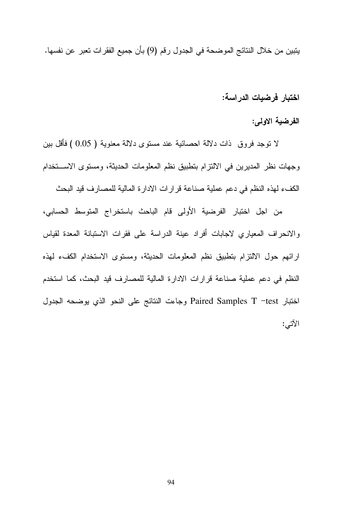يتبين من خلال النتائج الموضحة في الجدول رقم (9) بأن جميع الفقرات تعبر عن نفسها.

اختبار فرضيات الدراسة:

الفرضية الاولى:

لا نوجد فروق ذات دلالة احصائية عند مسنوى دلالة معنوية ( 0.05 ) فأقل بين وجهات نظر المديرين في الالتزام بتطبيق نظم المعلومات الحديثة، ومستوى الاستخدام الكفء لهذه النظم في دعم عملية صناعة قرارات الادار ة المالية للمصارف قيد البحث

من اجل اختبار الفرضية الأولى قام الباحث باستخراج المتوسط الحسابي، والانحراف المعياري لاجابات أفراد عينة الدراسة على فقرات الاستبانة المعدة لقياس ارائهم حول الالتزام بتطبيق نظم المعلومات الحديثة، ومستوى الاستخدام الكفء لهذه النظم في دعم عملية صناعة قرارات الادارة المالية للمصارف فيد البحث، كما استخدم اختبار Paired Samples T -test وجاءت النتائج على النحو الذي يوضحه الجدول الآتى: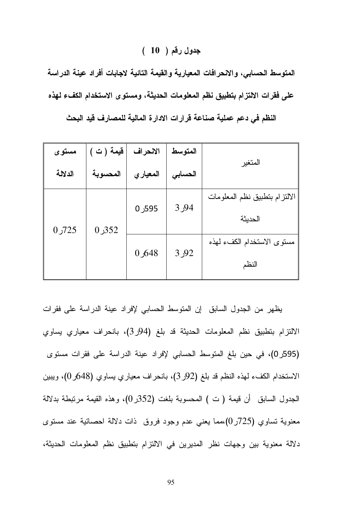### جدول رقم ( 10 )

المتوسط الحسابي، والانحرافات المعيارية والقيمة التائية لاجابات أفراد عينة الدراسة على فقرات الالتزام بتطبيق نظم المعلومات الحديثة، ومستوى الاستخدام الكفء لهذه

| مستوى   | قيمة (ت) | الانحراف  | المتوسط |                                          |  |
|---------|----------|-----------|---------|------------------------------------------|--|
| الدلالة | المحسوبة | المعيار ي | الحسابى | المتغير                                  |  |
| 725ر0   | 352ر0    | 595ر0     | 94ر3    | الالتزام بتطبيق نظم المعلومات<br>الحديثة |  |
|         |          | 0,648     | 3 ول    | مستوى الاستخدام الكفء لهذه<br>النظم      |  |

النظم في دعم عملية صناعة قرارات الادارة المالية للمصارف قيد البحث

يظهر من الجدول السابق إن المتوسط الحسابي لإفراد عينة الدراسة على فقرات الالتزام بتطبيق نظم المعلومات الحديثة قد بلغ (94ر3)، بانحراف معياري يساوي (595ر0)، في حين بلغ المتوسط الحسابي لإفراد عينة الدراسة على فقرات مستوى الاستخدام الكفء لهذه النظم قد بلغ (92ر 3)، بانحر اف معياري يساوي (648ر 0)، ويبين الجدول السابق ۖ أن قيمة ( ت ) المحسوبة بلغت (352ر0)، و هذه القيمة مرتبطة بدلالة معنوية نساوي (725ر0)،مما يعني عدم وجود فروق ذات دلالة احصائية عند مستوى دلالة معنوية بين وجهات نظر المديرين في الالتزام بتطبيق نظم المعلومات الحديثة،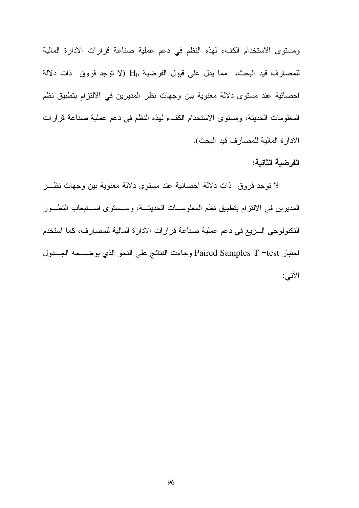ومستوى الاستخدام الكفء لهذه النظم في دعم عملية صناعة قرارات الادارة المالية للمصارف قيد البحث، مما يدل على قبول الفرضية H (لا توجد فروق ذات دلالة احصائية عند مستوى دلالة معنوية بين وجهات نظر المديرين في الالتزام بتطبيق نظم المعلومات الحديثة، ومستوى الاستخدام الكفء لمهذه النظم في دعم عملية صناعة قرارات الادارة المالية للمصارف قيد البحث).

### الفرضبة الثانية:

لا نوجد فروق ذات دلالة احصائية عند مستوى دلالة معنوية بين وجهات نظـــر المديرين في الالتزام بتطبيق نظم المعلومـــات الحديثـــة، ومـــستوى اســـتيعاب التطـــور النكنولوجي السريع في دعم عملية صناعة قرارات الادارة المالية للمصارف، كما استخدم اختبار Paired Samples T –test وجاءت النتائج على النحو الذي بوضـــحه الجـــدول الآتى: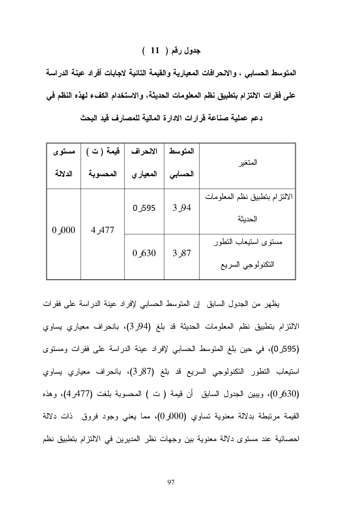### جدول رقم ( 11 )

المتوسط الحسابي ، والانحرافات المعيارية والقيمة التائية لاجابات أفراد عينة الدراسة على فقرات الالتزام بتطبيق نظم المعلومات الحديثة، والاستخدام الكفء لهذه النظم في

| مستوى       | قيمة (ت) | الانحراف | المتوسط |                                           |  |
|-------------|----------|----------|---------|-------------------------------------------|--|
| الدلالة     | المحسوبة | المعياري | الحسابى | المتغير                                   |  |
| $000$ ر $0$ | 477ر4    | 595ر0    | 3,94    | الالتزام بتطبيق نظم المعلومات<br>الحديثة  |  |
|             |          | 0,630    | 87ر3    | مسنوى استبعاب التطور<br>التكنولوجي السريع |  |

دعم عملية صناعة قرارات الادارة المالية للمصارف قيد البحث

يظهر من الجدول السابق إن المنوسط الحسابي لإفراد عينة الدراسة على فقرات الالتزام بتطبيق نظم المعلومات الحديثة قد بلغ (94ر3)، بانحراف معياري يساوي (595ر0)، في حين بلغ المتوسط الحسابي لإفراد عينة الدراسة على فقرات ومستوى استيعاب التطور التكنولوجي السريع قد بلغ (87ر3)، بانحراف معياري يساوي (530ر0)، ويبين الجدول السابق أن قيمة (ت ) المحسوبة بلغت (477ر4)، وهذه القيمة مرتبطة بدلالة معنوية تساوي (000ر0)، مما يعني وجود فروق ذات دلالة احصـائية عند مستوى دلالة معنوية بين وجهات نظر المديرين في الالتزام بتطبيق نظم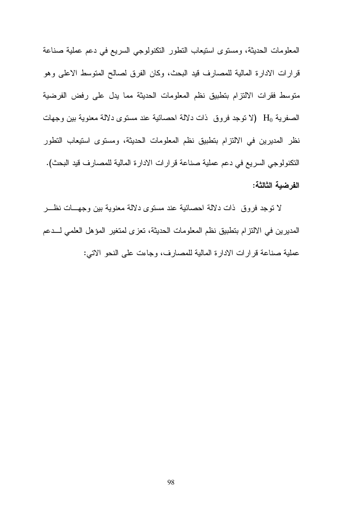المعلومات الحديثة، ومستوى استيعاب النطور النكنولوجي السريع في دعم عملية صناعة قرارات الادارة المالية للمصارف قيد البحث، وكان الفرق لصالح المتوسط الاعلى وهو متوسط فقرات الالتزام بتطبيق نظم المعلومات الحديثة مما يدل على رفض الفرضية الصفرية H0 (لا نوجد فروق ذات دلالة احصائية عند مستوى دلالة معنوية بين وجهات نظر المديرين في الالتزام بتطبيق نظم المعلومات الحديثة، ومستوى استيعاب التطور النكنولوجي السريع في دعم عملية صناعة قرارات الادارة المالية للمصارف قيد البحث). الفرضية الثالثة:

لا نوجد فروق ذات دلالة احصائية عند مستوى دلالة معنوية بين وجهـــات نظـــر المديرين في الالتزام بتطبيق نظم المعلومات الحديثة، تعزى لمتغير المؤهل العلمي لـــدعم عملية صناعة قرارات الادارة المالية للمصارف، وجاءت على النحو الاتبي: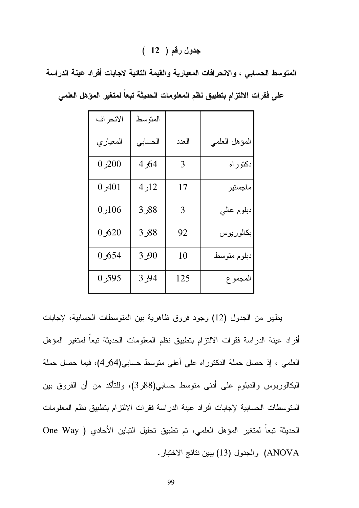### جدول رقم ( 12 )

المتوسط الحسابي ، والانحرافات المعيارية والقيمة التائية لاجابات أفراد عينة الدراسة

| الانحراف | المتو سط |                |               |
|----------|----------|----------------|---------------|
| المعياري | الحسابى  | العدد          | المؤهل العلمي |
| 0,200    | 64ر 4    | $\overline{3}$ | دکتوراه       |
| 401ر 0   | 12ر4     | 17             | ماجستير       |
| 0,106    | 88ر 3    | 3              | دبلوم عالي    |
| 0,620    | 88ر 3    | 92             | بكالوريوس     |
| 654ر0    | 90ر 3    | 10             | دبلوم متوسط   |
| 595ر0    | 94ر 3    | 125            | المجموع       |

على فقرات الالتزام بتطبيق نظم المعلومات الحديثة تبعاً لمتغير المؤهل العلمي

يظهر من الجدول (12) وجود فروق ظاهرية بين المنوسطات الحسابية، لإجابات أفراد عينة الدراسة فقرات الالتزام بتطبيق نظم المعلومات الحديثة تبعا لمتغير المؤهل العلمي ، إذ حصل حملة الدكتوراه على أعلى متوسط حسابي(4/ر4)، فيما حصل حملة البكالوريوس والدبلوم على أدنى متوسط حسابي(88ر3)، وللتأكد من أن الفروق بين المتوسطات الحسابية لإجابات أفراد عينة الدراسة فقرات الالتزام بتطبيق نظم المعلومات الحديثة تبعاً لمتغير المؤهل العلمي، تم تطبيق تحليل التباين الأحادي ( One Way ANOVA) والجدول (13) بيين نتائج الاختبار.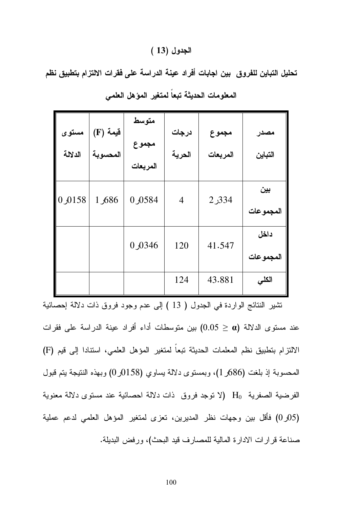### الجدول (13 )

تحليل التباين للفروق بين اجابات أفراد عينة الدراسة على فقرات الالتزام بتطبيق نظم

| مستوى<br>الدلالة | فَيمة (F)<br>المحسوبة | متوسط<br>مجموع<br>المربعات | درجات<br>الحرية | مجموع<br>المربعات | مصدر<br>التباين   |
|------------------|-----------------------|----------------------------|-----------------|-------------------|-------------------|
| 0,0158           | 1,686                 | 0 0 584                    | $\overline{4}$  | 334ر2             | بين<br>المجموعات  |
|                  |                       | 0 0 346                    | 120             | 41.547            | داخل<br>المجموعات |
|                  |                       |                            | 124             | 43.881            | الكلى             |

المعلومات الحديثة تبعاً لمتغير المؤهل العلمى

نتثنير النتائج الواردة في الجدول ( 13 ) إلى عدم وجود فروق ذات دلالة إحصائية عند مستوى الدلالة (0.05  $\alpha$ ) بين متوسطات أداء أفراد عينة الدراسة على فقرات الالتزام بتطبيق نظم المعلمات الحديثة تبعاً لمتغير المؤهل العلمي، استنادا إلى قيم (F) المحسوبة إذ بلغت (686ر 1)، وبمستوى دلالة يساوى (0158ر0) وبهذه النتيجة بتم قبول الفرضية الصفرية H (لا توجد فروق ذات دلالة احصائية عند مستوى دلالة معنوية (05ر0) فأقل بين وجهات نظر المديرين، تعزى لمتغير المؤهل العلمي لدعم عملية صناعة قرارات الادارة المالية للمصارف قيد البحث)، ورفض البديلة.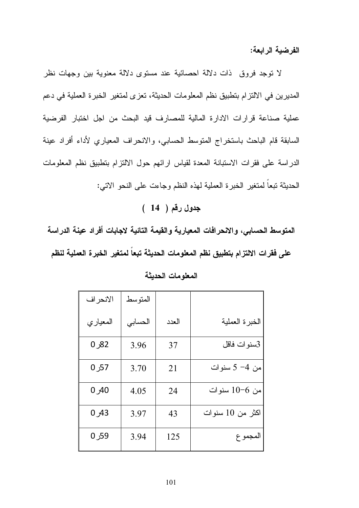الفرضبة الرابعة:

لا نوجد فروق ذات دلالة احصائية عند مستوى دلالة معنوية بين وجهات نظر المديرين في الالتزام بتطبيق نظم المعلومات الحديثة، تعزى لمتغير الخبرة العملية في دعم عملية صناعة قرارات الادارة المالية للمصارف قيد البحث من اجل اختبار الفرضية السابقة قام الباحث باستخراج المتوسط الحسابي، والانحراف المعياري لأداء أفراد عينة الدراسة على فقرات الاستبانة المعدة لقياس ارائهم حول الالتزام بتطبيق نظم المعلومات الحديثة نبعاً لمتغير الخبرة العملية لـهذه النظم وجاءت علـى النحو الاتـي:

جدول رقم ( 14 )

المتوسط الحسابي، والانحرافات المعيارية والقيمة التائية لاجابات أفراد عينة الدراسة على فقرات الالتزام بتطبيق نظم المعلومات الحديثة تبعاً لمتغير الخبرة العملية لنظم

| الانحر اف | المتو سط |       |                  |
|-----------|----------|-------|------------------|
| المعياري  | الحسابى  | العدد | الخبرة العملية   |
| 82ر 0     | 3.96     | 37    | 3سنوات فاقل      |
| 57ر 0     | 3.70     | 21    | من 4- 5 سنوات    |
| 0,40      | 4.05     | 24    | من 6–10 سنوات    |
| 43ر 0     | 3.97     | 43    | اكثر من 10 سنوات |
| 59ر 0     | 3.94     | 125   | المجموع          |

المعلومات الحديثة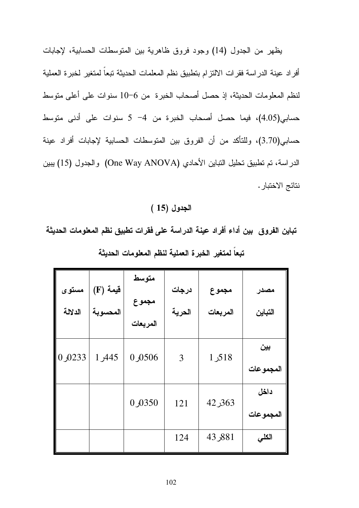يظهر من الجدول (14) وجود فروق ظاهرية بين المنوسطات الحسابية، لإجابات أفراد عينة الدراسة فقرات الالتزام بتطبيق نظم المعلمات الحديثة تبعا لمتغير لخبرة العملية لنظم المعلومات الحديثة، إذ حصل أصحاب الخبرة من 6–10 سنوات على أعلى متوسط حسابي(4.05)، فيما حصل أصحاب الخبرة من 4- 5 سنوات على أدنى متوسط حسابي(3.70)، وللتأكد من أن الفروق بين المتوسطات الحسابية لإجابات أفراد عينة الدراسة، تم تطبيق تحليل التباين الأحادي (One Way ANOVA) والجدول (15) يبين نتائج الاختبار .

### الجدول (15 )

تباين الفروق بين أداء أفراد عينة الدراسة على فقرات تطبيق نظم المعلومات الحديثة تبعاً لمتغير الخبرة العملية لنظم المعلومات الحديثة

| مستوى<br>الدلالة | فَيمة (F)<br>المحسوبة | متوسط<br>مجموع<br>المربعات | درجات<br>الحرية | مجموع<br>المربعات | مصدر<br>التباين   |
|------------------|-----------------------|----------------------------|-----------------|-------------------|-------------------|
| 0,0233           | 1,445                 | 0506                       | 3               | 518ر 1            | بين<br>المجموعات  |
|                  |                       | 0 0 350                    | 121             | 363ر 42           | داخل<br>المجموعات |
|                  |                       |                            | 124             | 881ر 43           | الكلي             |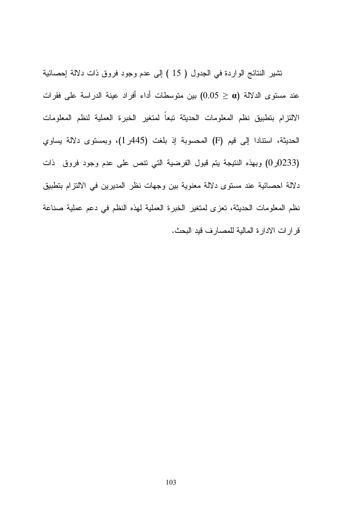تشير النتائج الواردة في الجدول ( 15 ) إلى عدم وجود فروق ذات دلالة إحصائية عند مستوى الدلالة (0.05  $\alpha)$  بين متوسطات أداء أفراد عينة الدراسة على فقرات الالتزام بتطبيق نظم المعلومات الحديثة تبعاً لمتغير الخبرة العملية لنظم المعلومات الحديثة، استنادا إلى قيم (F) المحسوبة إذ بلغت (445ر1)، وبمستوى دلالة يساوي (0233ر0) وبهذه النتيجة يتم قبول الفرضية التي نتص على عدم وجود فروق ذات دلالة احصائية عند مستوى دلالة معنوية بين وجهات نظر المديرين في الالتزام بتطبيق نظم المعلومات الحديثة، تعزى لمتغير الخبرة العملية لهذه النظم في دعم عملية صناعة قرارات الادارة المالية للمصارف قيد البحث.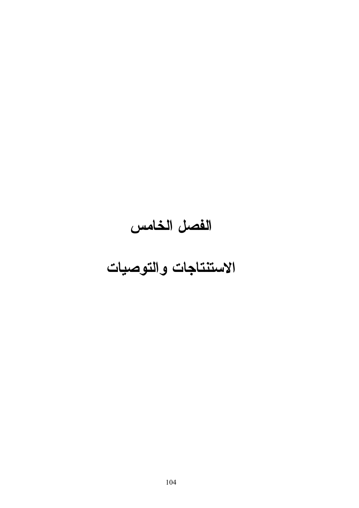# الفصل الخامس

### الاستنتاجات والتوصيات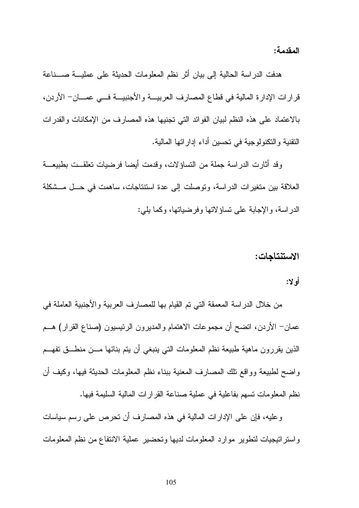المقدمة:

هدفت الدراسة الحالية إلى بيان أثر نظم المعلومات الحديثة على عمليـــة صــــناعة قرارات الإدارة المالية في قطاع المصارف العربيـــة والأجنبيـــة فــــي عمــــان- الأردن، بالاعتماد على هذه النظم لبيان الفوائد التبي تجنيها هذه المصـارف من الإمكانات والقدرات النقنية و النكنولوجية في تحسين أداء إدار اتها المالية.

وقد أثارت الدراسة جملة من التساؤلات، وقدمت أيضا فرضيات تعلقــت بطبيعـــة العلاقة بين متغير ات الدر اسة، و توصلت إلى عدة استتناجات، ساهمت في حـــل مـــشكلة الدر اسة، و الإجابة على تساؤ لاتها وفرضياتها، وكما يلي:

### الاستنتاجات:

### أه لا:

من خلال الدراسة المعمقة التي تم القيام بها للمصارف العربية والأجنبية العاملة في عمان– الأردن، انضح أن مجموعات الاهتمام والمديرون الرئيسيون (صناع القرار) هـــم الذين بقررون ماهية طبيعة نظم المعلومات التبي ينبغي أن يتم بنائها مـــن منطـــق تفهـــم واضح لطبيعة وواقع نلك المصارف المعنية ببناء نظم المعلومات الحديثة فيها، وكيف أن نظم المعلومات تسهم بفاعلية في عملية صناعة القرارات المالية السليمة فيها.

وعليه، فإن على الإدارات المالية في هذه المصارف أن تحرص على رسم سياسات واستراتيجيات لتطوير موارد المعلومات لديها وتحضير عملية الانتفاع من نظم المعلومات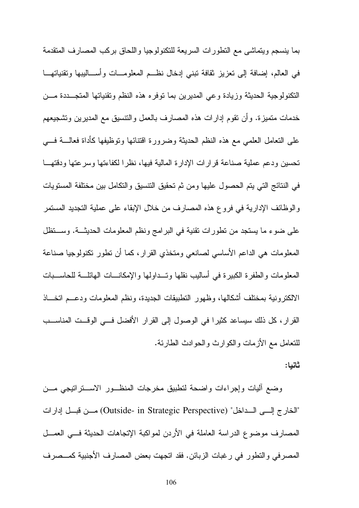بما ينسجم ويتماشى مع التطورات السريعة للتكنولوجيا واللحاق بركب المصارف المتقدمة في العالم، إضافة إلى نعزيز ثقافة تبني إدخال نظــم المعلومـــات وأســـاليبها وتقنياتهـــا النكنولوجية الحديثة وزيادة وعى المديرين بما نوفره هذه النظم ونقنياتها المنجـــددة مـــن خدمات متميزة. و أن نقوم إدارات هذه المصارف بالعمل والنتسيق مع المديرين ونشجيعهم على النعامل العلمي مع هذه النظم الحديثة وضرورة اقتنائها ونوظيفها كأداة فعالـــة فــــي تحسين ودعم عملية صناعة قرارات الإدارة المالية فيها، نظرا لكفاءتها وسرعتها ودقتهــا في النتائج التي يتم الحصول عليها ومن ثم تحقيق التتسيق والتكامل بين مختلفة المستويات والوظائف الإدارية في فروع هذه المصارف من خلال الإبقاء على عملية التجديد المستمر على ضوء ما يستجد من نطورات نقنية في البرامج ونظم المعلومات الحديثــة. وســـتظل المعلومات هي الداعم الأساسي لصانعي ومتخذي القرار، كما أن نطور نكنولوجيا صناعة المعلومات والطفرة الكبيرة في أساليب نقلها وتسداولها والإمكانسات الهائلسة للحاسسبات الالكترونية بمختلف أشكالها، وظهور التطبيقات الجديدة، ونظم المعلومات ودعــم اتخـــاذ القرار ، كل ذلك سيساعد كثيرًا في الوصول إلى القرار الأفضل فـــي الوقــت المناســب للنتعامل مع الأزمات والكوارث والحوادث الطارئة.

ثانبا:

وضع أليات وإجراءات واضحة لتطبيق مخرجات المنظــور الاســـتراتيجي مـــن "الخارج إلـــي الـــداخل" (Outside- in Strategic Perspective) مـــن فبـــل إدارات المصارف موضوع الدراسة العاملة في الأردن لمواكبة الإتجاهات الحديثة فسي العمـــل المصرفي والنطور في رغبات الزبائن. فقد اتجهت بعض المصارف الأجنبية كمــصرف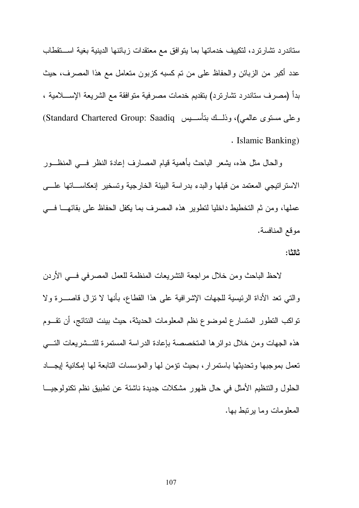ستاندرد تشارترد، لتكييف خدماتها بما يتوافق مع معتقدات زبائنها الدينية بغية استقطاب عدد أكبر من الزبائن والحفاظ على من تم كسبه كزبون متعامل مع هذا المصرف، حيث بدأ (مصرف ستاندرد نشارترد) بنقديم خدمات مصرفية منوافقة مع الشريعة الإســــلامية ، وعلى مستوى عالمي)، وذلـــك بتأســـيس Standard Chartered Group: Saadiq) . Islamic Banking)

والحال مثل هذه، يشعر الباحث بأهمية قيام المصارف إعادة النظر فـــي المنظـــور الاستر اتيجي المعتمد من قبلها والبدء بدر اسة البيئة الخارجية وتسخير إنعكاســـاتها علــــى عملها، ومن ثم التخطيط داخليا لتطوير هذه المصر ف بما يكفل الحفاظ على بقائهـــا فــــى موقع المنافسة.

#### ثالثا:

لاحظ الباحث ومن خلال مراجعة التشريعات المنظمة للعمل المصرفي فسي الأردن والتي نعد الأداة الرئيسية للجهات الإشرافية على هذا القطاع، بأنها لا نزال فاصــــرة ولا تواكب النطور المتسارع لموضوع نظم المعلومات الحديثة، حيث بينت النتائج، أن تقسوم هذه الجهات ومن خلال دوائرها المتخصصة بإعادة الدراسة المستمرة للتسشريعات التسى تعمل بموجبها وتحديثها باستمر ار ، بحيث تؤمن لها و المؤسسات التابعة لها إمكانية إيجـــاد الحلول والنتظيم الأمثل في حال ظهور مشكلات جديدة ناشئة عن تطبيق نظم تكنولوجيـــا المعلومات وما بر نبط بها.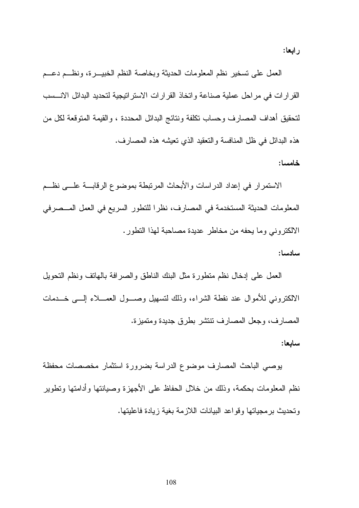رابعا:

العمل على تسخير نظم المعلومات الحديثة وبخاصة النظم الخبيــــرة، ونظـــم دعــــم القرارات في مراحل عملية صناعة واتخاذ القرارات الاستراتيجية لتحديد البدائل الانسسب لتحقيق أهداف المصارف وحساب نكلفة ونتائج البدائل المحددة ، والقيمة المتوقعة لكل من هذه البدائل في ظل المنافسة والنعقيد الذي نعيشه هذه المصارف.

خامسا:

الاستمرار في إعداد الدراسات والأبحاث المرتبطة بموضوع الرقابسة علسي نظــم المعلومات الحديثة المستخدمة في المصارف، نظر ا للنطور السريع في العمل المـــصرفي الالكتروني وما يحفه من مخاطر عديدة مصاحبة لهذا النطور.

سادسا:

العمل على إدخال نظم منطورة مثل البنك الناطق والصرافة بالهانف ونظم النحويل الالكتروني للأموال عند نقطة الشراء، وذلك لتسهيل وصـــول العمـــلاء إلــــي خـــدمات المصبار ف، وجعل المصبار ف نتنشر بطر ق جديدة ومتميز ة.

ساىعا:

بوصبي الباحث المصارف موضوع الدراسة بضرورة استثمار مخصصات محفظة نظم المعلومات بحكمة، وذلك من خلال الحفاظ على الأجهزة وصبانتها وأدامتها ونطوير وتحديث برمجياتها وقواعد البيانات اللازمة بغية زيادة فاعليتها.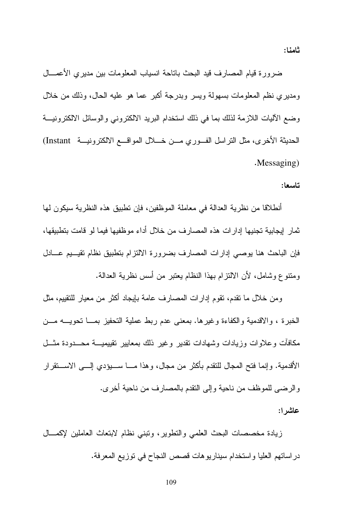ضرورة قيام المصارف قيد البحث باتاحة انسياب المعلومات بين مديري الأعمــــال ومديري نظم المعلومات بسهولة ويسر وبدرجة أكبر عما هو عليه الحال، وذلك من خلال وضع الآليات اللازمة لذلك بما في ذلك استخدام البريد الالكتروني والوسائل الالكترونيــة الحديثة الأخرى، مثل التراسل الفــوري مـــن خــــلال المواقــــع الالكترونيــــة Instant) .Messaging)

### تاسعا:

أنطلاقا من نظرية العدالة في معاملة الموظفين، فإن تطبيق هذه النظرية سيكون لها ثمار إيجابية تجنيها إدارات هذه المصارف من خلال أداء موظفيها فيما لو قامت بتطبيقها، فإن الباحث هنا بوصبي إدارات المصارف بضرورة الالتزام بتطبيق نظام تقيسيم عسادل ومنتوع وشامل، لأن الالتزام بهذا النظام يعتبر من أسس نظرية العدالة.

ومن خلال ما نقدم، نقوم إدارات المصارف عامة بإيجاد أكثر من معيار للنقييم، مثل الخبرة ، والاقدمية والكفاءة وغيرها. بمعنى عدم ربط عملية التحفيز بمسا تحويسه مسن مكافأت وعلاوات وزيادات وشهادات نقدير وغير ذلك بمعايير تقييميـــة محـــدودة مثـــل الأقدمية. وإنما فتح المجال للتقدم بأكثر من مجال، وهذا مـــا ســـبؤدي إلــــي الاســـنقر ار و الرضبي للموظف من ناحية و إلى النقدم بالمصارف من ناحية أخرى.

عاشر ۱:

زيادة مخصصات البحث العلمى والنطوير، ونبنى نظام لابنعاث العاملين لإكمـــال در اساتهم العليا واستخدام سيناريو هات قصص النجاح في توزيع المعرفة.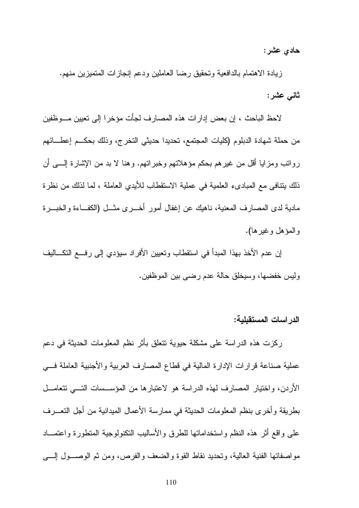حادي عشر:

زيادة الاهتمام بالدافعية وتحقيق رضا العاملين ودعم إنجازات المتميزين منهم. ثانس عشر:

لاحظ الباحث ، إن بعض إدارات هذه المصارف لجأت مؤخرا إلى تعيين مـــوظفين من حملة شهادة الدبلوم (كليات المجتمع، تحديدا حديثي التخرج، وذلك بحكــم إعطـــائهم روانب ومزايا أقل من غيرهم بحكم مؤهلاتهم وخبراتهم. وهنا لا بد من الإشارة إلــــي أن ذلك يتنافى مع المبادىء العلمية في عملية الاستقطاب للأيدى العاملة ، لما لذلك من نظرة مادية لدى المصارف المعنية، ناهيك عن إغفال أمور أخـــرى مثـــل (الكفـــاءة والخبـــر ة و المؤهل وغير ها).

إن عدم الأخذ بهذا المبدأ في استقطاب وتعيين الأفراد سيؤدي إلى رفــــع التكــــاليف وليس خفضها، وسيخلق حالة عدم رضبي بين الموظفين.

الدر اسات المستقبلبة:

ركزت هذه الدراسة على مشكلة حيوية نتعلق بأثر نظم المعلومات الحديثة في دعم عملية صناعة قرارات الإدارة المالية في قطاع المصارف العربية والأجنبية العاملة فسي الأردن، واختيار المصارف لهذه الدراسة هو لاعتبارها من المؤســسات التـــي نتعامـــل بطريقة وأخرى بنظم المعلومات الحديثة في ممارسة الأعمال الميدانية من أجل التعـــرف على واقع أثر هذه النظم واستخداماتها للطرق والأساليب التكنولوجية المتطورة واعتمـــاد مواصفاتها الفنية العالية، وتحديد نقاط القوة والضعف والفرص، ومن ثم الوصـــول إلــــي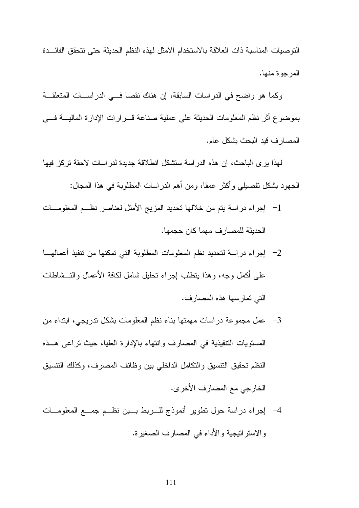النوصيات المناسبة ذات العلاقة بالاستخدام الامثل لهذه النظم الحديثة حتى نتحقق الفائسدة المرجوة منها.

وكما هو واضح في الدراسات السابقة، إن هناك نقصا في الدراســات المتعلقــة بموضوع أثر نظم المعلومات الحديثة على عملية صناعة فسرارات الإدارة الماليسة فسى المصار ف قيد البحث بشكل عام.

لهذا يرى الباحث، إن هذه الدراسة ستشكل انطلاقة جديدة لدراسات لاحقة تركز فيها الجهود بشكل نفصيلي وأكثر عمقا، ومن أهم الدراسات المطلوبة في هذا المجال:

- 1– إجراء دراسة بنم من خلالها نحديد المزيج الأمثل لعناصر نظــم المعلومـــات الحديثة للمصار ف مهما كان حجمها.
- على أكمل وجه، وهذا بتطلب اجراء نحليل شامل لكافة الأعمال والنـــشاطات التي تمارسها هذه المصارف.
- 3– عمل مجموعة دراسات مهمتها بناء نظم المعلومات بشكل تدريجي، ابتداء من المستويات التنفيذية في المصارف وانتهاء بالإدارة العليا، حيث تراعي هــذه النظم تحقيق التنسيق والتكامل الداخلي بين وظائف المصرف، وكذلك التنسيق الخارجي مع المصارف الأخرى.
- 4- إجراء دراسة حول تطوير أنموذج للسربط بسين نظـم جمــع المعلومـــات والاستراتيجية والأداء في المصارف الصغيرة.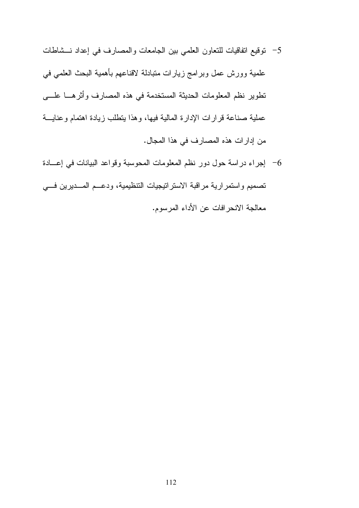- 5– نوفيع انفاقيات للتعاون العلمي بين الجامعات والمصارف في إعداد نــشاطات علمية وورش عمل وبرامج زيارات متبادلة لاقناعهم بأهمية البحث العلمي في تطوير نظم المعلومات الحديثة المستخدمة في هذه المصارف وأثرهــا علـــي عملية صناعة قرارات الإدارة المالية فيها، وهذا يتطلب زيادة اهتمام وعنايسة من إدارات هذه المصارف في هذا المجال.
- 6- إجراء دراسة حول دور نظم المعلومات المحوسبة وقواعد البيانات في إعسادة تصميم واستمرارية مراقبة الاستراتيجيات النتظيمية، ودعــم المـــديرين فـــي معالجة الانحر افات عن الأداء المرسوم.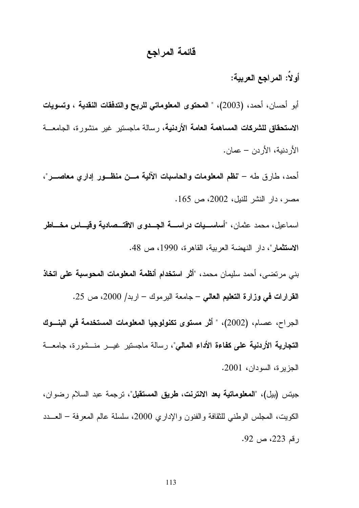### قائمة المراجع

أولا: المراجع العربية:

أبو أحسان، أحمد، (2003)، " المحتوى المعلوماتي للربح والتدفقات النقدية ، وتسويات الا**ستحقاق للشركات المساهمة العامة الأردنية**، رسالة ماجستير غير منشورة، الجامعـــة الأردنية، الأردن – عمان.

أحمد، طارق طه – "نظم المعلومات والحاسبات الآلية مـــن منظـــور إداري معاصـــر"، مصر ، دار النشر للنيل، 2002، ص 165.

اسماعيل، محمد عثمان، "أ**ساســيات دراســـة الجــدو ى الاقتـــصادية وقيـــاس مخـــاطر** الا**ستثمار**"، دار النهضة العربية، القاهرة، 1990، ص 48.

بني مرتضـي، أحمد سليمان محمد، "أ**ثر استخدام أنظمة المعلومات المحوسبة على اتخاذ** القرارات في وزارة التعليم العالي – جامعة اليرموك – اربد/ 2000، ص 25.

الجراح، عصام، (2002)، " أثر مستوى تكنولوجيا المعلومات المستخدمة في البنـــوك **التجارية الأردنية على كفاءة الأداء المالى**"، رسالة ماجستير غيـــر منـــشورة، جامعـــة الجزيرة، السودان، 2001.

جيتس (بيل)، "**المعلوماتية بعد الانترنت، طريق المستقبل**"، ترجمة عبد السلام رضوان، الكويت، المجلس الوطنـي للثقافة والفنون والإداري 2000، سلسلة عالم المعرفة – العـــدد ر قم 223، ص 92.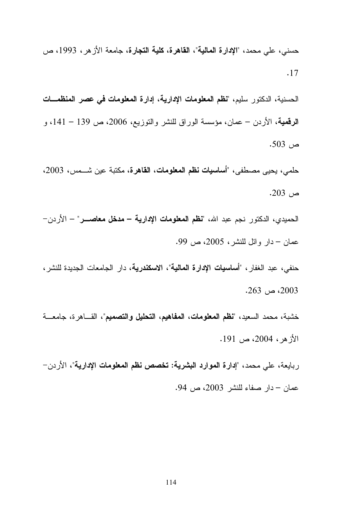حسني، علي محمد، "الإ**دارة المالية"، القاهرة، كلية التجارة،** جامعة الأز هر ، 1993، ص . 17

الحسنية، الدكتور سليم، "**نظم المعلومات الإدارية**، إ**دارة المعلومات في عصر المنظمـــات** ا**لرقمية**، الأردن – عمان، مؤسسة الوراق للنشر والنوزيع، 2006، ص 139 – 141، و  $.503$  )

حلمي، يحيى مصطفى، "أ**ساسيات نظم المعلومات، القاهرة،** مكتبة عين شـــمس، 2003، ص 203.

الحميدي، الدكتور نجم عبد الله، "**نظم المعلومات الإدارية – مدخل معاصـــر**" – الأردن– عمان – دار وائل للنشر، 2005، ص 99.

حنفي، عبد الغفار ، "أ**ساسيات الإدارة المالية**"، **الاسكندرية**، دار الجامعات الجديدة للنشر ،  $.263$  ص $.2003$ 

خشبة، محمد السعيد، "**نظم المعلومات، المفاهيم، التحليل والتصميم**"، القـــاهرة، جامعـــة  $.191$  الأز هر ، 2004، ص $191$ 

ربايعة، على محمد، "**إدارة الموارد البشرية: تخصص نظم المعلومات الإدارية**"، الأردن— عمان – دار صفاء للنشر 2003، ص 94.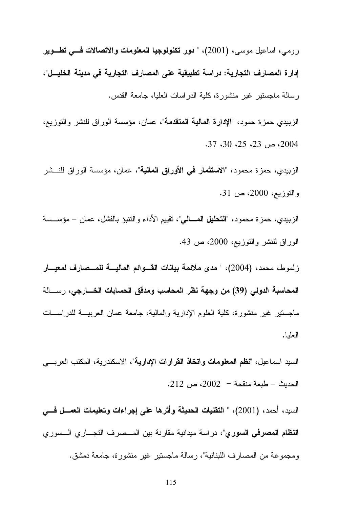رومي، اساعيل موسى، (2001)، " **دور تكنولوجيا المعلومات والاتصالات فــــى تطـــوير** إدار ة المصارف التجارية: دراسة تطبيقية على المصارف التجارية في مدينة الخليــل"، رسالة ماجستير غير منشورة، كلية الدراسات العليا، جامعة القدس.

الزبيدي حمزة حمود، "الإ**دارة المالية المتقدمة**"، عمان، مؤسسة الوراق للنشر والتوزيع،  $.37, 30, 25, 23, \infty$ 2004

الزبيدي، حمزة محمود، "الاستثمار في الأوراق المالية"، عمان، مؤسسة الوراق للنــشر والتوزيع، 2000، ص 31.

الزبيدي، حمزة محمود، "**التحليل المـــالى**"، تقييم الأداء والنتبؤ بالفشل، عمان – مؤســسة الوراق للنشر والنوزيع، 2000، ص 43.

زلموط، محمد، (2004)، " مدى ملائمة بيانات القسوائم الماليسة للمسصارف لمعيسار المحاسبة الدولى (39) من وجهة نظر المحاسب ومدقق الحسابات الخسارجي، رسسالة ماجستير غير منشورة، كلَّية العلوم الإدارية والمالية، جامعة عمان العربيـــة للدراســـات العلبا.

السيد اسماعيل، "**نظم المعلومات واتخاذ القرارات الإدارية**"، الاسكندرية، المكتب العرب*ـــى* الحديث – طبعة منقحة – 2002، ص 212.

السيد، أحمد، (2001)، " التقنيات الحديثة وأثرها على إجراءات وتعليمات العمـــل فـــي ا**لنظام المصرفي السوري**"، در اسة ميدانية مقارنة بين المـــصرف التجـــار ي الـــسور ي ومجموعة من المصارف اللبنانية"، رسالة ماجستير غير منشورة، جامعة دمشق.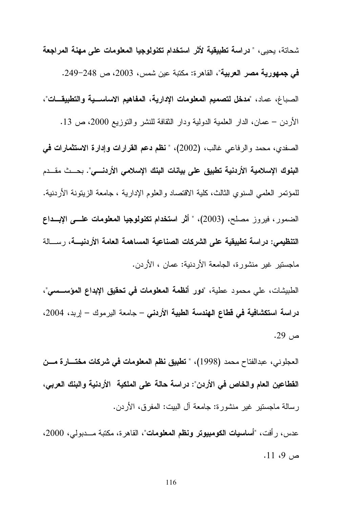شحاتة، يحيى، " **دراسة تطبيقية لأثر استخدام تكنولوجيا المعلومات عل***ى* **مهنة المراجعة** في جمهورية مصر العربية"، القاهر ة: مكتبة عين شمس، 2003، ص 248–249. الصباغ، عماد، "**مدخل لتصميم المعلومات الإدارية، المفاهيم الاساســية والتطبيقـــات**"، الأردن – عمان، الدار العلمية الدولية ودار النقافة للنشر والنوزيع 2000، ص 13. الصفدي، محمد والرفاعي غالب، (2002)، " **نظم دعم القرارات وإدارة الاستثمارات في** البنوك الإسلامية الأردنية تطبيق على بيانات البنك الإسلامي الأردنـــي". بحــث مقــدم للمؤتمر العلمي السنوي الثالث، كلية الاقتصاد والعلوم الإدارية ، جامعة الزيتونة الأردنية. الضمور ، فيروز مصلح، (2003)، " أثر ا**ستخدام تكنولوجيا المعلومات علـــي الإبـــداع** التنظيمي: دراسة تطبيقية على الشركات الصناعية المساهمة العامة الأردنيــــة، رســــالة ماجستير غير منشورة، الجامعة الأردنية: عمان ، الأردن.

الطبيشات، على محمود عطية، "**دور أنظمة المعلومات في تحقيق الإبداع المؤســـسي**"، **در اسة استكشافية في قطاع الهندسة الطبية الأردني** – جامعة اليرموك – إربد، 2004، ص 29.

العجلوني، عبدالفتاح محمد (1998)، " **تطبيق نظم المعلومات في شركات مختــــارة مــــن** القطاعين العام والخاص في الأردن": دراسة حالة على الملكية الأردنية والبنك العربي، رسالة ماجستير غير منشورة: جامعة أل البيت: المفرق، الأردن.

عدس، ر أفت، "أ**ساسيات الكومبيوتر ونظم المعلومات**"، القاهر ة، مكتبة مـــدبول*ى*، 2000،  $.11 \, .9 \, .$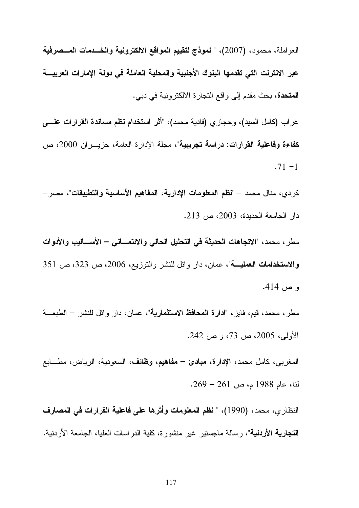العواملة، محمود، (2007)، " نموذج لتقييم المواقع الالكترونية والخـــدمات المـــصرفية عبر الانترنت التى تقدمها البنوك الأجنبية والمحلية العاملة فى دولة الإمارات العربيــــة **المتحدة،** بحث مقدم إلى واقع التجارة الالكترونية في دبي.

غر اب (كامل السيد)، وحجازي (فادية محمد)، "أثر ا**ستخدام نظم مساندة القر**ارا**ت علــــ**ى كفاءة وفاعلية القرارات: دراسة تجريبية"، مجلة الإدارة العامة، حزيـــران 2000، ص  $.71 - 1$ 

كردي، منال محمد — "**نظم المعلومات الإدارية، المفاهيم الأساسية والتطبيقات**"، مصر —  $\cdot$ دار الجامعة الجديدة، 2003، ص 213.

مطر ، محمد ، "الاتجاهات الحديثة في التحليل الحالي والائتمـــاني – الأســـاليب والأدوات والاستخدامات العمليــــة"، عمان، دار وائل للنشر والنوزيع، 2006، ص 323، ص 351 و ص 414.

مطر ، محمد، قيم، فايز ، "إ**دارة المحافظ الاستثمارية**"، عمان، دار وائل للنشر – الطبعـــة الأولى، 2005، ص 73، و ص 242.

المغربي، كامل محمد، الإ**دارة، مبادئ – مفاهيم، وظائف،** السعودية، الرياض، مطــــابـع لنا، عام 1988 م، ص 261 – 269.

النظار ي، محمد، (1990)، " **نظم المعلومات وأثر ها على فاعلية القرارات في المصارف التجارية الأردنية**"، رسالة ماجستير غير منشورة، كلية الدراسات العليا، الجامعة الأردنية.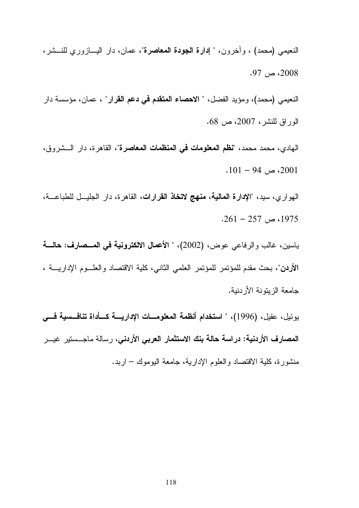النعيمي (محمد) ، وأخرون، " إ**دارة الجودة المعاصرة**"، عمان، دار اليـــازوري للنـــشر، .  $97 \sim 2008$ 

النعيمي (محمد)، ومؤيد الفضل، " الاحصاء المتقدم في دعم القرار" ، عمان، مؤسسة دار الوراق للنشر ، 2007، ص 68.

الهادي، محمد محمد، "**نظم المعلومات في المنظمات المعاصرة**"، القاهرة، دار الـــشروق، . 2001 – 94 $\sim$  2001.

الـهواري، سيد، "**الإدارة المـاليـة، منـهج لاتخاذ القرارات**، القاهرة، دار الـجليـــل للطباعــــة، . 261 – 257 ).  $1975$ 

ياسين، غالب والرفاعي عوض، (2002)، " الأعمال الالكترونية في المـــصارف: حالــــة الأردن"، بحث مقدم للمؤتمر للمؤتمر العلمي الثاني، كلية الاقتصاد والعلــوم الإداريــــة ، جامعة الزيتونة الأردنية.

يوئيل، عقيل، (1996)، " ا**ستخدام أنظمة المعلومــــات الإداريـــــة كــــأداة تنـافــــمىية فــــي** المصارف الأردنية: دراسة حالة بنك الاستثمار العربي الأردني، رسالة ماجــستير غيـــر منشورة، كلية الاقتصاد والعلوم الإدارية، جامعة اليوموك – اربد.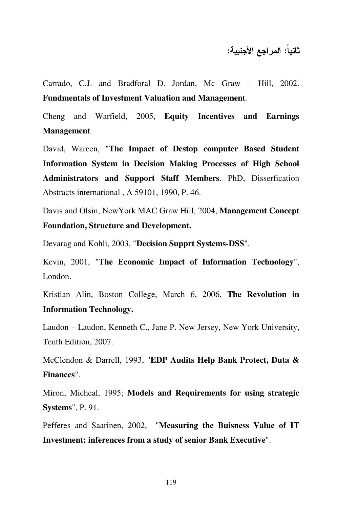ثانيا: المراجع الأجنبية:

Carrado, C.J. and Bradforal D. Jordan, Mc Graw – Hill, 2002. **Fundmentals of Investment Valuation and Managemen**t.

Cheng and Warfield, 2005, **Equity Incentives and Earnings Management**

David, Wareen, "**The Impact of Destop computer Based Student Information System in Decision Making Processes of High School Administrators and Support Staff Members**. PhD, Disserfication Abstracts international , A 59101, 1990, P. 46.

Davis and Olsin, NewYork MAC Graw Hill, 2004, **Management Concept Foundation, Structure and Development.** 

Devarag and Kohli, 2003, "**Decision Supprt Systems-DSS**".

Kevin, 2001, "**The Economic Impact of Information Technology**", London.

Kristian Alin, Boston College, March 6, 2006, **The Revolution in Information Technology.** 

Laudon – Laudon, Kenneth C., Jane P. New Jersey, New York University, Tenth Edition, 2007.

McClendon & Darrell, 1993, "**EDP Audits Help Bank Protect, Duta & Finances**".

Miron, Micheal, 1995; **Models and Requirements for using strategic Systems**", P. 91.

Pefferes and Saarinen, 2002, "**Measuring the Buisness Value of IT Investment: inferences from a study of senior Bank Executive**".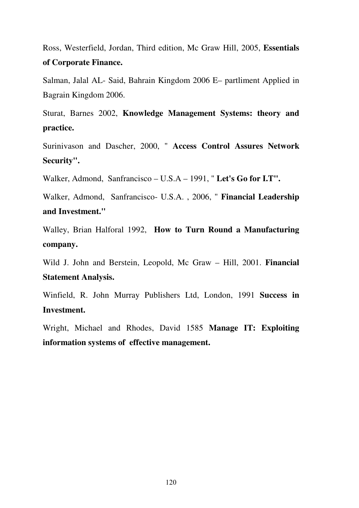Ross, Westerfield, Jordan, Third edition, Mc Graw Hill, 2005, **Essentials of Corporate Finance.** 

Salman, Jalal AL- Said, Bahrain Kingdom 2006 E– partliment Applied in Bagrain Kingdom 2006.

Sturat, Barnes 2002, **Knowledge Management Systems: theory and practice.** 

Surinivason and Dascher, 2000, " **Access Control Assures Network Security".** 

Walker, Admond, Sanfrancisco – U.S.A – 1991, " **Let's Go for I.T".**

Walker, Admond, Sanfrancisco- U.S.A. , 2006, " **Financial Leadership and Investment."** 

Walley, Brian Halforal 1992, **How to Turn Round a Manufacturing company.** 

Wild J. John and Berstein, Leopold, Mc Graw – Hill, 2001. **Financial Statement Analysis.** 

Winfield, R. John Murray Publishers Ltd, London, 1991 **Success in Investment.** 

Wright, Michael and Rhodes, David 1585 **Manage IT: Exploiting information systems of effective management.**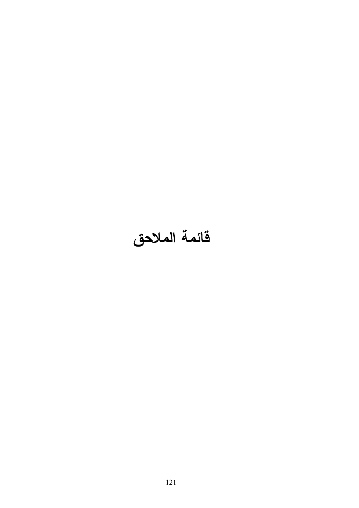## فائمة الملاحق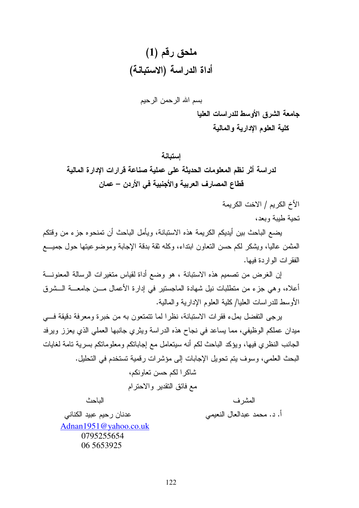بسم الله الرحمن الرحيم

جامعة الشرق الأوسط للدراسات العليا كلية العلوم الإدارية والمالية

لدراسة أثر نظم المعلومات الحديثة على عملية صناعة قرارات الإدارة المالية قطاع المصارف العربية والأجنبية في الأردن – عمان

الأخ الكريم / الاخت الكريمة

تحبة طبية وبعد،

يضع الباحث بين أيديكم الكريمة هذه الاستبانة، ويأمل الباحث أن تمنحوه جزء من وقتكم المثمن عاليا، ويشكر لكم حسن النعاون ابنداء، وكله ثقة بدقة الإجابة وموضوعيتها حول جميـــع الفقر ات الو ار دة فبها.

إن الغرض من تصميم هذه الاستبانة ، هو وضع أداة لقياس متغيرات الرسالة المعنونــــة أعلاه، و هي جزء من منطلبات نيل شهادة الماجستير في إدار ة الأعمال مـــن جامعــــة الـــشر ق الأوسط للدر اسات العلبا/ كلبة العلوم الإدار بة والمالبة.

يرجى التفضل بملء فقرات الاستبانة، نظرا لما تتمتعون به من خبرة ومعرفة دقيقة فسي ميدان عملكم الوظيفي، مما يساعد في نجاح هذه الدر اسة ويثر ي جانبها العملي الذي يعزز ويرفد الجانب النظري فيها، ويؤكد الباحث لكم أنه سيتعامل مع إجاباتكم ومعلوماتكم بسرية تامة لغايات البحث العلمي، وسوف يتم تحويل الإجابات إلى مؤشرات رقمية تستخدم في التحليل.

> شاكر ا لكم حسن تعاو نكم، مع فائق التقدير والاحترام

> > المشر ف أ. د. محمد عبدالعال النعيمي

الباحث

عدنان رحيم عبيد الكناني Adnan1951@yahoo.co.uk 0795255654 06 56 539 25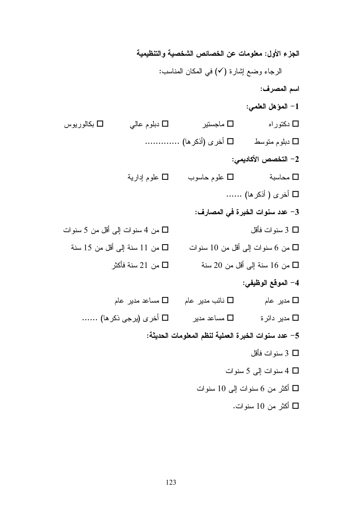الجزء الأول: معلومات عن الخصائص الشخصية والتنظيمية الرجاء وضع إشارة (٧) في المكان المناسب: اسم المصرف: 1- المؤهل العلمي: ماجستير  $\Box$ دبلوم عالي  $\Box$ □ دکتور اه بكالور پوس  $\Box$ □ دبلوم متوسط □ أخرى (أذكر ها) …………… 2– التخصص الأكاديمي: طوم حاسوب  $\Box$  علوم إدارية  $\Box$ محاسبة  $\Box$  $\Box$  أخرى ( أذكر ها) ...... 3– عدد سنوات الخبرة في المصارف: سنو ات فأقل  $3\;\mathsf{\square}$ □ من 4 سنوات إلى أقل من 5 سنوات من 6 سنوات إلى أقل من 10 سنوات  $\Box$  من 11 سنة إلى أقل من 15 سنة  $\Box$ من 16 سنة إلى أقل من 20 سنة  $\Box$ من 21 سنة فأكثر  $\square$ 4– الموقع الوظيفي: مدیر عام  $\square$  نائب مدیر عام  $\square$  مساعد مدیر عام  $\square$  $□$  مدیر دائرۃ  $□$  مساعد مدیر  $□$  اُخری (یرجی ذکر ھا) …… 5– عدد سنوات الخبرة العملية لنظم المعلومات الحديثة: سنو ات فأقل  $3\Box$ □ 4 سنوات إلى 5 سنوات أكثر من 6 سنوات إلى 10 سنوات  $\Box$ أكثر من 10 سنوات.  $\Box$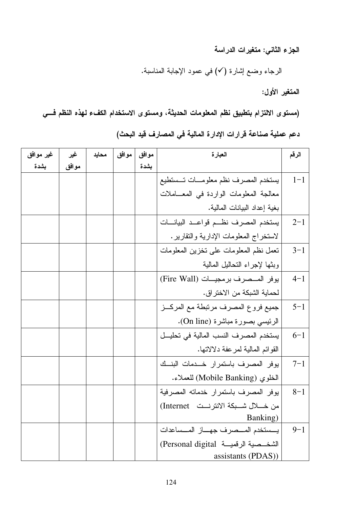الجزء الثاني: متغيرات الدراسة

الرجاء وضع إشارة (٧) في عمود الإجابة المناسبة.

المتغير الأول:

(مستوى الالتزام بتطبيق نظم المعلومات الحديثة، ومستوى الاستخدام الكفء لهذه النظم فسي دعم عملية صناعة قرارات الإدارة المالية في المصارف قيد البحث)

| غير موافق | غير   | محايد | موافق | موافق | العبارة                                      | الرقم   |
|-----------|-------|-------|-------|-------|----------------------------------------------|---------|
| بشدة      | موافق |       |       | بشدة  |                                              |         |
|           |       |       |       |       | يستخدم المصرف نظم معلومسات تسستطيع           | $1 - 1$ |
|           |       |       |       |       | معالجة المعلومات الواردة في المعــاملات      |         |
|           |       |       |       |       | بغية إعداد البيانات المالية.                 |         |
|           |       |       |       |       | يستخدم المصرف نظم قواعد البيانسات            | $2 - 1$ |
|           |       |       |       |       | لاستخراج المعلومات الإدارية والنقارير .      |         |
|           |       |       |       |       | تعمل نظم المعلومات على تخزين المعلومات       | $3 - 1$ |
|           |       |       |       |       | وبثها لإجراء التحاليل المالية                |         |
|           |       |       |       |       | يوفر المصرف برمجيات (Fire Wall)              | $4 - 1$ |
|           |       |       |       |       | لحماية الشبكة من الاختر إق.                  |         |
|           |       |       |       |       | جميع فروع المصرف مرتبطة مع المركــز          | $5 - 1$ |
|           |       |       |       |       | الرئيسي بصورة مباشرة (On line).              |         |
|           |       |       |       |       | يستخدم المصرف النسب المالية في تحليــل       | $6 - 1$ |
|           |       |       |       |       | القوائم المالية لمرعفة دلالاتها.             |         |
|           |       |       |       |       | يوفر المصرف باستمرار خدمات البنسك            | $7 - 1$ |
|           |       |       |       |       | الخلوى (Mobile Banking) للعملاء.             |         |
|           |       |       |       |       | يوفر المصرف باستمرار خدماته المصرفية         | $8 - 1$ |
|           |       |       |       |       | من خــــلال شــــبكة الانترنـــت   Internet) |         |
|           |       |       |       |       | Banking)                                     |         |
|           |       |       |       |       | يسستخدم المسصرف جهساز المسساعدات             | $9 - 1$ |
|           |       |       |       |       | الشخــصية الرفميـــة  Personal digital)      |         |
|           |       |       |       |       | assistants (PDAS))                           |         |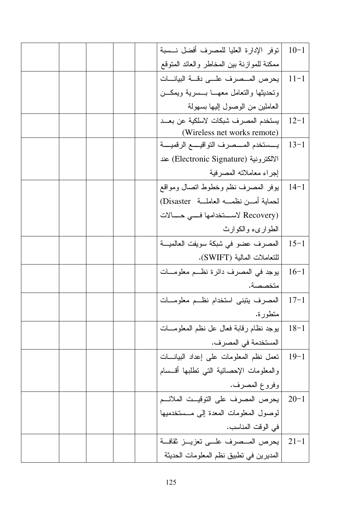| توفر الإدارة العليا للمصرف أفضل نسببة           | $10-1$   |
|-------------------------------------------------|----------|
| ممكنة للموازنة ببن المخاطر والعائد المتوقع      |          |
| يحرص المــصرف علـــى دقـــة البيانـــات         | $11 - 1$ |
| وتحديثها والتعامل معهسا بسسرية ويمكسن           |          |
| العاملين من الوصول إليها بسهولة                 |          |
| يستخدم المصرف شبكات لاسلكية عن بعــد            | $12 - 1$ |
| (Wireless net works remote)                     |          |
| يـــستخدم المــــصرف التواقيـــــع الرقميـــــة | $13-1$   |
| الالكترونية (Electronic Signature) عند          |          |
| إجراء معاملاته المصرفية                         |          |
| يوفر المصرف نظم وخطوط انصال ومواقع              | $14-1$   |
| لحماية أمـــن نظمــــه العاملـــة  Disaster)    |          |
| (Recovery لاستخدامها فسي حسالات                 |          |
| الطوارىء والكوارث                               |          |
| المصرف عضو في شبكة سويفت العالميـــة            | $15 - 1$ |
| للتعاملات المالية (SWIFT).                      |          |
| يوجد في المصرف دائرة نظــم معلومـــات           | $16-1$   |
| متخصصة.                                         |          |
| المصرف يتبنى استخدام نظئم معلومسات              | $17 - 1$ |
| متطورة.                                         |          |
| يوجد نظام رقابة فعال عل نظم المعلومـــات        | $18 - 1$ |
| المستخدمة في المصر ف.                           |          |
| تعمل نظم المعلومات على إعداد البيانـــات        | $19-1$   |
| والمعلومات الإحصائية التبي نطلبها أقسسام        |          |
| وفروع المصرف.                                   |          |
| 20-1  يحرص المصرف على التوقيــت الملائــم       |          |
| لوصول المعلومات المعدة إلى مــستخدميها          |          |
| في الوقت المناسب.                               |          |
| يعرص المــصرف علـــى تعزيـــز ثقافـــة          | $21 - 1$ |
| المديرين في تطبيق نظم المعلومات الحديثة         |          |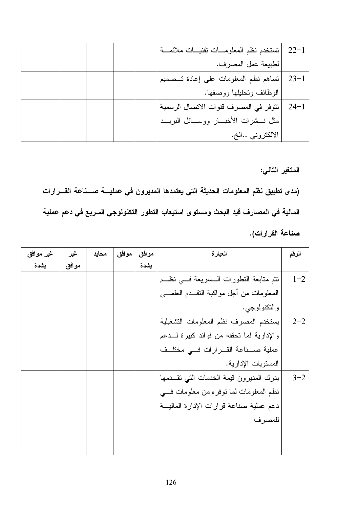|  |  | تستخدم نظم المعلومسات نقنيسات ملائمسة | $22 - 1$ |
|--|--|---------------------------------------|----------|
|  |  | لطبيعة عمل المصرف.                    |          |
|  |  | تساهم نظم المعلومات على إعادة تـممميم | $23 - 1$ |
|  |  | الوظائف وتحليلها ووصفها.              |          |
|  |  | تتوفر في المصرف قنوات الاتصال الرسمية | $24 - 1$ |
|  |  | مثل نسشرات الأخبسار ووسسائل البريسد   |          |
|  |  | الالكتروني الخ.                       |          |

المتغير الثاني:

(مدى تطبيق نظم المعلومات الحديثة التي يعتمدها المديرون في عمليـــة صـــناعة القـــرارات المالية في المصارف قيد البحث ومستوى استيعاب التطور التكنولوجي السريع في دعم عملية صناعة القرارات).

| غير موافق | غير   | محابد | موافق | موافق | العبارة                                     | الرقم   |
|-----------|-------|-------|-------|-------|---------------------------------------------|---------|
| بشدة      | موافق |       |       | بشدة  |                                             |         |
|           |       |       |       |       | نتم منابعة النطورات الـــسريعة فـــي نظـــم | $1 - 2$ |
|           |       |       |       |       | المعلومات من أجل مواكبة النقــدم العلمـــي  |         |
|           |       |       |       |       | و التكنولوجي.                               |         |
|           |       |       |       |       | يستخدم المصرف نظم المعلومات التشغيلية       | $2 - 2$ |
|           |       |       |       |       | والإدارية لما تحققه من فوائد كبيرة لـــدعم  |         |
|           |       |       |       |       | عملية صـــناعة القـــرارات فـــى مختلــف    |         |
|           |       |       |       |       | المستويات الإدارية.                         |         |
|           |       |       |       |       | يدرك المديرون قيمة الخدمات التي تقــدمها    | $3 - 2$ |
|           |       |       |       |       | نظم المعلومات لما نوفره من معلومات فسي      |         |
|           |       |       |       |       | دعم عملية صناعة قرارات الإدارة الماليـــة   |         |
|           |       |       |       |       | للمصرف                                      |         |
|           |       |       |       |       |                                             |         |
|           |       |       |       |       |                                             |         |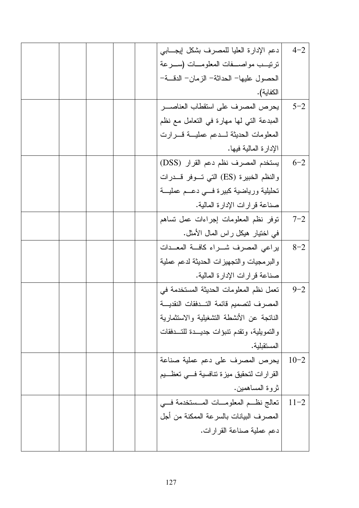|  | دعم الإدارة العليا للمصرف بشكل إيجـــابي     | $4 - 2$  |
|--|----------------------------------------------|----------|
|  | ترتيــب مواصـــفات المعلومـــات (ســـرعة     |          |
|  | الحصول عليها– الحداثة– الزمان– الدقـــة–     |          |
|  | الكفاية).                                    |          |
|  | يحرص المصرف على استقطاب العناصـــر           | $5 - 2$  |
|  | المبدعة التي لها مهارة في التعامل مع نظم     |          |
|  | المعلومات الحديثة لسدعم عمليسة قسرارت        |          |
|  | الإدارة المالية فيها.                        |          |
|  | يستخدم المصرف نظم دعم القرار (DSS)           | $6 - 2$  |
|  | والنظم الخبيرة (ES) التي تسوفر قسدرات        |          |
|  | تحليلية ورياضية كبيرة فسي دعسم عمليسة        |          |
|  | صناعة قرارات الإدارة المالية.                |          |
|  | نوفر نظم المعلومات إجراءات عمل نساهم         | $7 - 2$  |
|  | في اختيار هيكل راس المال الأمثل.             |          |
|  | براعى المصرف شــراء كافــة المعــدات         | $8 - 2$  |
|  | والبرمجيات والتجهيزات الحديثة لدعم عملية     |          |
|  | صناعة قرارات الإدارة المالية.                |          |
|  | تعمل نظم المعلومات الحديثة المستخدمة في      | $9 - 2$  |
|  | المصرف لتصميم قائمة التسدفقات النقديسة       |          |
|  | الناتجة عن الأنشطة التشغيلية والاستثمارية    |          |
|  | والنمويلية، ونقدم نتبؤات جديــدة للتـــدفقات |          |
|  | المستقبلية.                                  |          |
|  | يحرص المصرف على دعم عملية صناعة              | $10 - 2$ |
|  | القرارات لتحقيق ميزة تنافسية فسي تعظسيم      |          |
|  | ثروة المساهمين.                              |          |
|  | تعالج نظــم المعلومـــات المـــستخدمة فـــي  | $11 - 2$ |
|  | المصرف البيانات بالسرعة الممكنة من أجل       |          |
|  | دعم عملية صناعة القرارات.                    |          |
|  |                                              |          |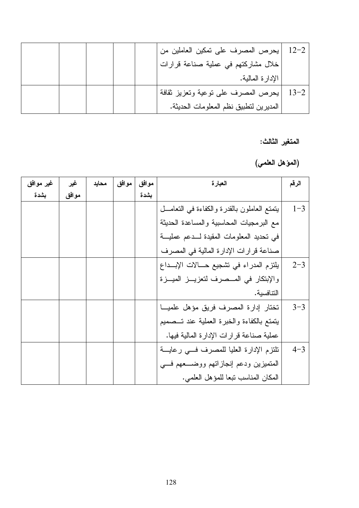| $12 - 2$ | يحرص المصرف على تمكين العاملين من      |  |  |
|----------|----------------------------------------|--|--|
|          | خلال مشاركتهم في عملية صناعة قرارات    |  |  |
|          | الإدارة المالية.                       |  |  |
| $13 - 2$ | يحرص المصرف على نوعية ونعزيز ثقافة     |  |  |
|          | المديرين لنطبيق نظم المعلومات الحديثة. |  |  |

المتغير الثالث:

(المؤهل العلمي)

| غير موافق | غير   | محايد | موافق | موافق | العبارة                                       | الرقم   |
|-----------|-------|-------|-------|-------|-----------------------------------------------|---------|
| بشدة      | موافق |       |       | بشدة  |                                               |         |
|           |       |       |       |       | يتمتع العاملون بالقدرة والكفاءة في التعامـــل | $1 - 3$ |
|           |       |       |       |       | مع البرمجيات المحاسبية والمساعدة الحديثة      |         |
|           |       |       |       |       | في تحديد المعلومات المقيدة لـــدعم عمليـــة   |         |
|           |       |       |       |       | صناعة قرارات الإدارة المالية في المصرف        |         |
|           |       |       |       |       | يلتزم المدراء في تشجيع حــالات الإبــداع      | $2 - 3$ |
|           |       |       |       |       | والإبتكار في المــصرف لتعزيـــز الميـــزة     |         |
|           |       |       |       |       | التنافسبة.                                    |         |
|           |       |       |       |       | تختار إدارة المصرف فريق مؤهل علميا            | $3 - 3$ |
|           |       |       |       |       | يتمتع بالكفاءة والخبرة العملية عند تــصميم    |         |
|           |       |       |       |       | عملية صناعة قرارات الإدارة المالية فيها.      |         |
|           |       |       |       |       | تلتزم الإدارة العليا للمصرف فسي رعايسة        | $4 - 3$ |
|           |       |       |       |       | المتميزين ودعم إنجازاتهم ووضـــعهم فـــي      |         |
|           |       |       |       |       | المكان المناسب تبعا للمؤهل العلمي.            |         |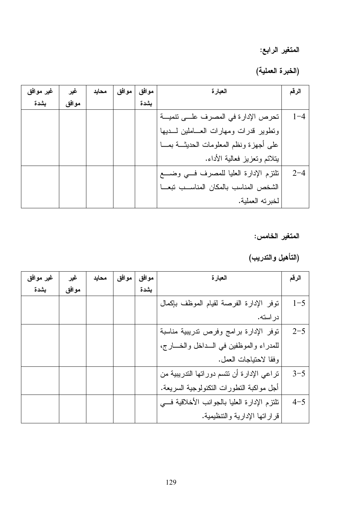## المتغير الرابع:

(الخبرة العملية)

| غير موافق | غير   | محايد | موافق | موافق | العبارة                                     | الرقم   |
|-----------|-------|-------|-------|-------|---------------------------------------------|---------|
| بشدة      | موافق |       |       | يشدة  |                                             |         |
|           |       |       |       |       | تحرص الإدارة في المصرف علـــي نتميـــة      | $1 - 4$ |
|           |       |       |       |       | وتطوير قدرات ومهارات العساملين لسديها       |         |
|           |       |       |       |       | على أجهزة ونظم المعلومات الحديثـــة بمــــا |         |
|           |       |       |       |       | بتلائم وتعزيز فعالية الأداء.                |         |
|           |       |       |       |       | نلتزم الإدارة العليا للمصرف فسي وضسع        | $2 - 4$ |
|           |       |       |       |       | الشخص المناسب بالمكان المناسب تبعا          |         |
|           |       |       |       |       | لخبرته العملية.                             |         |

المتغير الخامس:

(التأهيل والتدريب)

| غير موافق | غير   | محايد | موافق | موافق | العبارة                                     | الرقم   |
|-----------|-------|-------|-------|-------|---------------------------------------------|---------|
| بشدة      | موافق |       |       | يشدة  |                                             |         |
|           |       |       |       |       | توفر الإدارة الفرصة لقيام الموظف بإكمال     | $1 - 5$ |
|           |       |       |       |       | در استه.                                    |         |
|           |       |       |       |       | توفر الإدارة برامج وفرص تدريبية مناسبة      | $2 - 5$ |
|           |       |       |       |       | للمدراء والموظفين في السداخل والخسارج،      |         |
|           |       |       |       |       | وفقا لاحتياجات العمل.                       |         |
|           |       |       |       |       | تراعى الإدارة أن نتسم دوراتها التدريبية من  | $3 - 5$ |
|           |       |       |       |       | أجل مواكبة النطورات النكنولوجية السريعة.    |         |
|           |       |       |       |       | تلتزم الإدارة العليا بالجوانب الأخلاقية فسي | $4 - 5$ |
|           |       |       |       |       | قراراتها الإدارية والتنظيمية.               |         |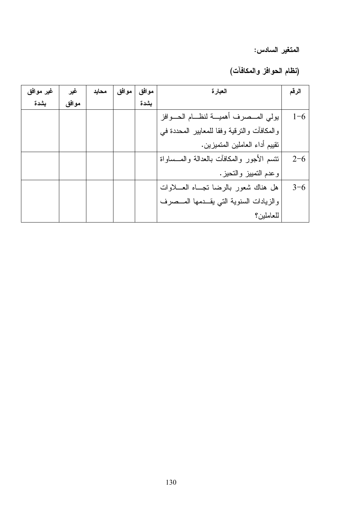المتغير السادس:

(نظام الحوافز والمكافآت)

| غير موافق | غير   | محايد | موافق | موافق | العبارة                                     | الرقم   |
|-----------|-------|-------|-------|-------|---------------------------------------------|---------|
| بشدة      | موافق |       |       | بشدة  |                                             |         |
|           |       |       |       |       | يولى المسصرف أهمية لنظام الحسوافز           | $1 - 6$ |
|           |       |       |       |       | والمكافأت والنزقية وفقا للمعابير المحددة في |         |
|           |       |       |       |       | نقييم أداء العاملين المتميزين.              |         |
|           |       |       |       |       | نتسم الأجور والمكافآت بالعدالة والمسساواة   | $2 - 6$ |
|           |       |       |       |       | وعدم النمبيز والنحيز.                       |         |
|           |       |       |       |       | هل هناك شعور بالرضا نجساه العسلاوات         | $3 - 6$ |
|           |       |       |       |       | والزيادات السنوية التى يقـدمها المــصرف     |         |
|           |       |       |       |       | للعاملين؟                                   |         |